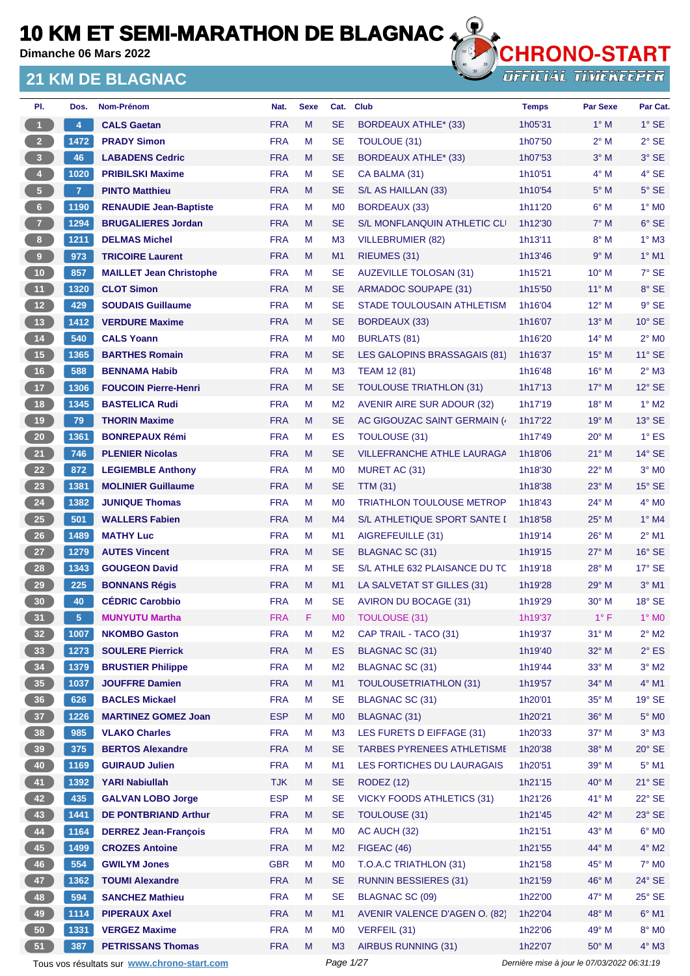**Dimanche 06 Mars 2022**

### **21 KM DE BLAGNAC**



| PI.                     | Dos.           | Nom-Prénom                                  | Nat.       | <b>Sexe</b> | Cat.           | <b>Club</b>                       | <b>Temps</b> | <b>Par Sexe</b>                             | Par Cat.        |
|-------------------------|----------------|---------------------------------------------|------------|-------------|----------------|-----------------------------------|--------------|---------------------------------------------|-----------------|
| $\mathbf{1}$            | 4              | <b>CALS Gaetan</b>                          | <b>FRA</b> | M           | <b>SE</b>      | BORDEAUX ATHLE* (33)              | 1h05'31      | $1^\circ$ M                                 | $1^\circ$ SE    |
| 2 <sup>7</sup>          | 1472           | <b>PRADY Simon</b>                          | <b>FRA</b> | M           | <b>SE</b>      | TOULOUE (31)                      | 1h07'50      | $2^{\circ}$ M                               | $2°$ SE         |
| $\overline{\mathbf{3}}$ | 46             | <b>LABADENS Cedric</b>                      | <b>FRA</b> | M           | <b>SE</b>      | <b>BORDEAUX ATHLE* (33)</b>       | 1h07'53      | $3^\circ$ M                                 | 3° SE           |
| $\overline{4}$          | 1020           | <b>PRIBILSKI Maxime</b>                     | <b>FRA</b> | M           | <b>SE</b>      | CA BALMA (31)                     | 1h10'51      | $4^\circ$ M                                 | 4° SE           |
| 5 <sub>1</sub>          | $\overline{7}$ | <b>PINTO Matthieu</b>                       | <b>FRA</b> | M           | <b>SE</b>      | S/L AS HAILLAN (33)               | 1h10'54      | $5^\circ$ M                                 | $5^\circ$ SE    |
| 6                       | 1190           | <b>RENAUDIE Jean-Baptiste</b>               | <b>FRA</b> | М           | M <sub>0</sub> | <b>BORDEAUX (33)</b>              | 1h11'20      | $6^\circ$ M                                 | $1^\circ$ MO    |
| $\mathbf{7}$            | 1294           | <b>BRUGALIERES Jordan</b>                   | <b>FRA</b> | M           | <b>SE</b>      | S/L MONFLANQUIN ATHLETIC CLI      | 1h12'30      | $7^\circ$ M                                 | $6°$ SE         |
| 8 <sub>1</sub>          | 1211           | <b>DELMAS Michel</b>                        | <b>FRA</b> | М           | M <sub>3</sub> | VILLEBRUMIER (82)                 | 1h13'11      | $8^\circ$ M                                 | $1^\circ$ M3    |
| 9                       | 973            | <b>TRICOIRE Laurent</b>                     | <b>FRA</b> | M           | M1             | RIEUMES (31)                      | 1h13'46      | 9° M                                        | $1^\circ$ M1    |
| 10 <sub>1</sub>         | 857            | <b>MAILLET Jean Christophe</b>              | <b>FRA</b> | М           | <b>SE</b>      | <b>AUZEVILLE TOLOSAN (31)</b>     | 1h15'21      | $10^{\circ}$ M                              | 7° SE           |
| 11 <sub>1</sub>         | 1320           | <b>CLOT Simon</b>                           | <b>FRA</b> | M           | <b>SE</b>      | <b>ARMADOC SOUPAPE (31)</b>       | 1h15'50      | $11^{\circ}$ M                              | 8° SE           |
| 12                      | 429            | <b>SOUDAIS Guillaume</b>                    | <b>FRA</b> | М           | <b>SE</b>      | STADE TOULOUSAIN ATHLETISM        | 1h16'04      | $12^{\circ}$ M                              | $9°$ SE         |
| 13                      | 1412           | <b>VERDURE Maxime</b>                       | <b>FRA</b> | M           | <b>SE</b>      | <b>BORDEAUX (33)</b>              | 1h16'07      | $13^\circ$ M                                | $10^{\circ}$ SE |
| 14                      | 540            | <b>CALS Yoann</b>                           | <b>FRA</b> | M           | M <sub>0</sub> | BURLATS (81)                      | 1h16'20      | $14^{\circ}$ M                              | $2^{\circ}$ MO  |
| 15                      | 1365           | <b>BARTHES Romain</b>                       | <b>FRA</b> | M           | <b>SE</b>      | LES GALOPINS BRASSAGAIS (81)      | 1h16'37      | $15^{\circ}$ M                              | $11^{\circ}$ SE |
| 16                      | 588            | <b>BENNAMA Habib</b>                        | <b>FRA</b> | M           | M <sub>3</sub> | <b>TEAM 12 (81)</b>               | 1h16'48      | $16^{\circ}$ M                              | $2^{\circ}$ M3  |
| 17 <sup>2</sup>         | 1306           | <b>FOUCOIN Pierre-Henri</b>                 | <b>FRA</b> | M           | <b>SE</b>      | <b>TOULOUSE TRIATHLON (31)</b>    | 1h17'13      | $17^\circ$ M                                | $12^{\circ}$ SE |
| 18                      | 1345           | <b>BASTELICA Rudi</b>                       | <b>FRA</b> | M           | M <sub>2</sub> | <b>AVENIR AIRE SUR ADOUR (32)</b> | 1h17'19      | $18^{\circ}$ M                              | $1^\circ$ M2    |
| 19                      | 79             | <b>THORIN Maxime</b>                        | <b>FRA</b> | M           | <b>SE</b>      | AC GIGOUZAC SAINT GERMAIN (       | 1h17'22      | $19^{\circ}$ M                              | $13^\circ$ SE   |
| ${\bf 20}$              | 1361           | <b>BONREPAUX Rémi</b>                       | <b>FRA</b> | M           | ES             | <b>TOULOUSE (31)</b>              | 1h17'49      | $20^\circ$ M                                | $1^{\circ}$ ES  |
| 21                      | 746            | <b>PLENIER Nicolas</b>                      | <b>FRA</b> | M           | <b>SE</b>      | <b>VILLEFRANCHE ATHLE LAURAGA</b> | 1h18'06      | $21^{\circ}$ M                              | $14^{\circ}$ SE |
| 22                      | 872            | <b>LEGIEMBLE Anthony</b>                    | <b>FRA</b> | M           | M <sub>0</sub> | MURET AC (31)                     | 1h18'30      | 22° M                                       | $3°$ MO         |
| 23                      | 1381           | <b>MOLINIER Guillaume</b>                   | <b>FRA</b> | M           | <b>SE</b>      | <b>TTM (31)</b>                   | 1h18'38      | $23^\circ$ M                                | $15^\circ$ SE   |
| 24                      | 1382           | <b>JUNIQUE Thomas</b>                       | <b>FRA</b> | M           | M <sub>0</sub> | <b>TRIATHLON TOULOUSE METROP</b>  | 1h18'43      | 24° M                                       | $4^\circ$ MO    |
| $25\phantom{.0}$        | 501            | <b>WALLERS Fabien</b>                       | <b>FRA</b> | M           | M4             | S/L ATHLETIQUE SPORT SANTE I      | 1h18'58      | $25^{\circ}$ M                              | $1^\circ$ M4    |
| 26                      | 1489           | <b>MATHY Luc</b>                            | <b>FRA</b> | M           | M <sub>1</sub> | AIGREFEUILLE (31)                 | 1h19'14      | $26^{\circ}$ M                              | $2^{\circ}$ M1  |
| 27                      | 1279           | <b>AUTES Vincent</b>                        | <b>FRA</b> | M           | <b>SE</b>      | <b>BLAGNAC SC (31)</b>            | 1h19'15      | 27° M                                       | $16°$ SE        |
| 28                      | 1343           | <b>GOUGEON David</b>                        | <b>FRA</b> | М           | <b>SE</b>      | S/L ATHLE 632 PLAISANCE DU TC     | 1h19'18      | $28^{\circ}$ M                              | $17^\circ$ SE   |
| 29                      | 225            | <b>BONNANS Régis</b>                        | <b>FRA</b> | M           | M1             | LA SALVETAT ST GILLES (31)        | 1h19'28      | $29^\circ$ M                                | $3°$ M1         |
| 30 <sub>o</sub>         | 40             | <b>CÉDRIC Carobbio</b>                      | <b>FRA</b> | M           | <b>SE</b>      | AVIRON DU BOCAGE (31)             | 1h19'29      | $30^\circ$ M                                | $18°$ SE        |
| 31                      | 5              | <b>MUNYUTU Martha</b>                       | <b>FRA</b> | F           | M <sub>0</sub> | <b>TOULOUSE (31)</b>              | 1h19'37      | $1^{\circ}$ F                               | $1^\circ$ MO    |
| 32 <sub>2</sub>         | 1007           | <b>NKOMBO Gaston</b>                        | <b>FRA</b> | M           | M <sub>2</sub> | CAP TRAIL - TACO (31)             | 1h19'37      | $31^\circ$ M                                | $2^\circ$ M2    |
| 33 <sup>°</sup>         | 1273           | <b>SOULERE Pierrick</b>                     | <b>FRA</b> | M           | ES             | <b>BLAGNAC SC (31)</b>            | 1h19'40      | $32^\circ$ M                                | $2^{\circ}$ ES  |
| 34                      | 1379           | <b>BRUSTIER Philippe</b>                    | <b>FRA</b> | М           | M <sub>2</sub> | BLAGNAC SC (31)                   | 1h19'44      | $33^\circ$ M                                | $3^\circ$ M2    |
| 35                      | 1037           | <b>JOUFFRE Damien</b>                       | <b>FRA</b> | M           | M1             | <b>TOULOUSETRIATHLON (31)</b>     | 1h19'57      | 34° M                                       | 4° M1           |
| 36 <sup>°</sup>         | 626            | <b>BACLES Mickael</b>                       | <b>FRA</b> | М           | <b>SE</b>      | BLAGNAC SC (31)                   | 1h20'01      | 35° M                                       | $19°$ SE        |
| 37 <sup>°</sup>         | 1226           | <b>MARTINEZ GOMEZ Joan</b>                  | <b>ESP</b> | M           | M <sub>0</sub> | <b>BLAGNAC (31)</b>               | 1h20'21      | 36° M                                       | $5^\circ$ MO    |
| 38                      | 985            | <b>VLAKO Charles</b>                        | <b>FRA</b> | M           | M <sub>3</sub> | LES FURETS D EIFFAGE (31)         | 1h20'33      | 37° M                                       | $3^\circ$ M3    |
| 39 <sup>°</sup>         | 375            | <b>BERTOS Alexandre</b>                     | <b>FRA</b> | M           | <b>SE</b>      | TARBES PYRENEES ATHLETISME        | 1h20'38      | 38° M                                       | $20^\circ$ SE   |
| 40                      | 1169           | <b>GUIRAUD Julien</b>                       | <b>FRA</b> | M           | M1             | LES FORTICHES DU LAURAGAIS        | 1h20'51      | 39° M                                       | $5^\circ$ M1    |
| 41                      | 1392           | <b>YARI Nabiullah</b>                       | <b>TJK</b> | M           | <b>SE</b>      | <b>RODEZ (12)</b>                 | 1h21'15      | 40° M                                       | 21° SE          |
| 42                      | 435            | <b>GALVAN LOBO Jorge</b>                    | <b>ESP</b> | M           | <b>SE</b>      | <b>VICKY FOODS ATHLETICS (31)</b> | 1h21'26      | 41° M                                       | 22° SE          |
| 43                      | 1441           | <b>DE PONTBRIAND Arthur</b>                 | <b>FRA</b> | M           | <b>SE</b>      | TOULOUSE (31)                     | 1h21'45      | 42° M                                       | 23° SE          |
| 44                      | 1164           | <b>DERREZ Jean-François</b>                 | <b>FRA</b> | М           | M <sub>0</sub> | AC AUCH (32)                      | 1h21'51      | 43° M                                       | $6^\circ$ MO    |
| 45                      | 1499           | <b>CROZES Antoine</b>                       | <b>FRA</b> | M           | M <sub>2</sub> | FIGEAC (46)                       | 1h21'55      | 44° M                                       | $4^\circ$ M2    |
| 46                      | 554            | <b>GWILYM Jones</b>                         | <b>GBR</b> | М           | M <sub>0</sub> | T.O.A.C TRIATHLON (31)            | 1h21'58      | 45° M                                       | 7° M0           |
| 47                      | 1362           | <b>TOUMI Alexandre</b>                      | <b>FRA</b> | M           | <b>SE</b>      | <b>RUNNIN BESSIERES (31)</b>      | 1h21'59      | 46° M                                       | 24° SE          |
| 48                      | 594            | <b>SANCHEZ Mathieu</b>                      | <b>FRA</b> | М           | <b>SE</b>      | BLAGNAC SC (09)                   | 1h22'00      | 47° M                                       | $25^\circ$ SE   |
| 49                      | 1114           | <b>PIPERAUX Axel</b>                        | <b>FRA</b> | M           | M1             | AVENIR VALENCE D'AGEN O. (82)     | 1h22'04      | 48° M                                       | $6^{\circ}$ M1  |
| 50                      | 1331           | <b>VERGEZ Maxime</b>                        | <b>FRA</b> | М           | M <sub>0</sub> | VERFEIL (31)                      | 1h22'06      | 49° M                                       | $8^\circ$ MO    |
| 51                      | 387            | <b>PETRISSANS Thomas</b>                    | <b>FRA</b> | M           | M <sub>3</sub> | AIRBUS RUNNING (31)               | 1h22'07      | 50° M                                       | 4° M3           |
|                         |                | Tous vos résultats sur www.chrono-start.com |            |             | Page 1/27      |                                   |              | Dernière mise à jour le 07/03/2022 06:31:19 |                 |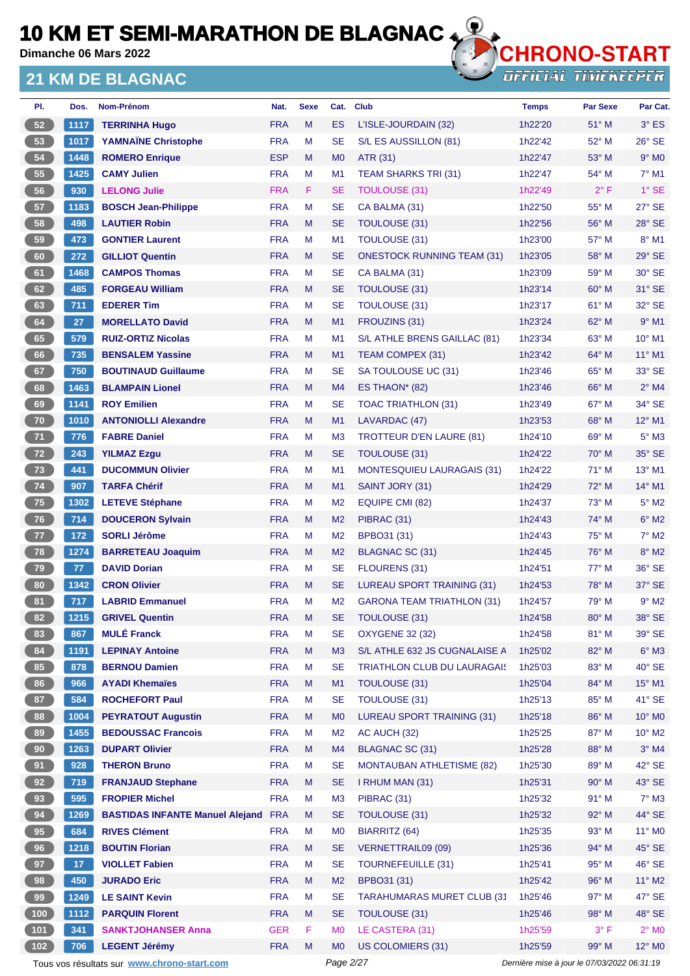**Dimanche 06 Mars 2022**

### **21 KM DE BLAGNAC**



| PI.        | Dos.            | Nom-Prénom                                 | Nat.       | <b>Sexe</b> | Cat.           | <b>Club</b>                        | <b>Temps</b> | Par Sexe       | Par Cat.        |
|------------|-----------------|--------------------------------------------|------------|-------------|----------------|------------------------------------|--------------|----------------|-----------------|
| 52         | 1117            | <b>TERRINHA Hugo</b>                       | <b>FRA</b> | M           | <b>ES</b>      | L'ISLE-JOURDAIN (32)               | 1h22'20      | 51° M          | $3°$ ES         |
| 53         | 1017            | <b>YAMNAÏNE Christophe</b>                 | <b>FRA</b> | M           | <b>SE</b>      | S/L ES AUSSILLON (81)              | 1h22'42      | 52° M          | 26° SE          |
| 54         | 1448            | <b>ROMERO Enrique</b>                      | <b>ESP</b> | M           | M <sub>0</sub> | ATR (31)                           | 1h22'47      | 53° M          | $9°$ MO         |
| 55         | 1425            | <b>CAMY Julien</b>                         | <b>FRA</b> | M           | M <sub>1</sub> | <b>TEAM SHARKS TRI (31)</b>        | 1h22'47      | 54° M          | $7°$ M1         |
| 56         | 930             | <b>LELONG Julie</b>                        | <b>FRA</b> | F           | <b>SE</b>      | <b>TOULOUSE (31)</b>               | 1h22'49      | $2^{\circ}$ F  | $1^\circ$ SE    |
| 57         | 1183            | <b>BOSCH Jean-Philippe</b>                 | <b>FRA</b> | M           | <b>SE</b>      | CA BALMA (31)                      | 1h22'50      | 55° M          | 27° SE          |
| 58         | 498             | <b>LAUTIER Robin</b>                       | <b>FRA</b> | M           | SE             | <b>TOULOUSE (31)</b>               | 1h22'56      | 56° M          | 28° SE          |
| 59         | 473             | <b>GONTIER Laurent</b>                     | <b>FRA</b> | M           | M <sub>1</sub> | <b>TOULOUSE (31)</b>               | 1h23'00      | 57° M          | 8° M1           |
| 60         | 272             | <b>GILLIOT Quentin</b>                     | <b>FRA</b> | M           | SE             | <b>ONESTOCK RUNNING TEAM (31)</b>  | 1h23'05      | 58° M          | $29°$ SE        |
| 61         | 1468            | <b>CAMPOS Thomas</b>                       | <b>FRA</b> | M           | <b>SE</b>      | CA BALMA (31)                      | 1h23'09      | 59° M          | 30° SE          |
| 62         | 485             | <b>FORGEAU William</b>                     | <b>FRA</b> | M           | <b>SE</b>      | <b>TOULOUSE (31)</b>               | 1h23'14      | $60^\circ$ M   | 31° SE          |
| 63         | 711             | <b>EDERER Tim</b>                          | <b>FRA</b> | M           | <b>SE</b>      | <b>TOULOUSE (31)</b>               | 1h23'17      | 61° M          | 32° SE          |
| 64         | 27              | <b>MORELLATO David</b>                     | <b>FRA</b> | M           | M1             | FROUZINS (31)                      | 1h23'24      | $62^{\circ}$ M | $9°$ M1         |
| 65         | 579             | <b>RUIZ-ORTIZ Nicolas</b>                  | <b>FRA</b> | M           | M <sub>1</sub> | S/L ATHLE BRENS GAILLAC (81)       | 1h23'34      | 63° M          | 10° M1          |
| 66         | 735             | <b>BENSALEM Yassine</b>                    | <b>FRA</b> | M           | M <sub>1</sub> | TEAM COMPEX (31)                   | 1h23'42      | 64° M          | $11^{\circ}$ M1 |
| 67         | 750             | <b>BOUTINAUD Guillaume</b>                 | <b>FRA</b> | M           | <b>SE</b>      | SA TOULOUSE UC (31)                | 1h23'46      | 65° M          | 33° SE          |
| 68         | 1463            | <b>BLAMPAIN Lionel</b>                     | <b>FRA</b> | M           | M4             | ES THAON* $(82)$                   | 1h23'46      | $66^{\circ}$ M | $2^{\circ}$ M4  |
| 69         | 1141            | <b>ROY Emilien</b>                         | <b>FRA</b> | M           | SE             | <b>TOAC TRIATHLON (31)</b>         | 1h23'49      | 67° M          | 34° SE          |
| 70         | 1010            | <b>ANTONIOLLI Alexandre</b>                | <b>FRA</b> | M           | M1             | LAVARDAC (47)                      | 1h23'53      | $68^\circ$ M   | $12^{\circ}$ M1 |
| 71         | 776             | <b>FABRE Daniel</b>                        | <b>FRA</b> | M           | M <sub>3</sub> | <b>TROTTEUR D'EN LAURE (81)</b>    | 1h24'10      | $69^\circ$ M   | $5^\circ$ M3    |
| 72         | 243             | <b>YILMAZ Ezgu</b>                         | <b>FRA</b> | M           | SE             | <b>TOULOUSE (31)</b>               | 1h24'22      | $70^\circ$ M   | 35° SE          |
| 73         | 441             | <b>DUCOMMUN Olivier</b>                    | <b>FRA</b> | M           | M <sub>1</sub> | <b>MONTESQUIEU LAURAGAIS (31)</b>  | 1h24'22      | $71^\circ$ M   | 13° M1          |
| 74         | 907             | <b>TARFA Chérif</b>                        | <b>FRA</b> | M           | M1             | SAINT JORY (31)                    | 1h24'29      | 72° M          | 14° M1          |
| 75         | 1302            | <b>LETEVE Stéphane</b>                     | <b>FRA</b> | M           | M <sub>2</sub> | EQUIPE CMI (82)                    | 1h24'37      | 73° M          | $5^\circ$ M2    |
| 76         | 714             | <b>DOUCERON Sylvain</b>                    | <b>FRA</b> | M           | M <sub>2</sub> | PIBRAC (31)                        | 1h24'43      | 74° M          | $6^\circ$ M2    |
| 77         | 172             | <b>SORLI Jérôme</b>                        | <b>FRA</b> | M           | M <sub>2</sub> | BPBO31 (31)                        | 1h24'43      | $75^{\circ}$ M | $7^\circ$ M2    |
| 78         | 1274            | <b>BARRETEAU Joaquim</b>                   | <b>FRA</b> | M           | M <sub>2</sub> | BLAGNAC SC (31)                    | 1h24'45      | 76° M          | $8^\circ$ M2    |
| 79         | 77              | <b>DAVID Dorian</b>                        | <b>FRA</b> | M           | SE             | FLOURENS (31)                      | 1h24'51      | $77^\circ$ M   | 36° SE          |
| 80         | 1342            | <b>CRON Olivier</b>                        | <b>FRA</b> | M           | SE             | <b>LUREAU SPORT TRAINING (31)</b>  | 1h24'53      | 78° M          | 37° SE          |
| 81         | 717             | <b>LABRID Emmanuel</b>                     | <b>FRA</b> | M           | M <sub>2</sub> | <b>GARONA TEAM TRIATHLON (31)</b>  | 1h24'57      | 79° M          | $9°$ M2         |
| 82         | 1215            | <b>GRIVEL Quentin</b>                      | <b>FRA</b> | M           | SE             | <b>TOULOUSE (31)</b>               | 1h24'58      | 80° M          | 38° SE          |
| 83         | 867             | <b>MULÉ Franck</b>                         | <b>FRA</b> | M           | <b>SE</b>      | <b>OXYGENE 32 (32)</b>             | 1h24'58      | 81° M          | 39° SE          |
| 84         | 1191            | <b>LEPINAY Antoine</b>                     | <b>FRA</b> | M           | M <sub>3</sub> | S/L ATHLE 632 JS CUGNALAISE A      | 1h25'02      | 82° M          | $6^\circ$ M3    |
| 85         | 878             | <b>BERNOU Damien</b>                       | <b>FRA</b> | M           | <b>SE</b>      | <b>TRIATHLON CLUB DU LAURAGAIS</b> | 1h25'03      | 83° M          | $40^\circ$ SE   |
| 86         | 966             | <b>AYADI Khemaïes</b>                      | <b>FRA</b> | M           | M1             | <b>TOULOUSE (31)</b>               | 1h25'04      | 84° M          | 15° M1          |
| 87         | 584             | <b>ROCHEFORT Paul</b>                      | <b>FRA</b> | M           | <b>SE</b>      | <b>TOULOUSE (31)</b>               | 1h25'13      | 85° M          | 41° SE          |
| ${\bf 88}$ | 1004            | <b>PEYRATOUT Augustin</b>                  | <b>FRA</b> | M           | M <sub>0</sub> | <b>LUREAU SPORT TRAINING (31)</b>  | 1h25'18      | 86° M          | $10^{\circ}$ MO |
| 89         | 1455            | <b>BEDOUSSAC Francois</b>                  | <b>FRA</b> | M           | M <sub>2</sub> | AC AUCH (32)                       | 1h25'25      | 87° M          | $10^{\circ}$ M2 |
| 90         | 1263            | <b>DUPART Olivier</b>                      | <b>FRA</b> | M           | M4             | BLAGNAC SC (31)                    | 1h25'28      | 88° M          | $3°$ M4         |
| 91         | 928             | <b>THERON Bruno</b>                        | <b>FRA</b> | M           | <b>SE</b>      | <b>MONTAUBAN ATHLETISME (82)</b>   | 1h25'30      | 89° M          | 42° SE          |
| 92         | 719             | <b>FRANJAUD Stephane</b>                   | <b>FRA</b> | M           | <b>SE</b>      | I RHUM MAN (31)                    | 1h25'31      | 90° M          | 43° SE          |
| 93         | 595             | <b>FROPIER Michel</b>                      | <b>FRA</b> | M           | M <sub>3</sub> | PIBRAC (31)                        | 1h25'32      | 91° M          | $7^\circ$ M3    |
| 94         | 1269            | <b>BASTIDAS INFANTE Manuel Alejand FRA</b> |            | M           | <b>SE</b>      | <b>TOULOUSE (31)</b>               | 1h25'32      | 92° M          | 44° SE          |
| 95         | 684             | <b>RIVES Clément</b>                       | <b>FRA</b> | M           | M <sub>0</sub> | <b>BIARRITZ (64)</b>               | 1h25'35      | 93° M          | $11^{\circ}$ MO |
| 96         | 1218            | <b>BOUTIN Florian</b>                      | <b>FRA</b> | ${\sf M}$   | <b>SE</b>      | <b>VERNETTRAIL09 (09)</b>          | 1h25'36      | 94° M          | $45^\circ$ SE   |
| 97         | 17 <sub>2</sub> | <b>VIOLLET Fabien</b>                      | <b>FRA</b> | M           | <b>SE</b>      | <b>TOURNEFEUILLE (31)</b>          | 1h25'41      | 95° M          | 46° SE          |
| 98         | 450             | <b>JURADO Eric</b>                         | <b>FRA</b> | M           | M <sub>2</sub> | BPBO31 (31)                        | 1h25'42      | 96° M          | $11^{\circ}$ M2 |
| 99         | 1249            | <b>LE SAINT Kevin</b>                      | <b>FRA</b> | M           | <b>SE</b>      | <b>TARAHUMARAS MURET CLUB (31)</b> | 1h25'46      | 97° M          | 47° SE          |
| 100        | 1112            | <b>PARQUIN Florent</b>                     | <b>FRA</b> | M           | <b>SE</b>      | <b>TOULOUSE (31)</b>               | 1h25'46      | 98° M          | 48° SE          |
| $101$      | 341             | <b>SANKTJOHANSER Anna</b>                  | <b>GER</b> | F           | M <sub>0</sub> | LE CASTERA (31)                    | 1h25'59      | $3^{\circ}$ F  | $2^\circ$ MO    |
| 102        | 706             | <b>LEGENT Jérémy</b>                       | <b>FRA</b> | M           | M <sub>0</sub> | US COLOMIERS (31)                  | 1h25'59      | 99° M          | 12° MO          |

Tous vos résultats sur **[www.chrono-start.com](https://www.chrono-start.com/)** Page 2/27 Page 2/27 Dernière mise à jour le 07/03/2022 06:31:19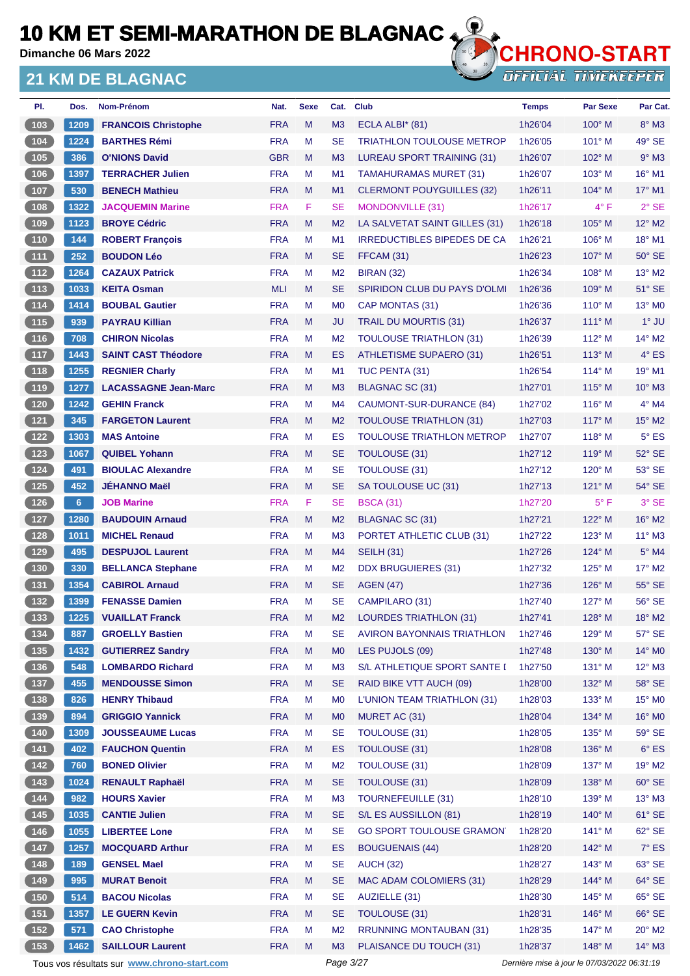**Dimanche 06 Mars 2022**

### **21 KM DE BLAGNAC**



**OFFICIAL TIMEKEEPER** 

| PI.                                               | Dos.           | Nom-Prénom                  | Nat.       | <b>Sexe</b> | Cat.           | <b>Club</b>                        | <b>Temps</b> | <b>Par Sexe</b> | Par Cat.            |
|---------------------------------------------------|----------------|-----------------------------|------------|-------------|----------------|------------------------------------|--------------|-----------------|---------------------|
| (103)                                             | 1209           | <b>FRANCOIS Christophe</b>  | <b>FRA</b> | M           | M3             | ECLA ALBI $*$ (81)                 | 1h26'04      | $100^\circ$ M   | 8° M3               |
| $\begin{array}{c} \hline 104 \end{array}$         | 1224           | <b>BARTHES Rémi</b>         | <b>FRA</b> | М           | <b>SE</b>      | <b>TRIATHLON TOULOUSE METROP</b>   | 1h26'05      | $101^\circ$ M   | $49°$ SE            |
| (105)                                             | 386            | <b>O'NIONS David</b>        | <b>GBR</b> | M           | M <sub>3</sub> | LUREAU SPORT TRAINING (31)         | 1h26'07      | 102° M          | $9°$ M <sub>3</sub> |
| $\boxed{106}$                                     | 1397           | <b>TERRACHER Julien</b>     | <b>FRA</b> | М           | M1             | <b>TAMAHURAMAS MURET (31)</b>      | 1h26'07      | $103^\circ$ M   | 16° M1              |
| (107)                                             | 530            | <b>BENECH Mathieu</b>       | <b>FRA</b> | M           | M1             | <b>CLERMONT POUYGUILLES (32)</b>   | 1h26'11      | $104^\circ$ M   | 17° M1              |
| $\boxed{108}$                                     | 1322           | <b>JACQUEMIN Marine</b>     | <b>FRA</b> | F           | <b>SE</b>      | MONDONVILLE (31)                   | 1h26'17      | $4^{\circ}$ F   | $2°$ SE             |
| (109)                                             | 1123           | <b>BROYE Cédric</b>         | <b>FRA</b> | M           | M <sub>2</sub> | LA SALVETAT SAINT GILLES (31)      | 1h26'18      | $105^\circ$ M   | 12° M2              |
| $\begin{array}{c} \hline 110 \end{array}$         | 144            | <b>ROBERT François</b>      | <b>FRA</b> | M           | M <sub>1</sub> | <b>IRREDUCTIBLES BIPEDES DE CA</b> | 1h26'21      | $106^\circ$ M   | 18° M1              |
| (111)                                             | 252            | <b>BOUDON Léo</b>           | <b>FRA</b> | M           | <b>SE</b>      | FFCAM (31)                         | 1h26'23      | $107^\circ$ M   | $50^\circ$ SE       |
| $\boxed{112}$                                     | 1264           | <b>CAZAUX Patrick</b>       | <b>FRA</b> | M           | M <sub>2</sub> | <b>BIRAN (32)</b>                  | 1h26'34      | $108^\circ$ M   | 13° M2              |
| (113)                                             | 1033           | <b>KEITA Osman</b>          | <b>MLI</b> | M           | <b>SE</b>      | SPIRIDON CLUB DU PAYS D'OLMI       | 1h26'36      | $109^\circ$ M   | 51° SE              |
| $\boxed{114}$                                     | 1414           | <b>BOUBAL Gautier</b>       | <b>FRA</b> | M           | M <sub>0</sub> | CAP MONTAS (31)                    | 1h26'36      | $110^\circ$ M   | 13° M0              |
| (115)                                             | 939            | <b>PAYRAU Killian</b>       | <b>FRA</b> | M           | <b>JU</b>      | TRAIL DU MOURTIS (31)              | 1h26'37      | $111^\circ$ M   | $1^\circ$ JU        |
| (116)                                             | 708            | <b>CHIRON Nicolas</b>       | <b>FRA</b> | M           | M <sub>2</sub> | <b>TOULOUSE TRIATHLON (31)</b>     | 1h26'39      | $112^{\circ}$ M | 14° M2              |
| (117                                              | 1443           | <b>SAINT CAST Théodore</b>  | <b>FRA</b> | M           | ES             | <b>ATHLETISME SUPAERO (31)</b>     | 1h26'51      | $113^\circ$ M   | $4^\circ$ ES        |
| $\begin{array}{c} \n \textbf{118}\n \end{array}$  | 1255           | <b>REGNIER Charly</b>       | <b>FRA</b> | М           | M <sub>1</sub> | TUC PENTA (31)                     | 1h26'54      | $114^{\circ}$ M | 19° M1              |
| (119)                                             | 1277           | <b>LACASSAGNE Jean-Marc</b> | <b>FRA</b> | M           | M <sub>3</sub> | BLAGNAC SC (31)                    | 1h27'01      | $115^\circ$ M   | $10^{\circ}$ M3     |
| 120                                               | 1242           | <b>GEHIN Franck</b>         | <b>FRA</b> | м           | M <sub>4</sub> | CAUMONT-SUR-DURANCE (84)           | 1h27'02      | $116^\circ$ M   | $4^\circ$ M4        |
| (121)                                             | 345            | <b>FARGETON Laurent</b>     | <b>FRA</b> | M           | M <sub>2</sub> | <b>TOULOUSE TRIATHLON (31)</b>     | 1h27'03      | 117° M          | $15^{\circ}$ M2     |
| $\begin{array}{c} \n \text{122}\n \end{array}$    | 1303           | <b>MAS Antoine</b>          | <b>FRA</b> | M           | ES             | <b>TOULOUSE TRIATHLON METROP</b>   | 1h27'07      | $118^\circ$ M   | $5^{\circ}$ ES      |
| (123)                                             | 1067           | <b>QUIBEL Yohann</b>        | <b>FRA</b> | M           | <b>SE</b>      | TOULOUSE (31)                      | 1h27'12      | $119^\circ$ M   | 52° SE              |
| $\boxed{124}$                                     | 491            | <b>BIOULAC Alexandre</b>    | <b>FRA</b> | M           | <b>SE</b>      | <b>TOULOUSE (31)</b>               | 1h27'12      | $120^\circ$ M   | 53° SE              |
| (125)                                             | 452            | <b>JEHANNO Maël</b>         | <b>FRA</b> | M           | <b>SE</b>      | SA TOULOUSE UC (31)                | 1h27'13      | 121° M          | 54° SE              |
| $126$                                             | 6 <sup>1</sup> | <b>JOB Marine</b>           | <b>FRA</b> | F           | <b>SE</b>      | <b>BSCA (31)</b>                   | 1h27'20      | $5^{\circ}$ F   | 3° SE               |
| (127)                                             | 1280           | <b>BAUDOUIN Arnaud</b>      | <b>FRA</b> | M           | M <sub>2</sub> | BLAGNAC SC (31)                    | 1h27'21      | 122° M          | 16° M2              |
| $128$                                             | 1011           | <b>MICHEL Renaud</b>        | <b>FRA</b> | М           | M <sub>3</sub> | PORTET ATHLETIC CLUB (31)          | 1h27'22      | $123^\circ$ M   | $11^{\circ}$ M3     |
| (129)                                             | 495            | <b>DESPUJOL Laurent</b>     | <b>FRA</b> | M           | M4             | <b>SEILH (31)</b>                  | 1h27'26      | $124^\circ$ M   | $5^\circ$ M4        |
| 130                                               | 330            | <b>BELLANCA Stephane</b>    | <b>FRA</b> | М           | M <sub>2</sub> | <b>DDX BRUGUIERES (31)</b>         | 1h27'32      | $125^\circ$ M   | $17^\circ$ M2       |
| (131)                                             | 1354           | <b>CABIROL Arnaud</b>       | <b>FRA</b> | M           | <b>SE</b>      | <b>AGEN (47)</b>                   | 1h27'36      | $126^\circ$ M   | 55° SE              |
| $\boxed{132}$                                     | 1399           | <b>FENASSE Damien</b>       | <b>FRA</b> | M           | <b>SE</b>      | CAMPILARO (31)                     | 1h27'40      | $127^\circ$ M   | 56° SE              |
| (133)                                             | 1225           | <b>VUAILLAT Franck</b>      | <b>FRA</b> | M           | M <sub>2</sub> | LOURDES TRIATHLON (31)             | 1h27'41      | $128^\circ$ M   | $18^\circ$ M2       |
| $\begin{array}{c} \n \textbf{134}\n \end{array}$  | 887            | <b>GROELLY Bastien</b>      | <b>FRA</b> | M           | <b>SE</b>      | <b>AVIRON BAYONNAIS TRIATHLON</b>  | 1h27'46      | 129° M          | 57° SE              |
| (135)                                             | 1432           | <b>GUTIERREZ Sandry</b>     | <b>FRA</b> | M           | M <sub>0</sub> | LES PUJOLS (09)                    | 1h27'48      | 130° M          | 14° MO              |
| $\begin{array}{c} \n \textbf{136} \\ \end{array}$ | 548            | <b>LOMBARDO Richard</b>     | <b>FRA</b> | M           | M <sub>3</sub> | S/L ATHLETIQUE SPORT SANTE I       | 1h27'50      | $131^\circ$ M   | $12^{\circ}$ M3     |
| (137)                                             | 455            | <b>MENDOUSSE Simon</b>      | <b>FRA</b> | M           | <b>SE</b>      | RAID BIKE VTT AUCH (09)            | 1h28'00      | 132° M          | 58° SE              |
| (138)                                             | 826            | <b>HENRY Thibaud</b>        | <b>FRA</b> | M           | M <sub>0</sub> | L'UNION TEAM TRIATHLON (31)        | 1h28'03      | $133^\circ$ M   | $15^{\circ}$ MO     |
| (139)                                             | 894            | <b>GRIGGIO Yannick</b>      | <b>FRA</b> | M           | M <sub>0</sub> | MURET AC (31)                      | 1h28'04      | $134^\circ$ M   | 16° MO              |
| (140)                                             | 1309           | <b>JOUSSEAUME Lucas</b>     | <b>FRA</b> | M           | <b>SE</b>      | TOULOUSE (31)                      | 1h28'05      | $135^\circ$ M   | $59^\circ$ SE       |
| (141)                                             | 402            | <b>FAUCHON Quentin</b>      | <b>FRA</b> | M           | ES             | TOULOUSE (31)                      | 1h28'08      | $136^\circ$ M   | $6^{\circ}$ ES      |
| $142$                                             | 760            | <b>BONED Olivier</b>        | <b>FRA</b> | M           | M <sub>2</sub> | TOULOUSE (31)                      | 1h28'09      | $137^\circ$ M   | 19° M2              |
| (143)                                             | 1024           | <b>RENAULT Raphaël</b>      | <b>FRA</b> | M           | <b>SE</b>      | TOULOUSE (31)                      | 1h28'09      | 138° M          | $60^\circ$ SE       |
|                                                   | 982            | <b>HOURS Xavier</b>         | <b>FRA</b> | M           | M <sub>3</sub> | <b>TOURNEFEUILLE (31)</b>          | 1h28'10      | 139° M          | $13^\circ$ M3       |
| (145)                                             | 1035           | <b>CANTIE Julien</b>        | <b>FRA</b> | M           | <b>SE</b>      | S/L ES AUSSILLON (81)              | 1h28'19      | 140° M          | $61^\circ$ SE       |
| $146$                                             | 1055           | <b>LIBERTEE Lone</b>        | <b>FRA</b> | M           | <b>SE</b>      | <b>GO SPORT TOULOUSE GRAMON</b>    | 1h28'20      | $141^\circ$ M   | $62^\circ$ SE       |
| (147)                                             | 1257           | <b>MOCQUARD Arthur</b>      | <b>FRA</b> | M           | ES             | <b>BOUGUENAIS (44)</b>             | 1h28'20      | 142° M          | $7^\circ$ ES        |
| $148$                                             | 189            | <b>GENSEL Mael</b>          | <b>FRA</b> | M           | <b>SE</b>      | <b>AUCH (32)</b>                   | 1h28'27      | $143^\circ$ M   | 63° SE              |
| (149)                                             | 995            | <b>MURAT Benoit</b>         | <b>FRA</b> | M           | <b>SE</b>      | MAC ADAM COLOMIERS (31)            | 1h28'29      | 144° M          | $64^\circ$ SE       |
| $\begin{array}{c} 150 \\ \end{array}$             | 514            | <b>BACOU Nicolas</b>        | <b>FRA</b> | М           | <b>SE</b>      | AUZIELLE (31)                      | 1h28'30      | 145° M          | $65^\circ$ SE       |
| (151)                                             | 1357           | <b>LE GUERN Kevin</b>       | <b>FRA</b> | M           | <b>SE</b>      | TOULOUSE (31)                      | 1h28'31      | 146° M          | $66^\circ$ SE       |
| $152$                                             | 571            | <b>CAO Christophe</b>       | <b>FRA</b> | M           | M <sub>2</sub> | <b>RRUNNING MONTAUBAN (31)</b>     | 1h28'35      | 147° M          | $20^\circ$ M2       |
| (153)                                             | 1462           | <b>SAILLOUR Laurent</b>     | <b>FRA</b> | M           | M <sub>3</sub> | PLAISANCE DU TOUCH (31)            | 1h28'37      | 148° M          | $14^{\circ}$ M3     |
|                                                   |                |                             |            |             |                |                                    |              |                 |                     |

Tous vos résultats sur **[www.chrono-start.com](https://www.chrono-start.com/)** Page 3/27 Page 3/27 Dernière mise à jour le 07/03/2022 06:31:19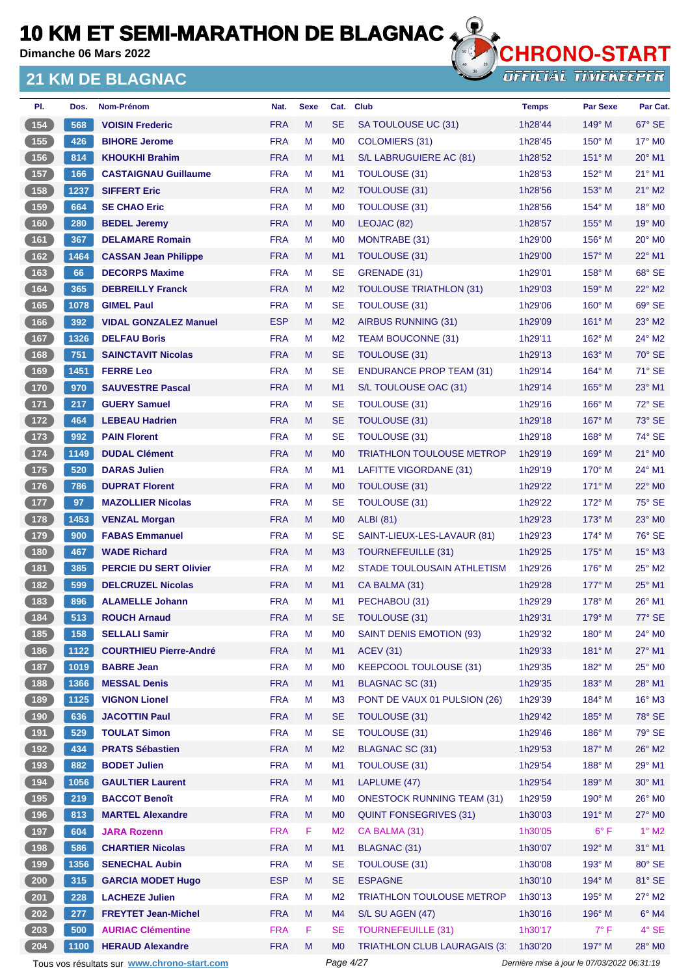**Dimanche 06 Mars 2022**

### **21 KM DE BLAGNAC**



**OFFICIAL TIMEKEEPER** 

| PI.                                                 | Dos. | Nom-Prénom                    | Nat.       | <b>Sexe</b> | Cat.           | <b>Club</b>                         | <b>Temps</b> | <b>Par Sexe</b> | Par Cat.                  |
|-----------------------------------------------------|------|-------------------------------|------------|-------------|----------------|-------------------------------------|--------------|-----------------|---------------------------|
| 154                                                 | 568  | <b>VOISIN Frederic</b>        | <b>FRA</b> | M           | <b>SE</b>      | SA TOULOUSE UC (31)                 | 1h28'44      | 149° M          | 67° SE                    |
| (155)                                               | 426  | <b>BIHORE Jerome</b>          | <b>FRA</b> | м           | M <sub>0</sub> | COLOMIERS (31)                      | 1h28'45      | $150^\circ$ M   | $17^\circ$ MO             |
| (156)                                               | 814  | <b>KHOUKHI Brahim</b>         | <b>FRA</b> | M           | M1             | S/L LABRUGUIERE AC (81)             | 1h28'52      | 151° M          | $20^\circ$ M1             |
| 157                                                 | 166  | <b>CASTAIGNAU Guillaume</b>   | <b>FRA</b> | M           | M1             | TOULOUSE (31)                       | 1h28'53      | $152^{\circ}$ M | 21° M1                    |
| (158)                                               | 1237 | <b>SIFFERT Eric</b>           | <b>FRA</b> | M           | M <sub>2</sub> | <b>TOULOUSE (31)</b>                | 1h28'56      | $153^\circ$ M   | 21° M2                    |
| (159)                                               | 664  | <b>SE CHAO Eric</b>           | <b>FRA</b> | м           | M <sub>0</sub> | <b>TOULOUSE (31)</b>                | 1h28'56      | 154° M          | 18° MO                    |
| (160)                                               | 280  | <b>BEDEL Jeremy</b>           | <b>FRA</b> | M           | M <sub>0</sub> | LEOJAC (82)                         | 1h28'57      | $155^{\circ}$ M | 19° M <sub>0</sub>        |
| $\boxed{161}$                                       | 367  | <b>DELAMARE Romain</b>        | <b>FRA</b> | M           | M <sub>0</sub> | MONTRABE (31)                       | 1h29'00      | $156^{\circ}$ M | $20^\circ$ M <sub>0</sub> |
| 162                                                 | 1464 | <b>CASSAN Jean Philippe</b>   | <b>FRA</b> | M           | M <sub>1</sub> | <b>TOULOUSE (31)</b>                | 1h29'00      | $157^\circ$ M   | $22^{\circ}$ M1           |
| (163)                                               | 66   | <b>DECORPS Maxime</b>         | <b>FRA</b> | M           | <b>SE</b>      | GRENADE (31)                        | 1h29'01      | 158° M          | 68° SE                    |
| 164                                                 | 365  | <b>DEBREILLY Franck</b>       | <b>FRA</b> | M           | M <sub>2</sub> | <b>TOULOUSE TRIATHLON (31)</b>      | 1h29'03      | $159^\circ$ M   | $22^{\circ}$ M2           |
| (165)                                               | 1078 | <b>GIMEL Paul</b>             | <b>FRA</b> | м           | <b>SE</b>      | TOULOUSE (31)                       | 1h29'06      | $160^\circ$ M   | 69° SE                    |
| (166)                                               | 392  | <b>VIDAL GONZALEZ Manuel</b>  | <b>ESP</b> | M           | M <sub>2</sub> | AIRBUS RUNNING (31)                 | 1h29'09      | $161^\circ$ M   | $23^\circ$ M2             |
| (167)                                               | 1326 | <b>DELFAU Boris</b>           | <b>FRA</b> | M           | M <sub>2</sub> | <b>TEAM BOUCONNE (31)</b>           | 1h29'11      | 162° M          | 24° M2                    |
| $\boxed{168}$                                       | 751  | <b>SAINCTAVIT Nicolas</b>     | <b>FRA</b> | M           | <b>SE</b>      | TOULOUSE (31)                       | 1h29'13      | $163^\circ$ M   | 70° SE                    |
| 169                                                 | 1451 | <b>FERRE Leo</b>              | <b>FRA</b> | M           | <b>SE</b>      | <b>ENDURANCE PROP TEAM (31)</b>     | 1h29'14      | $164^\circ$ M   | 71° SE                    |
| (170)                                               | 970  | <b>SAUVESTRE Pascal</b>       | <b>FRA</b> | M           | M1             | S/L TOULOUSE OAC (31)               | 1h29'14      | $165^\circ$ M   | $23^\circ$ M1             |
| (171)                                               | 217  | <b>GUERY Samuel</b>           | <b>FRA</b> | M           | <b>SE</b>      | <b>TOULOUSE (31)</b>                | 1h29'16      | $166^\circ$ M   | 72° SE                    |
| (172)                                               | 464  | <b>LEBEAU Hadrien</b>         | <b>FRA</b> | M           | <b>SE</b>      | <b>TOULOUSE (31)</b>                | 1h29'18      | $167^\circ$ M   | 73° SE                    |
| $\overline{173}$                                    | 992  | <b>PAIN Florent</b>           | <b>FRA</b> | м           | <b>SE</b>      | <b>TOULOUSE (31)</b>                | 1h29'18      | $168^\circ$ M   | 74° SE                    |
| (174)                                               | 1149 | <b>DUDAL Clément</b>          | <b>FRA</b> | M           | M <sub>0</sub> | <b>TRIATHLON TOULOUSE METROP</b>    | 1h29'19      | 169° M          | 21° MO                    |
| $175$                                               | 520  | <b>DARAS Julien</b>           | <b>FRA</b> | М           | M1             | LAFITTE VIGORDANE (31)              | 1h29'19      | $170^\circ$ M   | 24° M1                    |
| (176)                                               | 786  | <b>DUPRAT Florent</b>         | <b>FRA</b> | M           | M <sub>0</sub> | TOULOUSE (31)                       | 1h29'22      | $171^\circ$ M   | 22° MO                    |
| $\begin{array}{c} \hline 177 \end{array}$           | 97   | <b>MAZOLLIER Nicolas</b>      | <b>FRA</b> | м           | <b>SE</b>      | <b>TOULOUSE (31)</b>                | 1h29'22      | $172^\circ$ M   | $75^\circ$ SE             |
| (178)                                               | 1453 | <b>VENZAL Morgan</b>          | <b>FRA</b> | M           | M <sub>0</sub> | <b>ALBI</b> (81)                    | 1h29'23      | $173^\circ$ M   | 23° MO                    |
| $179$                                               | 900  | <b>FABAS Emmanuel</b>         | <b>FRA</b> | M           | <b>SE</b>      | SAINT-LIEUX-LES-LAVAUR (81)         | 1h29'23      | $174^\circ$ M   | 76° SE                    |
| (180)                                               | 467  | <b>WADE Richard</b>           | <b>FRA</b> | M           | M <sub>3</sub> | <b>TOURNEFEUILLE (31)</b>           | 1h29'25      | $175^\circ$ M   | 15° M3                    |
| (181)                                               | 385  | <b>PERCIE DU SERT Olivier</b> | <b>FRA</b> | м           | M <sub>2</sub> | STADE TOULOUSAIN ATHLETISM          | 1h29'26      | $176^\circ$ M   | 25° M2                    |
| (182)                                               | 599  | <b>DELCRUZEL Nicolas</b>      | <b>FRA</b> | M           | M1             | CA BALMA (31)                       | 1h29'28      | $177^\circ$ M   | 25° M1                    |
| 183                                                 | 896  | <b>ALAMELLE Johann</b>        | <b>FRA</b> | M           | M1             | PECHABOU (31)                       | 1h29'29      | $178^\circ$ M   | 26° M1                    |
| (184)                                               | 513  | <b>ROUCH Arnaud</b>           | <b>FRA</b> | M           | <b>SE</b>      | <b>TOULOUSE (31)</b>                | 1h29'31      | 179° M          | 77° SE                    |
| $\begin{array}{c} \hline 185 \\ \hline \end{array}$ | 158  | <b>SELLALI Samir</b>          | <b>FRA</b> | M           | M <sub>0</sub> | SAINT DENIS EMOTION (93)            | 1h29'32      | 180° M          | 24° M0                    |
| 186                                                 | 1122 | <b>COURTHIEU Pierre-André</b> | <b>FRA</b> | M           | M <sub>1</sub> | <b>ACEV (31)</b>                    | 1h29'33      | 181° M          | 27° M1                    |
| $\begin{array}{c} \n \textbf{187} \\ \end{array}$   | 1019 | <b>BABRE Jean</b>             | <b>FRA</b> | M           | M <sub>0</sub> | KEEPCOOL TOULOUSE (31)              | 1h29'35      | 182° M          | 25° MO                    |
| (188)                                               | 1366 | <b>MESSAL Denis</b>           | <b>FRA</b> | M           | M1             | BLAGNAC SC (31)                     | 1h29'35      | 183° M          | 28° M1                    |
| $\begin{array}{c} \n \textbf{189} \\ \end{array}$   | 1125 | <b>VIGNON Lionel</b>          | <b>FRA</b> | M           | M <sub>3</sub> | PONT DE VAUX 01 PULSION (26)        | 1h29'39      | 184° M          | 16° M3                    |
| (190)                                               | 636  | <b>JACOTTIN Paul</b>          | <b>FRA</b> | M           | <b>SE</b>      | TOULOUSE (31)                       | 1h29'42      | 185° M          | 78° SE                    |
| (191)                                               | 529  | <b>TOULAT Simon</b>           | <b>FRA</b> | M           | <b>SE</b>      | <b>TOULOUSE (31)</b>                | 1h29'46      | 186° M          | 79° SE                    |
| (192)                                               | 434  | <b>PRATS Sébastien</b>        | <b>FRA</b> | M           | M <sub>2</sub> | BLAGNAC SC (31)                     | 1h29'53      | 187° M          | 26° M2                    |
| (193)                                               | 882  | <b>BODET Julien</b>           | <b>FRA</b> | M           | M1             | <b>TOULOUSE (31)</b>                | 1h29'54      | 188° M          | 29° M1                    |
| (194)                                               | 1056 | <b>GAULTIER Laurent</b>       | <b>FRA</b> | M           | M <sub>1</sub> | LAPLUME (47)                        | 1h29'54      | 189° M          | 30° M1                    |
| $(195)$                                             | 219  | <b>BACCOT Benoît</b>          | <b>FRA</b> | M           | M <sub>0</sub> | <b>ONESTOCK RUNNING TEAM (31)</b>   | 1h29'59      | 190° M          | 26° MO                    |
| (196)                                               | 813  | <b>MARTEL Alexandre</b>       | <b>FRA</b> | M           | M <sub>0</sub> | <b>QUINT FONSEGRIVES (31)</b>       | 1h30'03      | 191° M          | 27° M0                    |
| $197$                                               | 604  | <b>JARA Rozenn</b>            | <b>FRA</b> | F           | M <sub>2</sub> | CA BALMA (31)                       | 1h30'05      | $6^{\circ}$ F   | $1^\circ$ M2              |
| (198)                                               | 586  | <b>CHARTIER Nicolas</b>       | <b>FRA</b> | M           | M1             | <b>BLAGNAC (31)</b>                 | 1h30'07      | 192° M          | 31° M1                    |
| $\begin{array}{c} \hline 199 \end{array}$           | 1356 | <b>SENECHAL Aubin</b>         | <b>FRA</b> | M           | <b>SE</b>      | <b>TOULOUSE (31)</b>                | 1h30'08      | 193° M          | 80° SE                    |
| $\frac{200}{ }$                                     | 315  | <b>GARCIA MODET Hugo</b>      | <b>ESP</b> | M           | <b>SE</b>      | <b>ESPAGNE</b>                      | 1h30'10      | 194° M          | 81° SE                    |
| 201                                                 | 228  | <b>LACHEZE Julien</b>         | <b>FRA</b> | M           | M <sub>2</sub> | <b>TRIATHLON TOULOUSE METROP</b>    | 1h30'13      | 195° M          | 27° M2                    |
| $\left(202\right)$                                  | 277  | <b>FREYTET Jean-Michel</b>    | <b>FRA</b> | M           | M4             | S/L SU AGEN (47)                    | 1h30'16      | 196° M          | $6^\circ$ M4              |
| 203                                                 | 500  | <b>AURIAC Clémentine</b>      | <b>FRA</b> | F           | <b>SE</b>      | <b>TOURNEFEUILLE (31)</b>           | 1h30'17      | $7^\circ$ F     | $4^\circ$ SE              |
| 204                                                 | 1100 | <b>HERAUD Alexandre</b>       | <b>FRA</b> | M           | M <sub>0</sub> | <b>TRIATHLON CLUB LAURAGAIS (3)</b> | 1h30'20      | 197° M          | 28° MO                    |

Tous vos résultats sur **[www.chrono-start.com](https://www.chrono-start.com/)** Page 4/27 Page 4/27 Dernière mise à jour le 07/03/2022 06:31:19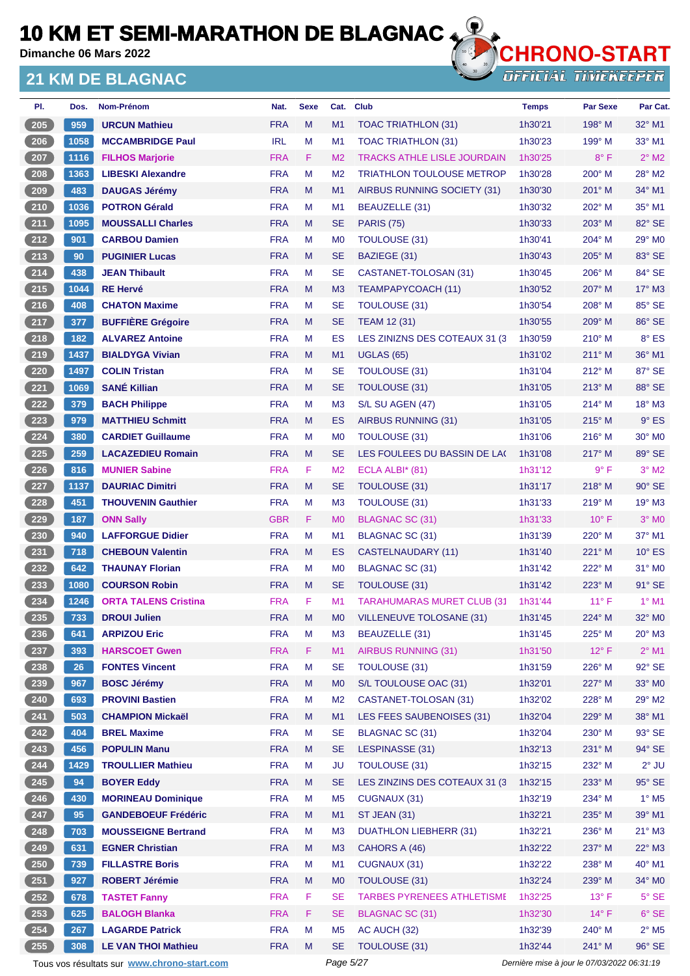**Dimanche 06 Mars 2022**

### **21 KM DE BLAGNAC**



| PI.                 | Dos. | <b>Nom-Prénom</b>                           | Nat.       | <b>Sexe</b> | Cat.           | <b>Club</b>                        | <b>Temps</b> | <b>Par Sexe</b>                             | Par Cat.                   |
|---------------------|------|---------------------------------------------|------------|-------------|----------------|------------------------------------|--------------|---------------------------------------------|----------------------------|
| 205                 | 959  | <b>URCUN Mathieu</b>                        | <b>FRA</b> | M           | M1             | TOAC TRIATHLON (31)                | 1h30'21      | 198° M                                      | $32^{\circ}$ M1            |
| $206$               | 1058 | <b>MCCAMBRIDGE Paul</b>                     | <b>IRL</b> | M           | M <sub>1</sub> | TOAC TRIATHLON (31)                | 1h30'23      | 199° M                                      | $33^\circ$ M1              |
| 207                 | 1116 | <b>FILHOS Marjorie</b>                      | <b>FRA</b> | F           | M <sub>2</sub> | <b>TRACKS ATHLE LISLE JOURDAIN</b> | 1h30'25      | $8^{\circ}$ F                               | $2^{\circ}$ M2             |
| 208                 | 1363 | <b>LIBESKI Alexandre</b>                    | <b>FRA</b> | M           | M <sub>2</sub> | <b>TRIATHLON TOULOUSE METROP</b>   | 1h30'28      | $200^\circ$ M                               | 28° M2                     |
| $\frac{209}{200}$   | 483  | <b>DAUGAS Jérémy</b>                        | <b>FRA</b> | M           | M <sub>1</sub> | AIRBUS RUNNING SOCIETY (31)        | 1h30'30      | $201^\circ$ M                               | 34° M1                     |
| $210$               | 1036 | <b>POTRON Gérald</b>                        | <b>FRA</b> | м           | M1             | BEAUZELLE (31)                     | 1h30'32      | 202° M                                      | 35° M1                     |
| 211                 | 1095 | <b>MOUSSALLI Charles</b>                    | <b>FRA</b> | M           | <b>SE</b>      | <b>PARIS (75)</b>                  | 1h30'33      | $203^\circ$ M                               | 82° SE                     |
| $212$               | 901  | <b>CARBOU Damien</b>                        | <b>FRA</b> | м           | M <sub>0</sub> | <b>TOULOUSE (31)</b>               | 1h30'41      | 204° M                                      | $29^\circ$ MO              |
| 213                 | 90   | <b>PUGINIER Lucas</b>                       | <b>FRA</b> | M           | <b>SE</b>      | BAZIEGE (31)                       | 1h30'43      | 205° M                                      | 83° SE                     |
| $214$               | 438  | <b>JEAN Thibault</b>                        | <b>FRA</b> | M           | <b>SE</b>      | CASTANET-TOLOSAN (31)              | 1h30'45      | $206^\circ$ M                               | 84° SE                     |
| $215$               | 1044 | <b>RE Hervé</b>                             | <b>FRA</b> | M           | M <sub>3</sub> | TEAMPAPYCOACH (11)                 | 1h30'52      | 207° M                                      | $17^\circ$ M3              |
| $216$               | 408  | <b>CHATON Maxime</b>                        | <b>FRA</b> | M           | <b>SE</b>      | TOULOUSE (31)                      | 1h30'54      | 208° M                                      | 85° SE                     |
| 217                 | 377  | <b>BUFFIÈRE Grégoire</b>                    | <b>FRA</b> | M           | <b>SE</b>      | <b>TEAM 12 (31)</b>                | 1h30'55      | $209^\circ$ M                               | 86° SE                     |
| $218$               | 182  | <b>ALVAREZ Antoine</b>                      | <b>FRA</b> | M           | ES             | LES ZINIZNS DES COTEAUX 31 (3)     | 1h30'59      | 210° M                                      | $8^\circ$ ES               |
| 219                 | 1437 | <b>BIALDYGA Vivian</b>                      | <b>FRA</b> | M           | M1             | <b>UGLAS (65)</b>                  | 1h31'02      | $211^\circ$ M                               | 36° M1                     |
| $220$               | 1497 | <b>COLIN Tristan</b>                        | <b>FRA</b> | M           | <b>SE</b>      | TOULOUSE (31)                      | 1h31'04      | 212° M                                      | 87° SE                     |
| 221                 | 1069 | <b>SANÉ Killian</b>                         | <b>FRA</b> | M           | <b>SE</b>      | <b>TOULOUSE (31)</b>               | 1h31'05      | $213^\circ$ M                               | 88° SE                     |
| 222                 | 379  | <b>BACH Philippe</b>                        | <b>FRA</b> | М           | M <sub>3</sub> | S/L SU AGEN (47)                   | 1h31'05      | $214^\circ$ M                               | $18^\circ$ M3              |
| 223                 | 979  | <b>MATTHIEU Schmitt</b>                     | <b>FRA</b> | M           | ES             | AIRBUS RUNNING (31)                | 1h31'05      | $215^\circ$ M                               | $9°$ ES                    |
| 224                 | 380  | <b>CARDIET Guillaume</b>                    | <b>FRA</b> | м           | M <sub>0</sub> | <b>TOULOUSE (31)</b>               | 1h31'06      | $216^{\circ}$ M                             | 30° MO                     |
| 225                 | 259  | <b>LACAZEDIEU Romain</b>                    | <b>FRA</b> | M           | <b>SE</b>      | LES FOULEES DU BASSIN DE LAC       | 1h31'08      | $217^\circ$ M                               | 89° SE                     |
| $226$               | 816  | <b>MUNIER Sabine</b>                        | <b>FRA</b> | F           | M <sub>2</sub> | ECLA ALBI $*$ (81)                 | 1h31'12      | $9^{\circ}$ F                               | $3°$ M2                    |
| 227                 | 1137 | <b>DAURIAC Dimitri</b>                      | <b>FRA</b> | M           | <b>SE</b>      | TOULOUSE (31)                      | 1h31'17      | $218^\circ$ M                               | 90° SE                     |
| $228$               | 451  | <b>THOUVENIN Gauthier</b>                   | <b>FRA</b> | M           | M <sub>3</sub> | <b>TOULOUSE (31)</b>               | 1h31'33      | $219°$ M                                    | $19^\circ$ M3              |
| 229                 | 187  |                                             | <b>GBR</b> | F           | M <sub>0</sub> | <b>BLAGNAC SC (31)</b>             | 1h31'33      | $10^{\circ}$ F                              | $3°$ MO                    |
| 230                 | 940  | <b>ONN Sally</b><br><b>LAFFORGUE Didier</b> | <b>FRA</b> | м           | M <sub>1</sub> |                                    | 1h31'39      | 220° M                                      | 37° M1                     |
|                     |      |                                             | <b>FRA</b> | M           |                | BLAGNAC SC (31)                    | 1h31'40      |                                             |                            |
| $231$               | 718  | <b>CHEBOUN Valentin</b>                     |            |             | ES             | CASTELNAUDARY (11)                 |              | 221° M                                      | $10^{\circ}$ ES            |
| $\boxed{232}$       | 642  | <b>THAUNAY Florian</b>                      | <b>FRA</b> | м           | M <sub>0</sub> | BLAGNAC SC (31)                    | 1h31'42      | 222° M                                      | $31^\circ$ MO              |
| $\left(233\right)$  | 1080 | <b>COURSON Robin</b>                        | <b>FRA</b> | M           | <b>SE</b>      | TOULOUSE (31)                      | 1h31'42      | 223° M                                      | $91^\circ$ SE              |
| 234                 | 1246 | <b>ORTA TALENS Cristina</b>                 | <b>FRA</b> | F           | M <sub>1</sub> | <b>TARAHUMARAS MURET CLUB (31)</b> | 1h31'44      | $11^{\circ}$ F                              | $1^{\circ}$ M1             |
| (235)               | 733  | <b>DROUI Julien</b>                         | <b>FRA</b> | M           | M <sub>0</sub> | <b>VILLENEUVE TOLOSANE (31)</b>    | 1h31'45      | 224° M                                      | 32° MO                     |
| $\left(236\right)$  | 641  | <b>ARPIZOU Eric</b>                         | <b>FRA</b> | M           | M <sub>3</sub> | BEAUZELLE (31)                     | 1h31'45      | 225° M                                      | $20^\circ$ M3              |
| $237$               | 393  | <b>HARSCOET Gwen</b>                        | <b>FRA</b> | F           | M1             | <b>AIRBUS RUNNING (31)</b>         | 1h31'50      | $12^{\circ}$ F                              | $2^{\circ}$ M1             |
| 238                 | 26   | <b>FONTES Vincent</b>                       | <b>FRA</b> | M           | <b>SE</b>      | <b>TOULOUSE (31)</b>               | 1h31'59      | 226° M                                      | 92° SE                     |
| 239                 | 967  | <b>BOSC Jérémy</b>                          | <b>FRA</b> | M           | M <sub>0</sub> | S/L TOULOUSE OAC (31)              | 1h32'01      | 227° M                                      | 33° MO                     |
| 240                 | 693  | <b>PROVINI Bastien</b>                      | <b>FRA</b> | М           | M <sub>2</sub> | CASTANET-TOLOSAN (31)              | 1h32'02      | 228° M                                      | 29° M2                     |
| $\left( 241\right)$ | 503  | <b>CHAMPION Mickaël</b>                     | <b>FRA</b> | M           | M1             | LES FEES SAUBENOISES (31)          | 1h32'04      | 229° M                                      | 38° M1                     |
| $242$               | 404  | <b>BREL Maxime</b>                          | <b>FRA</b> | M           | <b>SE</b>      | BLAGNAC SC (31)                    | 1h32'04      | 230° M                                      | 93° SE                     |
| $243$               | 456  | <b>POPULIN Manu</b>                         | <b>FRA</b> | M           | <b>SE</b>      | LESPINASSE (31)                    | 1h32'13      | 231° M                                      | 94° SE                     |
| 244                 | 1429 | <b>TROULLIER Mathieu</b>                    | <b>FRA</b> | M           | <b>JU</b>      | TOULOUSE (31)                      | 1h32'15      | 232° M                                      | $2^{\circ}$ JU             |
| $\frac{245}{2}$     | 94   | <b>BOYER Eddy</b>                           | <b>FRA</b> | M           | <b>SE</b>      | LES ZINZINS DES COTEAUX 31 (3)     | 1h32'15      | $233^\circ$ M                               | 95° SE                     |
| $246$               | 430  | <b>MORINEAU Dominique</b>                   | <b>FRA</b> | М           | M <sub>5</sub> | CUGNAUX (31)                       | 1h32'19      | 234° M                                      | $1^\circ$ M <sub>5</sub>   |
| 247                 | 95   | <b>GANDEBOEUF Frédéric</b>                  | <b>FRA</b> | M           | M1             | <b>ST JEAN (31)</b>                | 1h32'21      | 235° M                                      | 39° M1                     |
| $248$               | 703  | <b>MOUSSEIGNE Bertrand</b>                  | <b>FRA</b> | M           | M <sub>3</sub> | <b>DUATHLON LIEBHERR (31)</b>      | 1h32'21      | 236° M                                      | $21^\circ$ M3              |
| 249                 | 631  | <b>EGNER Christian</b>                      | <b>FRA</b> | M           | M <sub>3</sub> | CAHORS A (46)                      | 1h32'22      | 237° M                                      | 22° M3                     |
| $250$               | 739  | <b>FILLASTRE Boris</b>                      | <b>FRA</b> | М           | M <sub>1</sub> | CUGNAUX (31)                       | 1h32'22      | 238° M                                      | 40° M1                     |
| 251                 | 927  | <b>ROBERT Jérémie</b>                       | <b>FRA</b> | M           | M <sub>0</sub> | <b>TOULOUSE (31)</b>               | 1h32'24      | 239° M                                      | 34° MO                     |
| 252                 | 678  | <b>TASTET Fanny</b>                         | <b>FRA</b> | F           | <b>SE</b>      | <b>TARBES PYRENEES ATHLETISME</b>  | 1h32'25      | $13^{\circ}$ F                              | $5^\circ$ SE               |
| $\left( 253\right)$ | 625  | <b>BALOGH Blanka</b>                        | <b>FRA</b> | F.          | <b>SE</b>      | <b>BLAGNAC SC (31)</b>             | 1h32'30      | $14^{\circ}$ F                              | $6°$ SE                    |
| 254                 | 267  | <b>LAGARDE Patrick</b>                      | <b>FRA</b> | М           | M <sub>5</sub> | AC AUCH (32)                       | 1h32'39      | 240° M                                      | $2^{\circ}$ M <sub>5</sub> |
| $255$               | 308  | <b>LE VAN THOI Mathieu</b>                  | <b>FRA</b> | M           | <b>SE</b>      | TOULOUSE (31)                      | 1h32'44      | 241° M                                      | 96° SE                     |
|                     |      | Tous vos résultats sur www.chrono-start.com |            |             | Page 5/27      |                                    |              | Dernière mise à jour le 07/03/2022 06:31:19 |                            |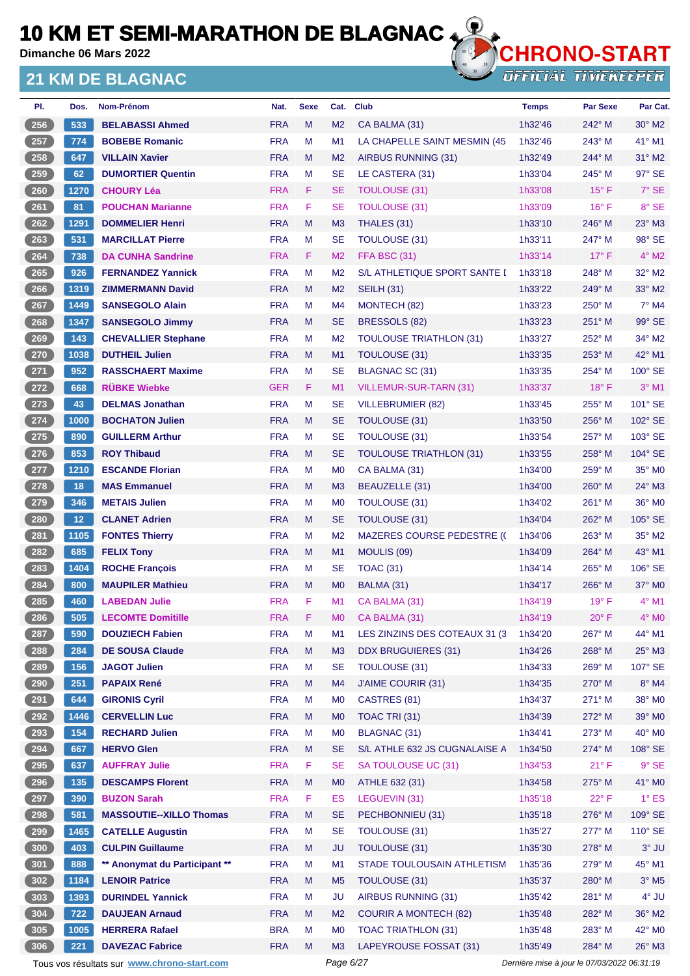**Dimanche 06 Mars 2022**

### **21 KM DE BLAGNAC**



| PI.   | Dos.            | Nom-Prénom                     | Nat.       | <b>Sexe</b> | Cat.           | <b>Club</b>                       | <b>Temps</b> | <b>Par Sexe</b> | Par Cat.            |
|-------|-----------------|--------------------------------|------------|-------------|----------------|-----------------------------------|--------------|-----------------|---------------------|
| 256   | 533             | <b>BELABASSI Ahmed</b>         | <b>FRA</b> | M           | M <sub>2</sub> | CA BALMA (31)                     | 1h32'46      | $242^\circ$ M   | $30^\circ$ M2       |
| 257   | 774             | <b>BOBEBE Romanic</b>          | <b>FRA</b> | М           | M1             | LA CHAPELLE SAINT MESMIN (45      | 1h32'46      | 243° M          | 41° M1              |
| 258   | 647             | <b>VILLAIN Xavier</b>          | <b>FRA</b> | M           | M <sub>2</sub> | AIRBUS RUNNING (31)               | 1h32'49      | 244° M          | $31^\circ$ M2       |
| 259   | 62              | <b>DUMORTIER Quentin</b>       | <b>FRA</b> | M           | <b>SE</b>      | LE CASTERA (31)                   | 1h33'04      | $245^\circ$ M   | 97° SE              |
| 260   | 1270            | <b>CHOURY Léa</b>              | <b>FRA</b> | F           | <b>SE</b>      | <b>TOULOUSE (31)</b>              | 1h33'08      | $15^{\circ}$ F  | 7° SE               |
| 261   | 81              | <b>POUCHAN Marianne</b>        | <b>FRA</b> | F.          | <b>SE</b>      | <b>TOULOUSE (31)</b>              | 1h33'09      | $16^{\circ}$ F  | 8° SE               |
| 262   | 1291            | <b>DOMMELIER Henri</b>         | <b>FRA</b> | M           | M <sub>3</sub> | THALES (31)                       | 1h33'10      | 246° M          | 23° M3              |
| 263   | 531             | <b>MARCILLAT Pierre</b>        | <b>FRA</b> | М           | <b>SE</b>      | <b>TOULOUSE (31)</b>              | 1h33'11      | 247° M          | 98° SE              |
| 264   | 738             | <b>DA CUNHA Sandrine</b>       | <b>FRA</b> | F.          | M <sub>2</sub> | <b>FFA BSC (31)</b>               | 1h33'14      | $17^{\circ}$ F  | $4^\circ$ M2        |
| 265   | 926             | <b>FERNANDEZ Yannick</b>       | <b>FRA</b> | M           | M <sub>2</sub> | S/L ATHLETIQUE SPORT SANTE I      | 1h33'18      | 248° M          | $32^\circ$ M2       |
| 266   | 1319            | <b>ZIMMERMANN David</b>        | <b>FRA</b> | M           | M <sub>2</sub> | <b>SEILH (31)</b>                 | 1h33'22      | $249^\circ$ M   | 33° M2              |
| 267   | 1449            | <b>SANSEGOLO Alain</b>         | <b>FRA</b> | М           | M <sub>4</sub> | MONTECH (82)                      | 1h33'23      | $250^\circ$ M   | $7^\circ$ M4        |
| 268   | 1347            | <b>SANSEGOLO Jimmy</b>         | <b>FRA</b> | M           | <b>SE</b>      | BRESSOLS (82)                     | 1h33'23      | $251^\circ$ M   | 99° SE              |
| 269   | 143             | <b>CHEVALLIER Stephane</b>     | <b>FRA</b> | М           | M <sub>2</sub> | <b>TOULOUSE TRIATHLON (31)</b>    | 1h33'27      | 252° M          | $34^\circ$ M2       |
| 270   | 1038            | <b>DUTHEIL Julien</b>          | <b>FRA</b> | M           | M <sub>1</sub> | <b>TOULOUSE (31)</b>              | 1h33'35      | $253^\circ$ M   | 42° M1              |
| $271$ | 952             | <b>RASSCHAERT Maxime</b>       | <b>FRA</b> | М           | <b>SE</b>      | <b>BLAGNAC SC (31)</b>            | 1h33'35      | $254^{\circ}$ M | 100° SE             |
| 272   | 668             | <b>RÜBKE Wiebke</b>            | <b>GER</b> | F.          | M1             | VILLEMUR-SUR-TARN (31)            | 1h33'37      | $18^{\circ}$ F  | $3°$ M1             |
| 273   | 43              | <b>DELMAS Jonathan</b>         | <b>FRA</b> | M           | <b>SE</b>      | <b>VILLEBRUMIER (82)</b>          | 1h33'45      | $255^{\circ}$ M | 101° SE             |
| $274$ | 1000            | <b>BOCHATON Julien</b>         | <b>FRA</b> | M           | <b>SE</b>      | <b>TOULOUSE (31)</b>              | 1h33'50      | $256^\circ$ M   | 102° SE             |
| $275$ | 890             | <b>GUILLERM Arthur</b>         | <b>FRA</b> | М           | <b>SE</b>      | <b>TOULOUSE (31)</b>              | 1h33'54      | $257^\circ$ M   | 103° SE             |
| 276   | 853             | <b>ROY Thibaud</b>             | <b>FRA</b> | M           | <b>SE</b>      | <b>TOULOUSE TRIATHLON (31)</b>    | 1h33'55      | $258^\circ$ M   | 104° SE             |
| 277   | 1210            | <b>ESCANDE Florian</b>         | <b>FRA</b> | M           | M <sub>0</sub> | CA BALMA (31)                     | 1h34'00      | $259^\circ$ M   | 35° MO              |
| 278   | 18              | <b>MAS Emmanuel</b>            | <b>FRA</b> | M           | M <sub>3</sub> | <b>BEAUZELLE (31)</b>             | 1h34'00      | $260^\circ$ M   | $24^\circ$ M3       |
| 279   | 346             | <b>METAIS Julien</b>           | <b>FRA</b> | М           | M <sub>0</sub> | <b>TOULOUSE (31)</b>              | 1h34'02      | $261^\circ$ M   | 36° MO              |
| 280   | 12 <sub>2</sub> | <b>CLANET Adrien</b>           | <b>FRA</b> | M           | <b>SE</b>      | TOULOUSE (31)                     | 1h34'04      | $262^\circ$ M   | $105^\circ$ SE      |
| 281   | 1105            | <b>FONTES Thierry</b>          | <b>FRA</b> | М           | M <sub>2</sub> | <b>MAZERES COURSE PEDESTRE (C</b> | 1h34'06      | $263^\circ$ M   | 35° M2              |
| 282   | 685             | <b>FELIX Tony</b>              | <b>FRA</b> | M           | M1             | MOULIS (09)                       | 1h34'09      | $264^\circ$ M   | 43° M1              |
| 283   | 1404            | <b>ROCHE François</b>          | <b>FRA</b> | М           | <b>SE</b>      | <b>TOAC (31)</b>                  | 1h34'14      | $265^\circ$ M   | 106° SE             |
| 284   | 800             | <b>MAUPILER Mathieu</b>        | <b>FRA</b> | M           | M <sub>0</sub> | BALMA (31)                        | 1h34'17      | 266° M          | $37^\circ$ MO       |
| 285   | 460             | <b>LABEDAN Julie</b>           | <b>FRA</b> | F           | M1             | CA BALMA (31)                     | 1h34'19      | $19^{\circ}$ F  | $4^\circ$ M1        |
| 286   | 505             | <b>LECOMTE Domitille</b>       | <b>FRA</b> | F           | M <sub>0</sub> | CA BALMA (31)                     | 1h34'19      | $20^{\circ}$ F  | $4^\circ$ MO        |
| 287   | 590             | <b>DOUZIECH Fabien</b>         | <b>FRA</b> | M           | M1             | LES ZINZINS DES COTEAUX 31 (3     | 1h34'20      | 267° M          | 44° M1              |
| 288   | 284             | <b>DE SOUSA Claude</b>         | <b>FRA</b> | ${\sf M}$   | M3             | <b>DDX BRUGUIERES (31)</b>        | 1h34'26      | 268° M          | 25° M3              |
| 289   | 156             | <b>JAGOT Julien</b>            | <b>FRA</b> | М           | <b>SE</b>      | <b>TOULOUSE (31)</b>              | 1h34'33      | $269^\circ$ M   | 107° SE             |
| 290   | 251             | <b>PAPAIX René</b>             | <b>FRA</b> | M           | M4             | J'AIME COURIR (31)                | 1h34'35      | 270° M          | $8^{\circ}$ M4      |
| 291   | 644             | <b>GIRONIS Cyril</b>           | <b>FRA</b> | M           | M <sub>0</sub> | CASTRES (81)                      | 1h34'37      | 271° M          | 38° MO              |
| 292   | 1446            | <b>CERVELLIN Luc</b>           | <b>FRA</b> | M           | M <sub>0</sub> | TOAC TRI (31)                     | 1h34'39      | 272° M          | 39° M0              |
| 293   | 154             | <b>RECHARD Julien</b>          | <b>FRA</b> | M           | M <sub>0</sub> | <b>BLAGNAC (31)</b>               | 1h34'41      | 273° M          | 40° MO              |
| 294   | 667             | <b>HERVO Glen</b>              | <b>FRA</b> | M           | <b>SE</b>      | S/L ATHLE 632 JS CUGNALAISE A     | 1h34'50      | 274° M          | 108° SE             |
| 295   | 637             | <b>AUFFRAY Julie</b>           | <b>FRA</b> | F           | <b>SE</b>      | SA TOULOUSE UC (31)               | 1h34'53      | $21^{\circ}$ F  | $9°$ SE             |
| $296$ | 135             | <b>DESCAMPS Florent</b>        | <b>FRA</b> | M           | M <sub>0</sub> | ATHLE 632 (31)                    | 1h34'58      | 275° M          | 41° MO              |
| 297   | 390             | <b>BUZON Sarah</b>             | <b>FRA</b> | F           | ES             | LEGUEVIN (31)                     | 1h35'18      | $22^{\circ}$ F  | $1^\circ$ ES        |
| 298   | 581             | <b>MASSOUTIE--XILLO Thomas</b> | <b>FRA</b> | M           | <b>SE</b>      | PECHBONNIEU (31)                  | 1h35'18      | 276° M          | 109° SE             |
| 299   | 1465            | <b>CATELLE Augustin</b>        | <b>FRA</b> | M           | <b>SE</b>      | <b>TOULOUSE (31)</b>              | 1h35'27      | 277° M          | 110° SE             |
| 300   | 403             | <b>CULPIN Guillaume</b>        | <b>FRA</b> | M           | <b>JU</b>      | <b>TOULOUSE (31)</b>              | 1h35'30      | $278^\circ$ M   | $3°$ JU             |
| 301   | 888             | ** Anonymat du Participant **  | <b>FRA</b> | M           | M1             | STADE TOULOUSAIN ATHLETISM        | 1h35'36      | 279° M          | 45° M1              |
| 302   | 1184            | <b>LENOIR Patrice</b>          | <b>FRA</b> | M           | M <sub>5</sub> | TOULOUSE (31)                     | 1h35'37      | 280° M          | $3°$ M <sub>5</sub> |
| 303   | 1393            | <b>DURINDEL Yannick</b>        | <b>FRA</b> | M           | <b>JU</b>      | AIRBUS RUNNING (31)               | 1h35'42      | 281° M          | 4° JU               |
| 304   | 722             | <b>DAUJEAN Arnaud</b>          | <b>FRA</b> | M           | M <sub>2</sub> | <b>COURIR A MONTECH (82)</b>      | 1h35'48      | 282° M          | 36° M2              |
| 305   | 1005            | <b>HERRERA Rafael</b>          | <b>BRA</b> | M           | M <sub>0</sub> | <b>TOAC TRIATHLON (31)</b>        | 1h35'48      | 283° M          | 42° M0              |
| 306   | 221             | <b>DAVEZAC Fabrice</b>         | <b>FRA</b> | M           | M <sub>3</sub> | LAPEYROUSE FOSSAT (31)            | 1h35'49      | 284° M          | $26^\circ$ M3       |
|       |                 |                                |            |             |                |                                   |              |                 |                     |

Tous vos résultats sur **[www.chrono-start.com](https://www.chrono-start.com/)** Page 6/27 Page 6/27 Dernière mise à jour le 07/03/2022 06:31:19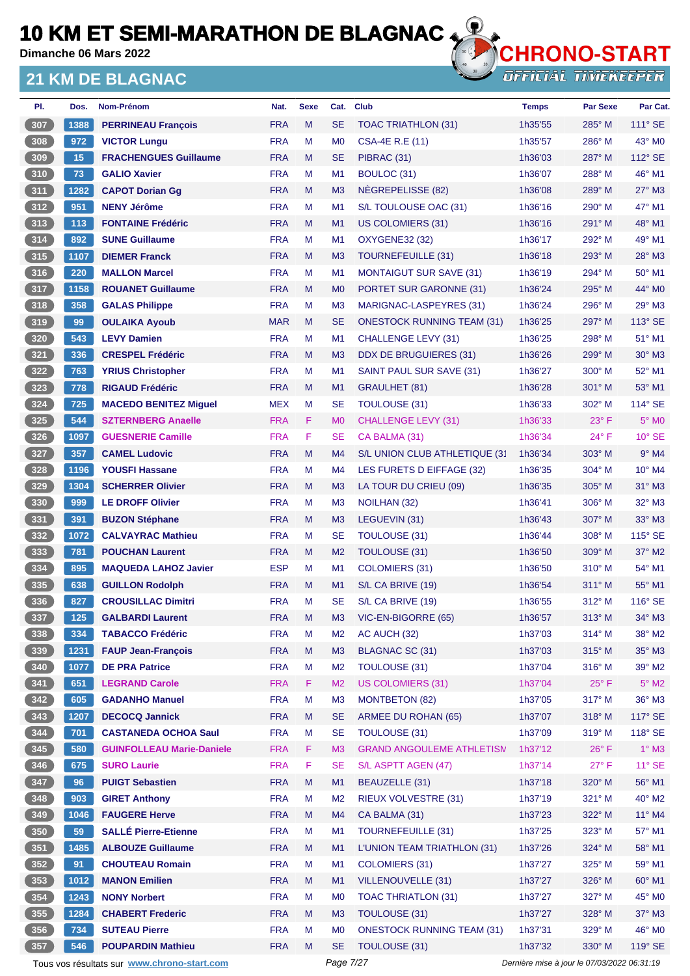**Dimanche 06 Mars 2022**

### **21 KM DE BLAGNAC**



| PI.   | Dos. | Nom-Prénom                                  | Nat.       | <b>Sexe</b> | Cat.           | <b>Club</b>                       | <b>Temps</b>                                | <b>Par Sexe</b> | Par Cat.          |
|-------|------|---------------------------------------------|------------|-------------|----------------|-----------------------------------|---------------------------------------------|-----------------|-------------------|
| 307   | 1388 | <b>PERRINEAU François</b>                   | <b>FRA</b> | M           | <b>SE</b>      | <b>TOAC TRIATHLON (31)</b>        | 1h35'55                                     | $285^\circ$ M   | 111° SE           |
| 308   | 972  | <b>VICTOR Lungu</b>                         | <b>FRA</b> | M           | M <sub>0</sub> | <b>CSA-4E R.E (11)</b>            | 1h35'57                                     | $286^\circ$ M   | 43° MO            |
| 309   | 15   | <b>FRACHENGUES Guillaume</b>                | <b>FRA</b> | M           | <b>SE</b>      | PIBRAC (31)                       | 1h36'03                                     | 287° M          | 112° SE           |
| $310$ | 73   | <b>GALIO Xavier</b>                         | <b>FRA</b> | M           | M <sub>1</sub> | BOULOC (31)                       | 1h36'07                                     | 288° M          | 46° M1            |
| 311   | 1282 | <b>CAPOT Dorian Gg</b>                      | <b>FRA</b> | M           | M <sub>3</sub> | NEGREPELISSE (82)                 | 1h36'08                                     | $289^\circ$ M   | 27° M3            |
| 312   | 951  | <b>NENY Jérôme</b>                          | <b>FRA</b> | M           | M <sub>1</sub> | S/L TOULOUSE OAC (31)             | 1h36'16                                     | $290^\circ$ M   | 47° M1            |
| 313   | 113  | <b>FONTAINE Frédéric</b>                    | <b>FRA</b> | M           | M1             | <b>US COLOMIERS (31)</b>          | 1h36'16                                     | $291^\circ$ M   | 48° M1            |
| 314   | 892  | <b>SUNE Guillaume</b>                       | <b>FRA</b> | M           | M <sub>1</sub> | <b>OXYGENE32 (32)</b>             | 1h36'17                                     | $292^\circ$ M   | 49° M1            |
| 315   | 1107 | <b>DIEMER Franck</b>                        | <b>FRA</b> | M           | M <sub>3</sub> | TOURNEFEUILLE (31)                | 1h36'18                                     | $293^\circ$ M   | 28° M3            |
| 316   | 220  | <b>MALLON Marcel</b>                        | <b>FRA</b> | M           | M <sub>1</sub> | <b>MONTAIGUT SUR SAVE (31)</b>    | 1h36'19                                     | $294^\circ$ M   | 50° M1            |
| 317   | 1158 | <b>ROUANET Guillaume</b>                    | <b>FRA</b> | M           | M <sub>0</sub> | PORTET SUR GARONNE (31)           | 1h36'24                                     | $295^\circ$ M   | 44° MO            |
| 318   | 358  | <b>GALAS Philippe</b>                       | <b>FRA</b> | M           | M <sub>3</sub> | MARIGNAC-LASPEYRES (31)           | 1h36'24                                     | $296^\circ$ M   | 29° M3            |
| 319   | 99   | <b>OULAIKA Ayoub</b>                        | <b>MAR</b> | M           | <b>SE</b>      | <b>ONESTOCK RUNNING TEAM (31)</b> | 1h36'25                                     | $297^\circ$ M   | 113° SE           |
| 320   | 543  | <b>LEVY Damien</b>                          | <b>FRA</b> | M           | M <sub>1</sub> | CHALLENGE LEVY (31)               | 1h36'25                                     | $298^\circ$ M   | $51^\circ$ M1     |
| 321   | 336  | <b>CRESPEL Frédéric</b>                     | <b>FRA</b> | M           | M <sub>3</sub> | DDX DE BRUGUIERES (31)            | 1h36'26                                     | 299° M          | $30^\circ$ M3     |
| 322   | 763  | <b>YRIUS Christopher</b>                    | <b>FRA</b> | M           | M <sub>1</sub> | SAINT PAUL SUR SAVE (31)          | 1h36'27                                     | $300^\circ$ M   | 52° M1            |
| 323   | 778  | <b>RIGAUD Frédéric</b>                      | <b>FRA</b> | M           | M1             | GRAULHET (81)                     | 1h36'28                                     | 301° M          | 53° M1            |
| 324   | 725  | <b>MACEDO BENITEZ Miguel</b>                | <b>MEX</b> | M           | <b>SE</b>      | TOULOUSE (31)                     | 1h36'33                                     | $302^\circ$ M   | 114° SE           |
| 325   | 544  | <b>SZTERNBERG Anaelle</b>                   | <b>FRA</b> | F           | M <sub>0</sub> | <b>CHALLENGE LEVY (31)</b>        | 1h36'33                                     | $23^\circ$ F    | 5° M <sub>0</sub> |
| 326   | 1097 | <b>GUESNERIE Camille</b>                    | <b>FRA</b> | F           | <b>SE</b>      | CA BALMA (31)                     | 1h36'34                                     | 24° F           | $10^{\circ}$ SE   |
| 327   | 357  | <b>CAMEL Ludovic</b>                        | <b>FRA</b> | M           | M4             | S/L UNION CLUB ATHLETIQUE (31     | 1h36'34                                     | $303^\circ$ M   | $9°$ M4           |
|       |      |                                             | <b>FRA</b> | M           |                |                                   |                                             |                 |                   |
| 328   | 1196 | <b>YOUSFI Hassane</b>                       |            |             | M4             | LES FURETS D EIFFAGE (32)         | 1h36'35                                     | $304^\circ$ M   | $10^{\circ}$ M4   |
| 329   | 1304 | <b>SCHERRER Olivier</b>                     | <b>FRA</b> | M           | M <sub>3</sub> | LA TOUR DU CRIEU (09)             | 1h36'35                                     | 305° M          | $31^\circ$ M3     |
| 330   | 999  | <b>LE DROFF Olivier</b>                     | <b>FRA</b> | M           | M <sub>3</sub> | NOILHAN (32)                      | 1h36'41                                     | $306^\circ$ M   | 32° M3            |
| $331$ | 391  | <b>BUZON Stéphane</b>                       | <b>FRA</b> | M           | M <sub>3</sub> | LEGUEVIN (31)                     | 1h36'43                                     | 307° M          | $33^\circ$ M3     |
| 332   | 1072 | <b>CALVAYRAC Mathieu</b>                    | <b>FRA</b> | M           | <b>SE</b>      | <b>TOULOUSE (31)</b>              | 1h36'44                                     | 308° M          | 115° SE           |
| 333   | 781  | <b>POUCHAN Laurent</b>                      | <b>FRA</b> | M           | M <sub>2</sub> | TOULOUSE (31)                     | 1h36'50                                     | $309^\circ$ M   | 37° M2            |
| 334   | 895  | <b>MAQUEDA LAHOZ Javier</b>                 | <b>ESP</b> | M           | M <sub>1</sub> | COLOMIERS (31)                    | 1h36'50                                     | $310^\circ$ M   | 54° M1            |
| 335   | 638  | <b>GUILLON Rodolph</b>                      | <b>FRA</b> | M           | M1             | S/L CA BRIVE (19)                 | 1h36'54                                     | $311^\circ$ M   | 55° M1            |
| 336   | 827  | <b>CROUSILLAC Dimitri</b>                   | <b>FRA</b> | M           | <b>SE</b>      | S/L CA BRIVE (19)                 | 1h36'55                                     | $312^\circ$ M   | 116° SE           |
| 337   | 125  | <b>GALBARDI Laurent</b>                     | <b>FRA</b> | M           | M <sub>3</sub> | VIC-EN-BIGORRE (65)               | 1h36'57                                     | $313^\circ$ M   | $34^\circ$ M3     |
| 338   | 334  | <b>TABACCO Frédéric</b>                     | <b>FRA</b> | M           | M <sub>2</sub> | AC AUCH (32)                      | 1h37'03                                     | 314° M          | 38° M2            |
| 339   | 1231 | <b>FAUP Jean-Francois</b>                   | <b>FRA</b> | M           | M <sub>3</sub> | BLAGNAC SC (31)                   | 1h37'03                                     | 315° M          | 35° M3            |
| 340   | 1077 | <b>DE PRA Patrice</b>                       | <b>FRA</b> | M           | M <sub>2</sub> | TOULOUSE (31)                     | 1h37'04                                     | $316^\circ$ M   | 39° M2            |
| 341   | 651  | <b>LEGRAND Carole</b>                       | <b>FRA</b> | F           | M <sub>2</sub> | <b>US COLOMIERS (31)</b>          | 1h37'04                                     | $25^{\circ}$ F  | $5^\circ$ M2      |
| 342   | 605  | <b>GADANHO Manuel</b>                       | <b>FRA</b> | M           | M <sub>3</sub> | <b>MONTBETON (82)</b>             | 1h37'05                                     | 317° M          | 36° M3            |
| 343   | 1207 | <b>DECOCQ Jannick</b>                       | <b>FRA</b> | M           | <b>SE</b>      | ARMEE DU ROHAN (65)               | 1h37'07                                     | 318° M          | 117° SE           |
| 344   | 701  | <b>CASTANEDA OCHOA Saul</b>                 | <b>FRA</b> | M           | <b>SE</b>      | <b>TOULOUSE (31)</b>              | 1h37'09                                     | 319° M          | 118° SE           |
| 345   | 580  | <b>GUINFOLLEAU Marie-Daniele</b>            | <b>FRA</b> | F           | M <sub>3</sub> | <b>GRAND ANGOULEME ATHLETISM</b>  | 1h37'12                                     | $26^{\circ}$ F  | $1^\circ$ M3      |
| 346   | 675  | <b>SURO Laurie</b>                          | <b>FRA</b> | F           | <b>SE</b>      | S/L ASPTT AGEN (47)               | 1h37'14                                     | $27^\circ$ F    | $11^{\circ}$ SE   |
| 347   | 96   | <b>PUIGT Sebastien</b>                      | <b>FRA</b> | M           | M1             | BEAUZELLE (31)                    | 1h37'18                                     | 320° M          | 56° M1            |
| 348   | 903  | <b>GIRET Anthony</b>                        | <b>FRA</b> | M           | M <sub>2</sub> | <b>RIEUX VOLVESTRE (31)</b>       | 1h37'19                                     | 321° M          | 40° M2            |
| 349   | 1046 | <b>FAUGERE Herve</b>                        | <b>FRA</b> | M           | M4             | CA BALMA (31)                     | 1h37'23                                     | 322° M          | 11° M4            |
| 350   | 59   | <b>SALLÉ Pierre-Etienne</b>                 | <b>FRA</b> | M           | M1             | <b>TOURNEFEUILLE (31)</b>         | 1h37'25                                     | 323° M          | 57° M1            |
| 351   | 1485 | <b>ALBOUZE Guillaume</b>                    | <b>FRA</b> | M           | M1             | L'UNION TEAM TRIATHLON (31)       | 1h37'26                                     | 324° M          | 58° M1            |
| 352   | 91   | <b>CHOUTEAU Romain</b>                      | <b>FRA</b> | M           | M1             | <b>COLOMIERS (31)</b>             | 1h37'27                                     | 325° M          | 59° M1            |
| 353   | 1012 | <b>MANON Emilien</b>                        | <b>FRA</b> | M           | M1             | <b>VILLENOUVELLE (31)</b>         | 1h37'27                                     | 326° M          | 60° M1            |
| 354   | 1243 | <b>NONY Norbert</b>                         | <b>FRA</b> | M           | M <sub>0</sub> | <b>TOAC THRIATLON (31)</b>        | 1h37'27                                     | 327° M          | 45° MO            |
| 355   | 1284 | <b>CHABERT Frederic</b>                     | <b>FRA</b> | M           | M <sub>3</sub> | <b>TOULOUSE (31)</b>              | 1h37'27                                     | 328° M          | 37° M3            |
| 356   | 734  | <b>SUTEAU Pierre</b>                        | <b>FRA</b> | M           | M <sub>0</sub> | <b>ONESTOCK RUNNING TEAM (31)</b> | 1h37'31                                     | 329° M          | 46° MO            |
| 357   | 546  | <b>POUPARDIN Mathieu</b>                    | <b>FRA</b> | M           | <b>SE</b>      | TOULOUSE (31)                     | 1h37'32                                     | 330° M          | 119° SE           |
|       |      | Tous vos résultats sur www.chrono-start.com |            |             | Page 7/27      |                                   | Dernière mise à jour le 07/03/2022 06:31:19 |                 |                   |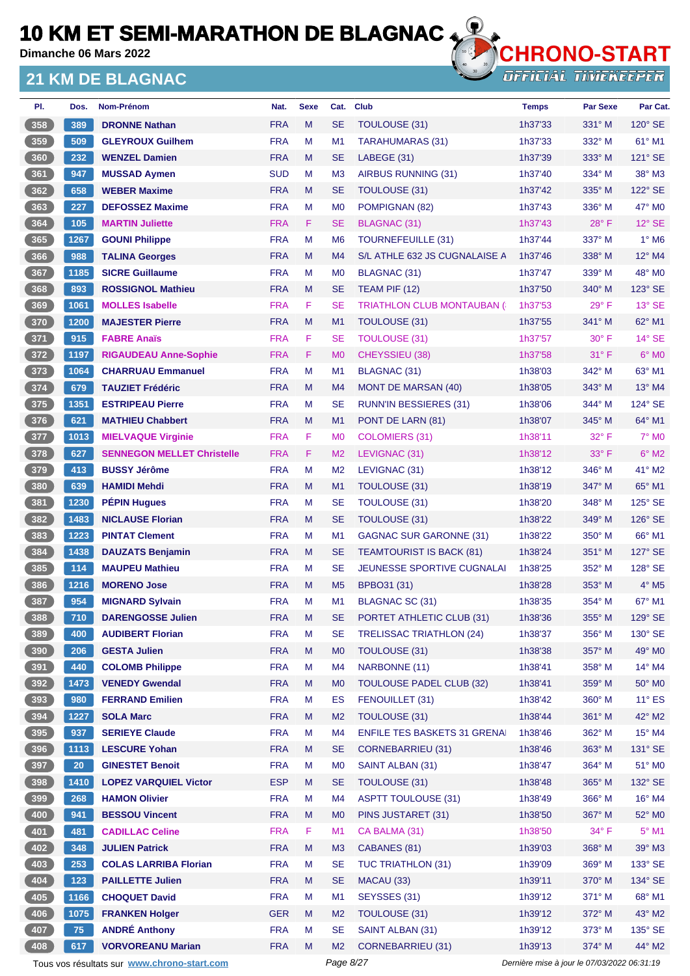**Dimanche 06 Mars 2022**

### **21 KM DE BLAGNAC**



| PI.   | Dos.            | Nom-Prénom                                  | Nat.       | <b>Sexe</b> | Cat.           | <b>Club</b>                         | <b>Temps</b>                                | <b>Par Sexe</b> | Par Cat.                 |
|-------|-----------------|---------------------------------------------|------------|-------------|----------------|-------------------------------------|---------------------------------------------|-----------------|--------------------------|
| 358   | 389             | <b>DRONNE Nathan</b>                        | <b>FRA</b> | M           | <b>SE</b>      | TOULOUSE (31)                       | 1h37'33                                     | $331^\circ$ M   | $120^\circ$ SE           |
| 359   | 509             | <b>GLEYROUX Guilhem</b>                     | <b>FRA</b> | M           | M1             | <b>TARAHUMARAS (31)</b>             | 1h37'33                                     | 332° M          | 61° M1                   |
| 360   | 232             | <b>WENZEL Damien</b>                        | <b>FRA</b> | M           | <b>SE</b>      | LABEGE (31)                         | 1h37'39                                     | 333° M          | $121^\circ$ SE           |
| 361   | 947             | <b>MUSSAD Aymen</b>                         | <b>SUD</b> | M           | M <sub>3</sub> | <b>AIRBUS RUNNING (31)</b>          | 1h37'40                                     | $334^\circ$ M   | 38° M3                   |
| 362   | 658             | <b>WEBER Maxime</b>                         | <b>FRA</b> | M           | <b>SE</b>      | TOULOUSE (31)                       | 1h37'42                                     | 335° M          | 122° SE                  |
| 363   | 227             | <b>DEFOSSEZ Maxime</b>                      | <b>FRA</b> | M           | M <sub>0</sub> | POMPIGNAN (82)                      | 1h37'43                                     | $336^\circ$ M   | 47° MO                   |
| 364   | 105             | <b>MARTIN Juliette</b>                      | <b>FRA</b> | F.          | <b>SE</b>      | <b>BLAGNAC (31)</b>                 | 1h37'43                                     | $28^{\circ}$ F  | $12^{\circ}$ SE          |
| 365   | 1267            | <b>GOUNI Philippe</b>                       | <b>FRA</b> | М           | M <sub>6</sub> | <b>TOURNEFEUILLE (31)</b>           | 1h37'44                                     | 337° M          | $1^\circ$ M6             |
| 366   | 988             | <b>TALINA Georges</b>                       | <b>FRA</b> | M           | M <sub>4</sub> | S/L ATHLE 632 JS CUGNALAISE A       | 1h37'46                                     | 338° M          | 12° M4                   |
| 367   | 1185            | <b>SICRE Guillaume</b>                      | <b>FRA</b> | M           | M <sub>0</sub> | BLAGNAC (31)                        | 1h37'47                                     | $339^\circ$ M   | 48° MO                   |
| 368   | 893             | <b>ROSSIGNOL Mathieu</b>                    | <b>FRA</b> | M           | <b>SE</b>      | TEAM PIF (12)                       | 1h37'50                                     | $340^\circ$ M   | 123° SE                  |
| 369   | 1061            | <b>MOLLES Isabelle</b>                      | <b>FRA</b> | F           | <b>SE</b>      | <b>TRIATHLON CLUB MONTAUBAN (6)</b> | 1h37'53                                     | $29^{\circ}$ F  | $13°$ SE                 |
| 370   | 1200            | <b>MAJESTER Pierre</b>                      | <b>FRA</b> | M           | M <sub>1</sub> | TOULOUSE (31)                       | 1h37'55                                     | $341^\circ$ M   | 62° M1                   |
| $371$ | 915             | <b>FABRE Anaïs</b>                          | <b>FRA</b> | F           | <b>SE</b>      | <b>TOULOUSE (31)</b>                | 1h37'57                                     | $30^\circ$ F    | $14^\circ$ SE            |
| 372   | 1197            | <b>RIGAUDEAU Anne-Sophie</b>                | <b>FRA</b> | F.          | M <sub>0</sub> | CHEYSSIEU (38)                      | 1h37'58                                     | $31^\circ$ F    | $6°$ MO                  |
| $373$ | 1064            | <b>CHARRUAU Emmanuel</b>                    | <b>FRA</b> | M           | M <sub>1</sub> | <b>BLAGNAC (31)</b>                 | 1h38'03                                     | $342^\circ$ M   | 63° M1                   |
| 374   | 679             | <b>TAUZIET Frédéric</b>                     | <b>FRA</b> | M           | M4             | <b>MONT DE MARSAN (40)</b>          | 1h38'05                                     | 343° M          | $13^\circ$ M4            |
| 375   | 1351            | <b>ESTRIPEAU Pierre</b>                     | <b>FRA</b> | М           | <b>SE</b>      | <b>RUNN'IN BESSIERES (31)</b>       | 1h38'06                                     | $344^\circ$ M   | 124° SE                  |
| 376   | 621             | <b>MATHIEU Chabbert</b>                     | <b>FRA</b> | M           | M1             | PONT DE LARN (81)                   | 1h38'07                                     | 345° M          | $64^{\circ}$ M1          |
| 377   | 1013            | <b>MIELVAQUE Virginie</b>                   | <b>FRA</b> | F           | M <sub>0</sub> | <b>COLOMIERS (31)</b>               | 1h38'11                                     | $32^{\circ}$ F  | <b>7° MO</b>             |
| 378   | 627             | <b>SENNEGON MELLET Christelle</b>           | <b>FRA</b> | F           | M <sub>2</sub> | LEVIGNAC (31)                       | 1h38'12                                     | $33^\circ$ F    | $6^\circ$ M2             |
| 379   | 413             | <b>BUSSY Jérôme</b>                         | <b>FRA</b> | M           | M <sub>2</sub> | LEVIGNAC (31)                       | 1h38'12                                     | 346° M          | $41^\circ$ M2            |
| 380   | 639             | <b>HAMIDI Mehdi</b>                         | <b>FRA</b> | M           | M1             | <b>TOULOUSE (31)</b>                | 1h38'19                                     | $347^\circ$ M   | 65° M1                   |
| 381   | 1230            | <b>PÉPIN Hugues</b>                         | <b>FRA</b> | M           | <b>SE</b>      | <b>TOULOUSE (31)</b>                | 1h38'20                                     | $348^\circ$ M   | 125° SE                  |
| 382   | 1483            | <b>NICLAUSE Florian</b>                     | <b>FRA</b> | M           | <b>SE</b>      | <b>TOULOUSE (31)</b>                | 1h38'22                                     | $349^\circ$ M   | $126^\circ$ SE           |
| 383   | 1223            | <b>PINTAT Clement</b>                       | <b>FRA</b> | М           | M <sub>1</sub> | <b>GAGNAC SUR GARONNE (31)</b>      | 1h38'22                                     | $350^\circ$ M   | 66° M1                   |
| 384   | 1438            | <b>DAUZATS Benjamin</b>                     | <b>FRA</b> | M           | <b>SE</b>      | <b>TEAMTOURIST IS BACK (81)</b>     | 1h38'24                                     | 351° M          | 127° SE                  |
| 385   | 114             | <b>MAUPEU Mathieu</b>                       | <b>FRA</b> | М           | <b>SE</b>      | <b>JEUNESSE SPORTIVE CUGNALAI</b>   | 1h38'25                                     | 352° M          | $128^\circ$ SE           |
| 386   | 1216            | <b>MORENO Jose</b>                          | <b>FRA</b> | M           | M <sub>5</sub> | BPBO31 (31)                         | 1h38'28                                     | 353° M          | $4^\circ$ M <sub>5</sub> |
| 387   | 954             | <b>MIGNARD Sylvain</b>                      | <b>FRA</b> | М           | M <sub>1</sub> | BLAGNAC SC (31)                     | 1h38'35                                     | 354° M          | $67^\circ$ M1            |
| 388   | 710             | <b>DARENGOSSE Julien</b>                    | <b>FRA</b> | M           | <b>SE</b>      | PORTET ATHLETIC CLUB (31)           | 1h38'36                                     | 355° M          | 129° SE                  |
| 389   | 400             | <b>AUDIBERT Florian</b>                     | <b>FRA</b> | M           | SE             | <b>TRELISSAC TRIATHLON (24)</b>     | 1h38'37                                     | 356° M          | 130° SE                  |
| 390   | 206             | <b>GESTA Julien</b>                         | <b>FRA</b> | M           | M <sub>0</sub> | TOULOUSE (31)                       | 1h38'38                                     | 357° M          | 49° MO                   |
| $391$ | 440             | <b>COLOMB Philippe</b>                      | <b>FRA</b> | М           | M <sub>4</sub> | NARBONNE (11)                       | 1h38'41                                     | $358^\circ$ M   | $14^{\circ}$ M4          |
| 392   | 1473            | <b>VENEDY Gwendal</b>                       | <b>FRA</b> | M           | M <sub>0</sub> | <b>TOULOUSE PADEL CLUB (32)</b>     | 1h38'41                                     | 359° M          | $50^\circ$ MO            |
| $393$ | 980             | <b>FERRAND Emilien</b>                      | <b>FRA</b> | M           | ES             | FENOUILLET (31)                     | 1h38'42                                     | 360° M          | $11^{\circ}$ ES          |
| 394   | 1227            | <b>SOLA Marc</b>                            | <b>FRA</b> | M           | M <sub>2</sub> | <b>TOULOUSE (31)</b>                | 1h38'44                                     | 361° M          | 42° M2                   |
| $395$ | 937             | <b>SERIEYE Claude</b>                       | <b>FRA</b> | M           | M4             | <b>ENFILE TES BASKETS 31 GRENAI</b> | 1h38'46                                     | 362° M          | $15^{\circ}$ M4          |
| $396$ | 1113            | <b>LESCURE Yohan</b>                        | <b>FRA</b> | M           | <b>SE</b>      | <b>CORNEBARRIEU (31)</b>            | 1h38'46                                     | 363° M          | 131° SE                  |
| 397   | 20 <sub>2</sub> | <b>GINESTET Benoit</b>                      | <b>FRA</b> | M           | M <sub>0</sub> | SAINT ALBAN (31)                    | 1h38'47                                     | $364^\circ$ M   | 51° MO                   |
| 398   | 1410            | <b>LOPEZ VARQUIEL Victor</b>                | <b>ESP</b> | M           | <b>SE</b>      | TOULOUSE (31)                       | 1h38'48                                     | 365° M          | 132° SE                  |
| $399$ | 268             | <b>HAMON Olivier</b>                        | <b>FRA</b> | M           | M4             | <b>ASPTT TOULOUSE (31)</b>          | 1h38'49                                     | 366° M          | 16° M4                   |
| 400   | 941             | <b>BESSOU Vincent</b>                       | <b>FRA</b> | M           | M <sub>0</sub> | PINS JUSTARET (31)                  | 1h38'50                                     | 367° M          | 52° MO                   |
| 401   | 481             | <b>CADILLAC Celine</b>                      | <b>FRA</b> | F           | M1             | CA BALMA (31)                       | 1h38'50                                     | 34° F           | $5^\circ$ M1             |
| 402   | 348             | <b>JULIEN Patrick</b>                       | <b>FRA</b> | M           | M <sub>3</sub> | CABANES (81)                        | 1h39'03                                     | 368° M          | 39° M3                   |
| 403   | 253             | <b>COLAS LARRIBA Florian</b>                | <b>FRA</b> | M           | <b>SE</b>      | <b>TUC TRIATHLON (31)</b>           | 1h39'09                                     | 369° M          | 133° SE                  |
| 404   | 123             | <b>PAILLETTE Julien</b>                     | <b>FRA</b> | Μ           | <b>SE</b>      | MACAU (33)                          | 1h39'11                                     | $370^\circ$ M   | 134° SE                  |
| 405   | 1166            | <b>CHOQUET David</b>                        | <b>FRA</b> | M           | M1             | SEYSSES (31)                        | 1h39'12                                     | 371° M          | 68° M1                   |
| 406   | 1075            | <b>FRANKEN Holger</b>                       | <b>GER</b> | M           | M <sub>2</sub> | <b>TOULOUSE (31)</b>                | 1h39'12                                     | 372° M          | 43° M2                   |
| 407   | 75              | <b>ANDRÉ Anthony</b>                        | <b>FRA</b> | M           | <b>SE</b>      | SAINT ALBAN (31)                    | 1h39'12                                     | 373° M          | 135° SE                  |
| 408   | 617             | <b>VORVOREANU Marian</b>                    | <b>FRA</b> | M           | M <sub>2</sub> | <b>CORNEBARRIEU (31)</b>            | 1h39'13                                     | 374° M          | 44° M2                   |
|       |                 | Tous vos résultats sur www.chrono-start.com |            |             | Page 8/27      |                                     | Dernière mise à jour le 07/03/2022 06:31:19 |                 |                          |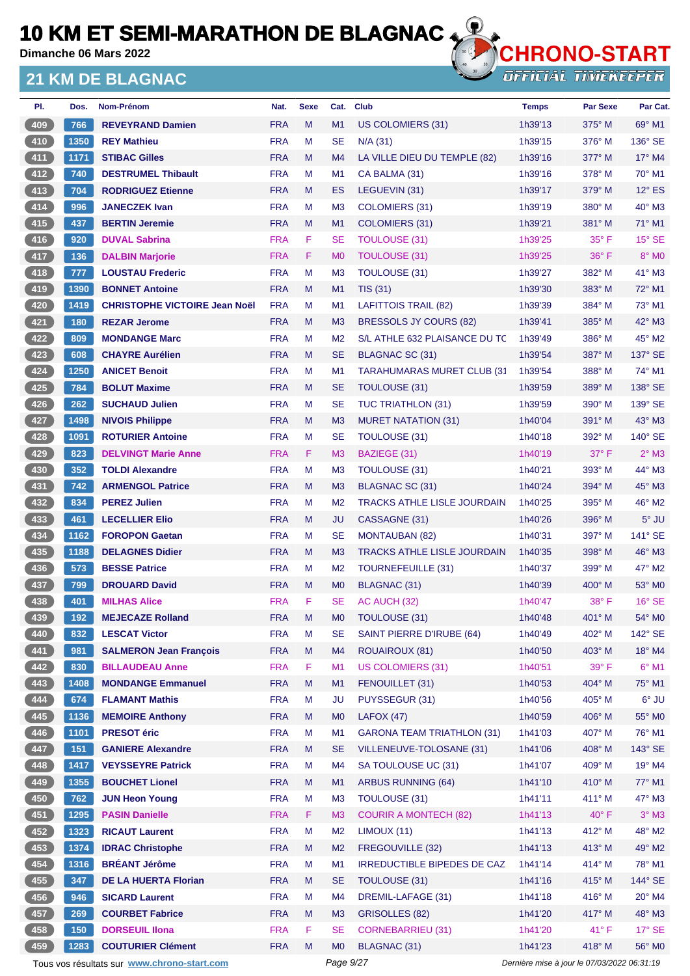**Dimanche 06 Mars 2022**

### **21 KM DE BLAGNAC**



**OFFICIAL TIMEKEEPER** 

| PI.           | Dos. | Nom-Prénom                           | Nat.       | <b>Sexe</b> | Cat.           | <b>Club</b>                        | <b>Temps</b> | <b>Par Sexe</b> | Par Cat.        |
|---------------|------|--------------------------------------|------------|-------------|----------------|------------------------------------|--------------|-----------------|-----------------|
| 409           | 766  | <b>REVEYRAND Damien</b>              | <b>FRA</b> | M           | M <sub>1</sub> | US COLOMIERS (31)                  | 1h39'13      | $375^\circ$ M   | $69^\circ$ M1   |
| $410$         | 1350 | <b>REY Mathieu</b>                   | <b>FRA</b> | M           | <b>SE</b>      | $N/A$ (31)                         | 1h39'15      | $376^\circ$ M   | 136° SE         |
| $411$         | 1171 | <b>STIBAC Gilles</b>                 | <b>FRA</b> | M           | M4             | LA VILLE DIEU DU TEMPLE (82)       | 1h39'16      | $377^\circ$ M   | $17^\circ$ M4   |
| 412           | 740  | <b>DESTRUMEL Thibault</b>            | <b>FRA</b> | М           | M <sub>1</sub> | CA BALMA (31)                      | 1h39'16      | $378^\circ$ M   | $70^\circ$ M1   |
| 413           | 704  | <b>RODRIGUEZ Etienne</b>             | <b>FRA</b> | M           | ES             | LEGUEVIN (31)                      | 1h39'17      | $379^\circ$ M   | $12^{\circ}$ ES |
| $414$         | 996  | <b>JANECZEK Ivan</b>                 | <b>FRA</b> | м           | M <sub>3</sub> | <b>COLOMIERS (31)</b>              | 1h39'19      | $380^\circ$ M   | 40° M3          |
| 415           | 437  | <b>BERTIN Jeremie</b>                | <b>FRA</b> | M           | M1             | COLOMIERS (31)                     | 1h39'21      | 381° M          | $71^\circ$ M1   |
| 416           | 920  | <b>DUVAL Sabrina</b>                 | <b>FRA</b> | F           | <b>SE</b>      | <b>TOULOUSE (31)</b>               | 1h39'25      | $35^{\circ}$ F  | $15^\circ$ SE   |
| 417           | 136  | <b>DALBIN Marjorie</b>               | <b>FRA</b> | F           | M <sub>0</sub> | <b>TOULOUSE (31)</b>               | 1h39'25      | 36°F            | 8° MO           |
| $418$         | 777  | <b>LOUSTAU Frederic</b>              | <b>FRA</b> | M           | M <sub>3</sub> | TOULOUSE (31)                      | 1h39'27      | 382° M          | $41^\circ$ M3   |
| (419          | 1390 | <b>BONNET Antoine</b>                | <b>FRA</b> | M           | M1             | <b>TIS (31)</b>                    | 1h39'30      | $383^\circ$ M   | $72^\circ$ M1   |
| 420           | 1419 | <b>CHRISTOPHE VICTOIRE Jean Noël</b> | <b>FRA</b> | М           | M <sub>1</sub> | <b>LAFITTOIS TRAIL (82)</b>        | 1h39'39      | $384^\circ$ M   | $73^\circ$ M1   |
| $421$         | 180  | <b>REZAR Jerome</b>                  | <b>FRA</b> | M           | M3             | <b>BRESSOLS JY COURS (82)</b>      | 1h39'41      | $385^\circ$ M   | $42^\circ$ M3   |
| $422$         | 809  | <b>MONDANGE Marc</b>                 | <b>FRA</b> | M           | M <sub>2</sub> | S/L ATHLE 632 PLAISANCE DU TC      | 1h39'49      | $386^\circ$ M   | 45° M2          |
| 423           | 608  | <b>CHAYRE Aurélien</b>               | <b>FRA</b> | M           | <b>SE</b>      | BLAGNAC SC (31)                    | 1h39'54      | 387° M          | 137° SE         |
| 424           | 1250 | <b>ANICET Benoit</b>                 | <b>FRA</b> | M           | M <sub>1</sub> | <b>TARAHUMARAS MURET CLUB (31)</b> | 1h39'54      | $388^\circ$ M   | 74° M1          |
| $425$         | 784  | <b>BOLUT Maxime</b>                  | <b>FRA</b> | M           | <b>SE</b>      | TOULOUSE (31)                      | 1h39'59      | $389^\circ$ M   | 138° SE         |
| $426$         | 262  | <b>SUCHAUD Julien</b>                | <b>FRA</b> | M           | <b>SE</b>      | <b>TUC TRIATHLON (31)</b>          | 1h39'59      | $390^\circ$ M   | $139^\circ$ SE  |
| 427           | 1498 | <b>NIVOIS Philippe</b>               | <b>FRA</b> | M           | M <sub>3</sub> | <b>MURET NATATION (31)</b>         | 1h40'04      | 391° M          | $43^\circ$ M3   |
| 428           | 1091 | <b>ROTURIER Antoine</b>              | <b>FRA</b> | м           | <b>SE</b>      | TOULOUSE (31)                      | 1h40'18      | 392° M          | 140° SE         |
| 429           | 823  | <b>DELVINGT Marie Anne</b>           | <b>FRA</b> | F.          | M <sub>3</sub> | BAZIEGE (31)                       | 1h40'19      | $37^\circ$ F    | $2^{\circ}$ M3  |
| 430           | 352  | <b>TOLDI Alexandre</b>               | <b>FRA</b> | М           | M <sub>3</sub> | <b>TOULOUSE (31)</b>               | 1h40'21      | $393^\circ$ M   | 44° M3          |
| 431           | 742  | <b>ARMENGOL Patrice</b>              | <b>FRA</b> | M           | M <sub>3</sub> | BLAGNAC SC (31)                    | 1h40'24      | 394° M          | 45° M3          |
| 432           | 834  | <b>PEREZ Julien</b>                  | <b>FRA</b> | M           | M <sub>2</sub> | <b>TRACKS ATHLE LISLE JOURDAIN</b> | 1h40'25      | $395^\circ$ M   | $46^{\circ}$ M2 |
| $\boxed{433}$ | 461  | <b>LECELLIER Elio</b>                | <b>FRA</b> | M           | <b>JU</b>      | CASSAGNE (31)                      | 1h40'26      | $396^\circ$ M   | $5^\circ$ JU    |
| 434           | 1162 | <b>FOROPON Gaetan</b>                | <b>FRA</b> | М           | <b>SE</b>      | <b>MONTAUBAN (82)</b>              | 1h40'31      | 397° M          | $141^\circ$ SE  |
| 435           | 1188 | <b>DELAGNES Didier</b>               | <b>FRA</b> | M           | M <sub>3</sub> | <b>TRACKS ATHLE LISLE JOURDAIN</b> | 1h40'35      | $398^\circ$ M   | $46^\circ$ M3   |
| $436$         | 573  | <b>BESSE Patrice</b>                 | <b>FRA</b> | м           | M <sub>2</sub> | TOURNEFEUILLE (31)                 | 1h40'37      | 399° M          | 47° M2          |
| (437)         | 799  | <b>DROUARD David</b>                 | <b>FRA</b> | M           | M <sub>0</sub> | BLAGNAC (31)                       | 1h40'39      | $400^\circ$ M   | 53° MO          |
| 438           | 401  | <b>MILHAS Alice</b>                  | <b>FRA</b> | F           | <b>SE</b>      | AC AUCH (32)                       | 1h40'47      | $38^\circ$ F    | $16^\circ$ SE   |
| (439)         | 192  | <b>MEJECAZE Rolland</b>              | <b>FRA</b> | M           | M0             | TOULOUSE (31)                      | 1h40'48      | 401° M          | 54° MO          |
| 440           | 832  | <b>LESCAT Victor</b>                 | <b>FRA</b> | M           | SE             | SAINT PIERRE D'IRUBE (64)          | 1h40'49      | 402° M          | $142^\circ$ SE  |
| 441           | 981  | <b>SALMERON Jean François</b>        | <b>FRA</b> | M           | M <sub>4</sub> | <b>ROUAIROUX (81)</b>              | 1h40'50      | 403° M          | 18° M4          |
| 442           | 830  | <b>BILLAUDEAU Anne</b>               | <b>FRA</b> | F           | M1             | <b>US COLOMIERS (31)</b>           | 1h40'51      | 39° F           | $6^{\circ}$ M1  |
| 443           | 1408 | <b>MONDANGE Emmanuel</b>             | <b>FRA</b> | M           | M1             | FENOUILLET (31)                    | 1h40'53      | 404° M          | 75° M1          |
| 444           | 674  | <b>FLAMANT Mathis</b>                | <b>FRA</b> | M           | <b>JU</b>      | PUYSSEGUR (31)                     | 1h40'56      | 405° M          | 6° JU           |
| 445           | 1136 | <b>MEMOIRE Anthony</b>               | <b>FRA</b> | M           | M <sub>0</sub> | LAFOX(47)                          | 1h40'59      | 406° M          | 55° MO          |
| 446           | 1101 | <b>PRESOT</b> éric                   | <b>FRA</b> | M           | M1             | <b>GARONA TEAM TRIATHLON (31)</b>  | 1h41'03      | 407° M          | 76° M1          |
| 447           | 151  | <b>GANIERE Alexandre</b>             | <b>FRA</b> | M           | <b>SE</b>      | VILLENEUVE-TOLOSANE (31)           | 1h41'06      | 408° M          | 143° SE         |
| $448$         | 1417 | <b>VEYSSEYRE Patrick</b>             | <b>FRA</b> | M           | M <sub>4</sub> | SA TOULOUSE UC (31)                | 1h41'07      | 409° M          | 19° M4          |
| 449           | 1355 | <b>BOUCHET Lionel</b>                | <b>FRA</b> | M           | M <sub>1</sub> | <b>ARBUS RUNNING (64)</b>          | 1h41'10      | $410^\circ$ M   | 77° M1          |
| 450           | 762  | <b>JUN Heon Young</b>                | <b>FRA</b> | M           | M <sub>3</sub> | TOULOUSE (31)                      | 1h41'11      | 411° M          | 47° M3          |
| 451           | 1295 | <b>PASIN Danielle</b>                | <b>FRA</b> | F.          | M <sub>3</sub> | <b>COURIR A MONTECH (82)</b>       | 1h41'13      | $40^{\circ}$ F  | $3°$ M3         |
| 452           | 1323 | <b>RICAUT Laurent</b>                | <b>FRA</b> | M           | M <sub>2</sub> | LIMOUX (11)                        | 1h41'13      | 412° M          | 48° M2          |
| 453           | 1374 | <b>IDRAC Christophe</b>              | <b>FRA</b> | M           | M <sub>2</sub> | FREGOUVILLE (32)                   | 1h41'13      | 413° M          | 49° M2          |
| $454$         | 1316 | <b>BRÉANT Jérôme</b>                 | <b>FRA</b> | M           | M1             | IRREDUCTIBLE BIPEDES DE CAZ        | 1h41'14      | 414° M          | 78° M1          |
| 455           | 347  | <b>DE LA HUERTA Florian</b>          | <b>FRA</b> | M           | <b>SE</b>      | TOULOUSE (31)                      | 1h41'16      | $415^\circ$ M   | 144° SE         |
| 456           | 946  | <b>SICARD Laurent</b>                | <b>FRA</b> | M           | M <sub>4</sub> | DREMIL-LAFAGE (31)                 | 1h41'18      | 416° M          | $20^\circ$ M4   |
| 457           | 269  | <b>COURBET Fabrice</b>               | <b>FRA</b> | M           | M3             | GRISOLLES (82)                     | 1h41'20      | 417° M          | 48° M3          |
| 458           | 150  | <b>DORSEUIL IIona</b>                | <b>FRA</b> | F           | <b>SE</b>      | <b>CORNEBARRIEU (31)</b>           | 1h41'20      | 41°F            | $17^\circ$ SE   |
| 459           | 1283 | <b>COUTURIER Clément</b>             | <b>FRA</b> | M           | M <sub>0</sub> | BLAGNAC (31)                       | 1h41'23      | 418° M          | 56° M0          |
|               |      |                                      |            |             |                |                                    |              |                 |                 |

Tous vos résultats sur **[www.chrono-start.com](https://www.chrono-start.com/)** Page 9/27 Page 9/27 Dernière mise à jour le 07/03/2022 06:31:19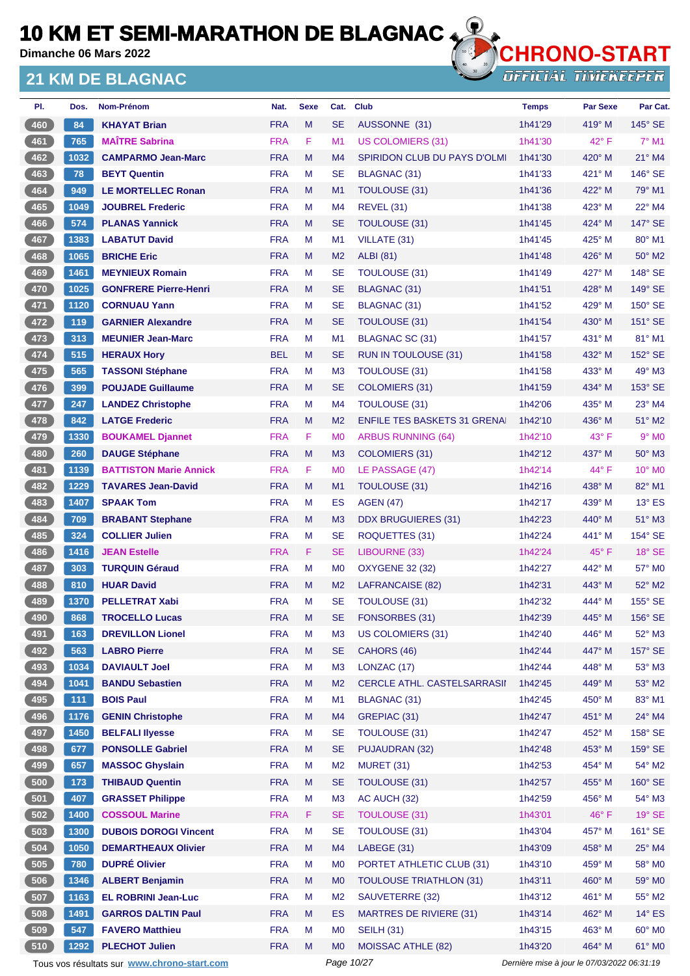**Dimanche 06 Mars 2022**

### **21 KM DE BLAGNAC**



| PI. | Dos. | Nom-Prénom                    | Nat.       | <b>Sexe</b> | Cat.           | <b>Club</b>                         | <b>Temps</b> | <b>Par Sexe</b> | Par Cat.        |
|-----|------|-------------------------------|------------|-------------|----------------|-------------------------------------|--------------|-----------------|-----------------|
| 460 | 84   | <b>KHAYAT Brian</b>           | <b>FRA</b> | M           | <b>SE</b>      | AUSSONNE (31)                       | 1h41'29      | $419°$ M        | $145^\circ$ SE  |
| 461 | 765  | <b>MAÎTRE Sabrina</b>         | <b>FRA</b> | F           | M <sub>1</sub> | <b>US COLOMIERS (31)</b>            | 1h41'30      | $42^{\circ}$ F  | $7^\circ$ M1    |
| 462 | 1032 | <b>CAMPARMO Jean-Marc</b>     | <b>FRA</b> | M           | M <sub>4</sub> | <b>SPIRIDON CLUB DU PAYS D'OLMI</b> | 1h41'30      | $420^\circ$ M   | 21° M4          |
| 463 | 78   | <b>BEYT Quentin</b>           | <b>FRA</b> | М           | <b>SE</b>      | BLAGNAC (31)                        | 1h41'33      | 421° M          | 146° SE         |
| 464 | 949  | <b>LE MORTELLEC Ronan</b>     | <b>FRA</b> | M           | M1             | TOULOUSE (31)                       | 1h41'36      | $422^{\circ}$ M | 79° M1          |
| 465 | 1049 | <b>JOUBREL Frederic</b>       | <b>FRA</b> | М           | M4             | <b>REVEL (31)</b>                   | 1h41'38      | $423^\circ$ M   | 22° M4          |
| 466 | 574  | <b>PLANAS Yannick</b>         | <b>FRA</b> | M           | <b>SE</b>      | <b>TOULOUSE (31)</b>                | 1h41'45      | $424^{\circ}$ M | 147° SE         |
| 467 | 1383 | <b>LABATUT David</b>          | <b>FRA</b> | М           | M1             | VILLATE (31)                        | 1h41'45      | $425^{\circ}$ M | $80^\circ$ M1   |
| 468 | 1065 | <b>BRICHE Eric</b>            | <b>FRA</b> | M           | M <sub>2</sub> | <b>ALBI</b> (81)                    | 1h41'48      | 426° M          | 50° M2          |
| 469 | 1461 | <b>MEYNIEUX Romain</b>        | <b>FRA</b> | M           | <b>SE</b>      | TOULOUSE (31)                       | 1h41'49      | 427° M          | 148° SE         |
| 470 | 1025 | <b>GONFRERE Pierre-Henri</b>  | <b>FRA</b> | M           | <b>SE</b>      | BLAGNAC (31)                        | 1h41'51      | $428^\circ$ M   | $149°$ SE       |
| 471 | 1120 | <b>CORNUAU Yann</b>           | <b>FRA</b> | М           | <b>SE</b>      | BLAGNAC (31)                        | 1h41'52      | 429° M          | 150° SE         |
| 472 | 119  | <b>GARNIER Alexandre</b>      | <b>FRA</b> | M           | <b>SE</b>      | TOULOUSE (31)                       | 1h41'54      | $430^\circ$ M   | $151^\circ$ SE  |
| 473 | 313  | <b>MEUNIER Jean-Marc</b>      | <b>FRA</b> | М           | M <sub>1</sub> | <b>BLAGNAC SC (31)</b>              | 1h41'57      | 431° M          | 81° M1          |
| 474 | 515  | <b>HERAUX Hory</b>            | <b>BEL</b> | M           | <b>SE</b>      | RUN IN TOULOUSE (31)                | 1h41'58      | 432° M          | 152° SE         |
| 475 | 565  | <b>TASSONI Stéphane</b>       | <b>FRA</b> | М           | M <sub>3</sub> | <b>TOULOUSE (31)</b>                | 1h41'58      | $433^\circ$ M   | 49° M3          |
| 476 | 399  | <b>POUJADE Guillaume</b>      | <b>FRA</b> | M           | <b>SE</b>      | <b>COLOMIERS (31)</b>               | 1h41'59      | 434° M          | 153° SE         |
| 477 | 247  | <b>LANDEZ Christophe</b>      | <b>FRA</b> | М           | M4             | <b>TOULOUSE (31)</b>                | 1h42'06      | 435° M          | 23° M4          |
| 478 | 842  | <b>LATGE Frederic</b>         | <b>FRA</b> | M           | M <sub>2</sub> | <b>ENFILE TES BASKETS 31 GRENAL</b> | 1h42'10      | 436° M          | $51^\circ$ M2   |
| 479 | 1330 | <b>BOUKAMEL Djannet</b>       | <b>FRA</b> | F.          | M <sub>0</sub> | <b>ARBUS RUNNING (64)</b>           | 1h42'10      | $43^{\circ}$ F  | $9°$ MO         |
| 480 | 260  | <b>DAUGE Stéphane</b>         | <b>FRA</b> | M           | M <sub>3</sub> | <b>COLOMIERS (31)</b>               | 1h42'12      | $437^\circ$ M   | 50° M3          |
| 481 | 1139 | <b>BATTISTON Marie Annick</b> | <b>FRA</b> | F           | M <sub>0</sub> | LE PASSAGE (47)                     | 1h42'14      | 44° F           | $10^{\circ}$ MO |
| 482 | 1229 | <b>TAVARES Jean-David</b>     | <b>FRA</b> | M           | M1             | <b>TOULOUSE (31)</b>                | 1h42'16      | 438° M          | 82° M1          |
| 483 | 1407 | <b>SPAAK Tom</b>              | <b>FRA</b> | М           | ES             | <b>AGEN (47)</b>                    | 1h42'17      | $439^\circ$ M   | $13^\circ$ ES   |
| 484 | 709  | <b>BRABANT Stephane</b>       | <b>FRA</b> | M           | M <sub>3</sub> | <b>DDX BRUGUIERES (31)</b>          | 1h42'23      | 440° M          | $51^\circ$ M3   |
| 485 | 324  | <b>COLLIER Julien</b>         | <b>FRA</b> | М           | <b>SE</b>      | ROQUETTES (31)                      | 1h42'24      | 441° M          | 154° SE         |
| 486 | 1416 | <b>JEAN Estelle</b>           | <b>FRA</b> | F.          | <b>SE</b>      | LIBOURNE (33)                       | 1h42'24      | $45^{\circ}$ F  | $18^\circ$ SE   |
| 487 | 303  | <b>TURQUIN Géraud</b>         | <b>FRA</b> | М           | M <sub>0</sub> | <b>OXYGENE 32 (32)</b>              | 1h42'27      | 442° M          | 57° M0          |
| 488 | 810  | <b>HUAR David</b>             | <b>FRA</b> | M           | M <sub>2</sub> | LAFRANCAISE (82)                    | 1h42'31      | $443^\circ$ M   | 52° M2          |
| 489 | 1370 | <b>PELLETRAT Xabi</b>         | <b>FRA</b> | M           | <b>SE</b>      | TOULOUSE (31)                       | 1h42'32      | 444° M          | 155° SE         |
| 490 | 868  | <b>TROCELLO Lucas</b>         | <b>FRA</b> | M           | <b>SE</b>      | FONSORBES (31)                      | 1h42'39      | 445° M          | 156° SE         |
| 491 | 163  | <b>DREVILLON Lionel</b>       | <b>FRA</b> | M           | M <sub>3</sub> | US COLOMIERS (31)                   | 1h42'40      | 446° M          | 52° M3          |
| 492 | 563  | <b>LABRO Pierre</b>           | <b>FRA</b> | M           | <b>SE</b>      | CAHORS (46)                         | 1h42'44      | 447° M          | 157° SE         |
| 493 | 1034 | <b>DAVIAULT Joel</b>          | <b>FRA</b> | M           | M <sub>3</sub> | LONZAC (17)                         | 1h42'44      | 448° M          | 53° M3          |
| 494 | 1041 | <b>BANDU Sebastien</b>        | <b>FRA</b> | M           | M <sub>2</sub> | <b>CERCLE ATHL. CASTELSARRASII</b>  | 1h42'45      | 449° M          | 53° M2          |
| 495 | 111  | <b>BOIS Paul</b>              | <b>FRA</b> | M           | M1             | BLAGNAC (31)                        | 1h42'45      | 450° M          | 83° M1          |
| 496 | 1176 | <b>GENIN Christophe</b>       | <b>FRA</b> | M           | M4             | GREPIAC (31)                        | 1h42'47      | 451° M          | 24° M4          |
| 497 | 1450 | <b>BELFALI livesse</b>        | <b>FRA</b> | M           | <b>SE</b>      | TOULOUSE (31)                       | 1h42'47      | 452° M          | 158° SE         |
| 498 | 677  | <b>PONSOLLE Gabriel</b>       | <b>FRA</b> | M           | <b>SE</b>      | <b>PUJAUDRAN (32)</b>               | 1h42'48      | 453° M          | 159° SE         |
| 499 | 657  | <b>MASSOC Ghyslain</b>        | <b>FRA</b> | M           | M <sub>2</sub> | <b>MURET (31)</b>                   | 1h42'53      | 454° M          | 54° M2          |
| 500 | 173  | <b>THIBAUD Quentin</b>        | <b>FRA</b> | M           | <b>SE</b>      | TOULOUSE (31)                       | 1h42'57      | 455° M          | 160° SE         |
| 501 | 407  | <b>GRASSET Philippe</b>       | <b>FRA</b> | M           | M <sub>3</sub> | AC AUCH (32)                        | 1h42'59      | 456° M          | 54° M3          |
| 502 | 1400 | <b>COSSOUL Marine</b>         | <b>FRA</b> | F           | <b>SE</b>      | <b>TOULOUSE (31)</b>                | 1h43'01      | 46°F            | $19°$ SE        |
| 503 | 1300 | <b>DUBOIS DOROGI Vincent</b>  | <b>FRA</b> | M           | <b>SE</b>      | <b>TOULOUSE (31)</b>                | 1h43'04      | 457° M          | 161° SE         |
| 504 | 1050 | <b>DEMARTHEAUX Olivier</b>    | <b>FRA</b> | M           | M4             | LABEGE (31)                         | 1h43'09      | 458° M          | 25° M4          |
| 505 | 780  | <b>DUPRÉ Olivier</b>          | <b>FRA</b> | M           | M <sub>0</sub> | PORTET ATHLETIC CLUB (31)           | 1h43'10      | 459° M          | 58° MO          |
| 506 | 1346 | <b>ALBERT Benjamin</b>        | <b>FRA</b> | M           | M <sub>0</sub> | <b>TOULOUSE TRIATHLON (31)</b>      | 1h43'11      | 460° M          | 59° M0          |
| 507 | 1163 | <b>EL ROBRINI Jean-Luc</b>    | <b>FRA</b> | M           | M <sub>2</sub> | SAUVETERRE (32)                     | 1h43'12      | 461° M          | 55° M2          |
| 508 | 1491 | <b>GARROS DALTIN Paul</b>     | <b>FRA</b> | M           | <b>ES</b>      | <b>MARTRES DE RIVIERE (31)</b>      | 1h43'14      | 462° M          | $14^{\circ}$ ES |
| 509 | 547  | <b>FAVERO Matthieu</b>        | <b>FRA</b> | М           | M <sub>0</sub> | <b>SEILH (31)</b>                   | 1h43'15      | 463° M          | 60° M0          |
| 510 | 1292 | <b>PLECHOT Julien</b>         | <b>FRA</b> | M           | M <sub>0</sub> | <b>MOISSAC ATHLE (82)</b>           | 1h43'20      | 464° M          | 61° MO          |

Tous vos résultats sur **[www.chrono-start.com](https://www.chrono-start.com/)** Page 10/27 Page 10/27 Dernière mise à jour le 07/03/2022 06:31:19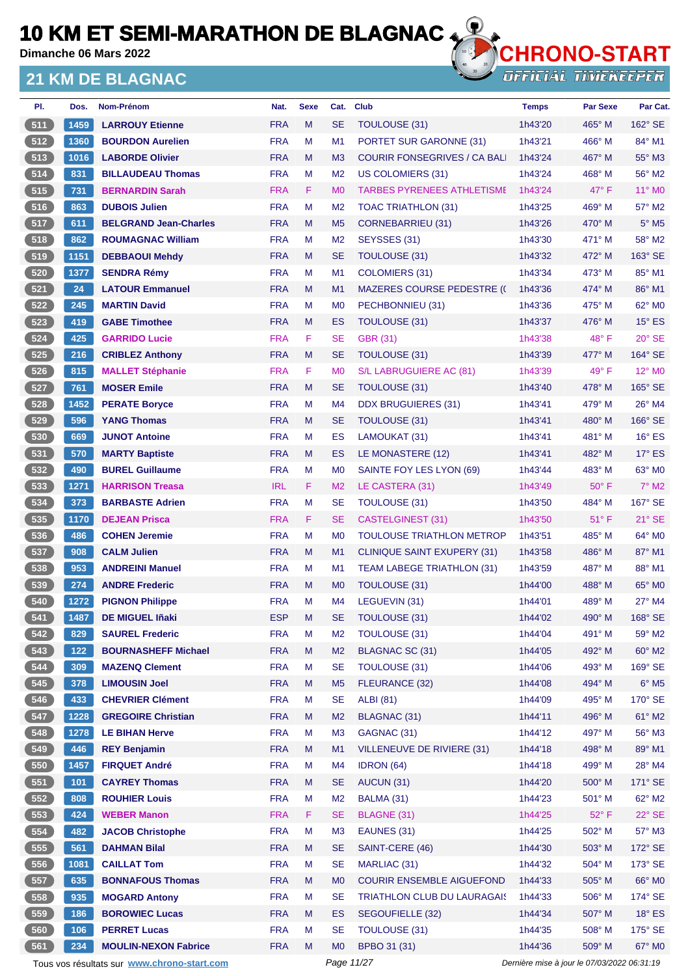**Dimanche 06 Mars 2022**

### **21 KM DE BLAGNAC**



| PI.              | Dos.        | <b>Nom-Prénom</b>                            | Nat.                     | <b>Sexe</b> | Cat.                        | <b>Club</b>                         | <b>Temps</b>       | <b>Par Sexe</b>                             | Par Cat.                 |
|------------------|-------------|----------------------------------------------|--------------------------|-------------|-----------------------------|-------------------------------------|--------------------|---------------------------------------------|--------------------------|
| 511              | 1459        | <b>LARROUY Etienne</b>                       | <b>FRA</b>               | M           | <b>SE</b>                   | TOULOUSE (31)                       | 1h43'20            | 465° M                                      | $162^\circ$ SE           |
| $\overline{512}$ | 1360        | <b>BOURDON Aurelien</b>                      | <b>FRA</b>               | м           | M1                          | PORTET SUR GARONNE (31)             | 1h43'21            | 466° M                                      | 84° M1                   |
| 6513             | 1016        | <b>LABORDE Olivier</b>                       | <b>FRA</b>               | M           | M <sub>3</sub>              | <b>COURIR FONSEGRIVES / CA BALI</b> | 1h43'24            | $467^\circ$ M                               | 55° M3                   |
| 514              | 831         | <b>BILLAUDEAU Thomas</b>                     | <b>FRA</b>               | M           | M <sub>2</sub>              | US COLOMIERS (31)                   | 1h43'24            | 468° M                                      | 56° M2                   |
| 515              | 731         | <b>BERNARDIN Sarah</b>                       | <b>FRA</b>               | F.          | M <sub>0</sub>              | <b>TARBES PYRENEES ATHLETISME</b>   | 1h43'24            | $47^\circ$ F                                | 11° MO                   |
| 516              | 863         | <b>DUBOIS Julien</b>                         | <b>FRA</b>               | м           | M <sub>2</sub>              | TOAC TRIATHLON (31)                 | 1h43'25            | 469° M                                      | $57^\circ$ M2            |
| 6517             | 611         | <b>BELGRAND Jean-Charles</b>                 | <b>FRA</b>               | M           | M <sub>5</sub>              | CORNEBARRIEU (31)                   | 1h43'26            | 470° M                                      | $5^\circ$ M <sub>5</sub> |
| 518              | 862         | <b>ROUMAGNAC William</b>                     | <b>FRA</b>               | M           | M <sub>2</sub>              | SEYSSES (31)                        | 1h43'30            | 471° M                                      | 58° M2                   |
| 519              | 1151        | <b>DEBBAOUI Mehdy</b>                        | <b>FRA</b>               | M           | <b>SE</b>                   | <b>TOULOUSE (31)</b>                | 1h43'32            | 472° M                                      | 163° SE                  |
| 520              | 1377        | <b>SENDRA Rémy</b>                           | <b>FRA</b>               | M           | M1                          | COLOMIERS (31)                      | 1h43'34            | 473° M                                      | 85° M1                   |
| 521              | 24          | <b>LATOUR Emmanuel</b>                       | <b>FRA</b>               | M           | M1                          | <b>MAZERES COURSE PEDESTRE (C</b>   | 1h43'36            | $474^\circ$ M                               | 86° M1                   |
| 522              | 245         | <b>MARTIN David</b>                          | <b>FRA</b>               | M           | M <sub>0</sub>              | PECHBONNIEU (31)                    | 1h43'36            | 475° M                                      | 62° M <sub>0</sub>       |
| 523              | 419         | <b>GABE Timothee</b>                         | <b>FRA</b>               | M           | ES                          | <b>TOULOUSE (31)</b>                | 1h43'37            | 476° M                                      | $15^\circ$ ES            |
| $524$            | 425         | <b>GARRIDO Lucie</b>                         | <b>FRA</b>               | F           | <b>SE</b>                   | <b>GBR (31)</b>                     | 1h43'38            | $48^{\circ}$ F                              | $20^\circ$ SE            |
| 525              | 216         | <b>CRIBLEZ Anthony</b>                       | <b>FRA</b>               | M           | <b>SE</b>                   | <b>TOULOUSE (31)</b>                | 1h43'39            | 477° M                                      | 164° SE                  |
| 526              | 815         | <b>MALLET Stéphanie</b>                      | <b>FRA</b>               | F           | M <sub>0</sub>              | S/L LABRUGUIERE AC (81)             | 1h43'39            | $49^{\circ}$ F                              | 12° M <sub>0</sub>       |
| 527              | 761         | <b>MOSER Emile</b>                           | <b>FRA</b>               | M           | <b>SE</b>                   | TOULOUSE (31)                       | 1h43'40            | 478° M                                      | $165^\circ$ SE           |
| 528              | 1452        | <b>PERATE Boryce</b>                         | <b>FRA</b>               | M           | M <sub>4</sub>              | <b>DDX BRUGUIERES (31)</b>          | 1h43'41            | 479° M                                      | $26^\circ$ M4            |
| 529              | 596         | <b>YANG Thomas</b>                           | <b>FRA</b>               | M           | <b>SE</b>                   | <b>TOULOUSE (31)</b>                | 1h43'41            | 480° M                                      | 166° SE                  |
| 530              | 669         | <b>JUNOT Antoine</b>                         | <b>FRA</b>               | M           | ES                          | LAMOUKAT (31)                       | 1h43'41            | 481° M                                      | $16^\circ$ ES            |
| 531              | 570         | <b>MARTY Baptiste</b>                        | <b>FRA</b>               | M           | ES                          | LE MONASTERE (12)                   | 1h43'41            | 482° M                                      | $17^\circ$ ES            |
| 532              | 490         | <b>BUREL Guillaume</b>                       | <b>FRA</b>               | M           | M <sub>0</sub>              | SAINTE FOY LES LYON (69)            | 1h43'44            | 483° M                                      | $63^\circ$ MO            |
| 533              | 1271        | <b>HARRISON Treasa</b>                       | <b>IRL</b>               | F.          | M <sub>2</sub>              | LE CASTERA (31)                     | 1h43'49            | $50^\circ$ F                                | $7^\circ$ M2             |
| 534              | 373         | <b>BARBASTE Adrien</b>                       | <b>FRA</b>               | м           | <b>SE</b>                   | <b>TOULOUSE (31)</b>                | 1h43'50            | 484° M                                      | 167° SE                  |
| 535              | 1170        | <b>DEJEAN Prisca</b>                         | <b>FRA</b>               | F           | <b>SE</b>                   | <b>CASTELGINEST (31)</b>            | 1h43'50            | $51^{\circ}$ F                              | $21^\circ$ SE            |
| 536              | 486         | <b>COHEN Jeremie</b>                         | <b>FRA</b>               | M           | M <sub>0</sub>              | <b>TOULOUSE TRIATHLON METROP</b>    | 1h43'51            | 485° M                                      | 64° M0                   |
| 537              | 908         | <b>CALM Julien</b>                           | <b>FRA</b>               | M           | M <sub>1</sub>              | <b>CLINIQUE SAINT EXUPERY (31)</b>  | 1h43'58            | 486° M                                      | 87° M1                   |
| 538              | 953         | <b>ANDREINI Manuel</b>                       | <b>FRA</b>               | м           | M1                          | TEAM LABEGE TRIATHLON (31)          | 1h43'59            | 487° M                                      | 88° M1                   |
| 6539             | 274         | <b>ANDRE Frederic</b>                        | <b>FRA</b>               | M           | M <sub>0</sub>              | TOULOUSE (31)                       | 1h44'00            | 488° M                                      | 65° MO                   |
| 540              | 1272        | <b>PIGNON Philippe</b>                       | <b>FRA</b>               | М           | M4                          | LEGUEVIN (31)                       | 1h44'01            | 489° M                                      | $27^\circ$ M4            |
| 541              | 1487        | <b>DE MIGUEL Iñaki</b>                       | <b>ESP</b>               | M           | <b>SE</b>                   | TOULOUSE (31)                       | 1h44'02            | 490° M                                      | 168° SE                  |
| $542$            | 829         | <b>SAUREL Frederic</b>                       | <b>FRA</b>               | M           | M <sub>2</sub>              | TOULOUSE (31)                       | 1h44'04            | 491° M                                      | 59° M2                   |
| 543              | $122$       | <b>BOURNASHEFF Michael</b>                   | <b>FRA</b>               | M           | M <sub>2</sub>              | <b>BLAGNAC SC (31)</b>              | 1h44'05            | 492° M                                      | 60° M2                   |
| 544              | 309         | <b>MAZENQ Clement</b>                        | <b>FRA</b>               | M           | <b>SE</b>                   | TOULOUSE (31)                       | 1h44'06            | 493° M                                      | 169° SE                  |
| 545              | 378         | <b>LIMOUSIN Joel</b>                         | <b>FRA</b>               | M           | M <sub>5</sub>              | FLEURANCE (32)                      | 1h44'08            | 494° M                                      | $6^\circ$ M5             |
| 546              | 433         | <b>CHEVRIER Clément</b>                      | <b>FRA</b>               | М           | <b>SE</b>                   | <b>ALBI</b> (81)                    | 1h44'09            | 495° M                                      | 170° SE                  |
| 547              | 1228        | <b>GREGOIRE Christian</b>                    | <b>FRA</b>               | M           | M <sub>2</sub>              | <b>BLAGNAC (31)</b>                 | 1h44'11            | 496° M                                      | 61° M2                   |
| 548              |             | <b>LE BIHAN Herve</b>                        | <b>FRA</b>               | M           | M <sub>3</sub>              |                                     | 1h44'12            | 497° M                                      | 56° M3                   |
| 549              | 1278<br>446 | <b>REY Benjamin</b>                          | <b>FRA</b>               | M           | M1                          | GAGNAC (31)                         | 1h44'18            | 498° M                                      | 89° M1                   |
| 550              |             |                                              |                          |             |                             | VILLENEUVE DE RIVIERE (31)          |                    |                                             |                          |
|                  | 1457        | <b>FIRQUET André</b>                         | <b>FRA</b><br><b>FRA</b> | M<br>M      | M4                          | IDRON (64)                          | 1h44'18            | 499° M                                      | 28° M4                   |
| 551<br>552       | 101<br>808  | <b>CAYREY Thomas</b><br><b>ROUHIER Louis</b> | <b>FRA</b>               | M           | <b>SE</b><br>M <sub>2</sub> | AUCUN (31)                          | 1h44'20<br>1h44'23 | $500^\circ$ M<br>501° M                     | 171° SE<br>62° M2        |
|                  |             |                                              |                          |             |                             | BALMA (31)                          |                    |                                             |                          |
| 553              | 424         | <b>WEBER Manon</b>                           | <b>FRA</b>               | F.          | <b>SE</b>                   | BLAGNE (31)                         | 1h44'25            | $52^{\circ}$ F                              | 22° SE                   |
| 554              | 482         | <b>JACOB Christophe</b>                      | <b>FRA</b>               | M           | M <sub>3</sub>              | EAUNES (31)                         | 1h44'25            | 502° M                                      | 57° M3                   |
| 555              | 561         | <b>DAHMAN Bilal</b>                          | <b>FRA</b>               | M           | <b>SE</b>                   | SAINT-CERE (46)                     | 1h44'30            | 503° M                                      | 172° SE                  |
| 556              | 1081        | <b>CAILLAT Tom</b>                           | <b>FRA</b>               | М           | <b>SE</b>                   | MARLIAC (31)                        | 1h44'32            | 504° M                                      | 173° SE                  |
| 557              | 635         | <b>BONNAFOUS Thomas</b>                      | <b>FRA</b>               | M           | M <sub>0</sub>              | <b>COURIR ENSEMBLE AIGUEFOND</b>    | 1h44'33            | 505° M                                      | 66° M0                   |
| 558              | 935         | <b>MOGARD Antony</b>                         | <b>FRA</b>               | M           | <b>SE</b>                   | <b>TRIATHLON CLUB DU LAURAGAIS</b>  | 1h44'33            | 506° M                                      | 174° SE                  |
| 559              | 186         | <b>BOROWIEC Lucas</b>                        | <b>FRA</b>               | M           | ES                          | SEGOUFIELLE (32)                    | 1h44'34            | 507° M                                      | $18^\circ$ ES            |
| 560              | 106         | <b>PERRET Lucas</b>                          | <b>FRA</b>               | М           | <b>SE</b>                   | <b>TOULOUSE (31)</b>                | 1h44'35            | 508° M                                      | 175° SE                  |
| 561              | 234         | <b>MOULIN-NEXON Fabrice</b>                  | <b>FRA</b>               | M           | M <sub>0</sub>              | BPBO 31 (31)                        | 1h44'36            | 509° M                                      | 67° M0                   |
|                  |             | Tous vos résultats sur www.chrono-start.com  |                          |             | Page 11/27                  |                                     |                    | Dernière mise à jour le 07/03/2022 06:31:19 |                          |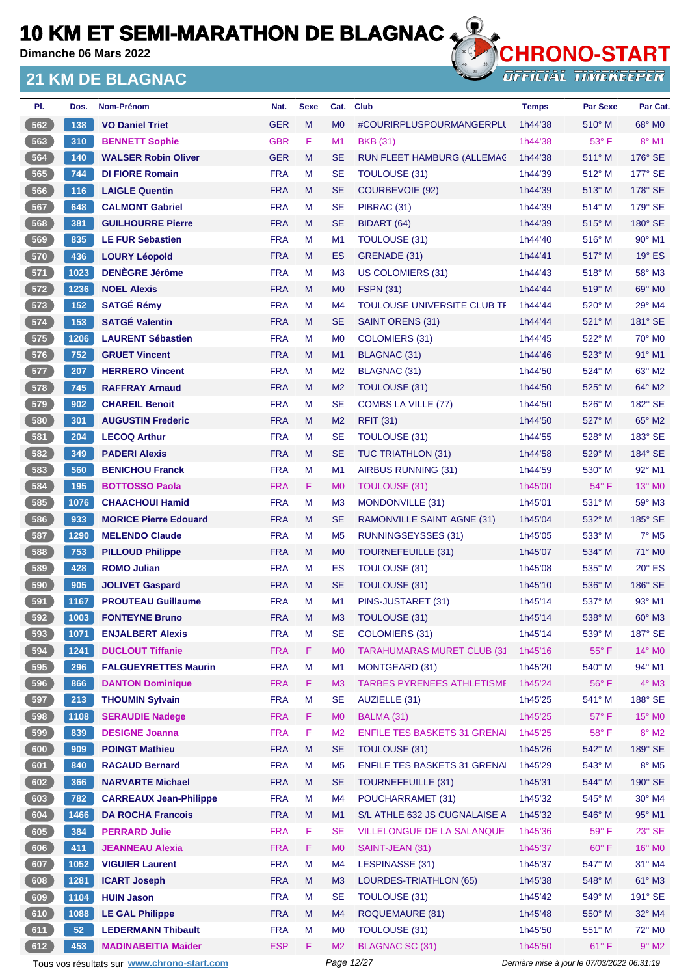**Dimanche 06 Mars 2022**

### **21 KM DE BLAGNAC**



**OFFICIAL TIMEKEEPER** 

| PI.    | Dos. | Nom-Prénom                    | Nat.       | <b>Sexe</b> | Cat.           | <b>Club</b>                         | <b>Temps</b> | <b>Par Sexe</b> | Par Cat.                  |
|--------|------|-------------------------------|------------|-------------|----------------|-------------------------------------|--------------|-----------------|---------------------------|
| 562    | 138  | <b>VO Daniel Triet</b>        | <b>GER</b> | M           | M <sub>0</sub> | #COURIRPLUSPOURMANGERPLI            | 1h44'38      | $510^\circ$ M   | 68° MO                    |
| 563    | 310  | <b>BENNETT Sophie</b>         | <b>GBR</b> | F.          | M1             | <b>BKB</b> (31)                     | 1h44'38      | 53° F           | $8^\circ$ M1              |
| 564    | 140  | <b>WALSER Robin Oliver</b>    | <b>GER</b> | M           | <b>SE</b>      | RUN FLEET HAMBURG (ALLEMAC          | 1h44'38      | $511^\circ$ M   | $176^\circ$ SE            |
| 565    | 744  | <b>DI FIORE Romain</b>        | <b>FRA</b> | М           | <b>SE</b>      | <b>TOULOUSE (31)</b>                | 1h44'39      | $512^{\circ}$ M | 177° SE                   |
| 566    | 116  | <b>LAIGLE Quentin</b>         | <b>FRA</b> | M           | <b>SE</b>      | <b>COURBEVOIE (92)</b>              | 1h44'39      | 513° M          | 178° SE                   |
| 567    | 648  | <b>CALMONT Gabriel</b>        | <b>FRA</b> | М           | <b>SE</b>      | PIBRAC (31)                         | 1h44'39      | $514^{\circ}$ M | 179° SE                   |
| 568    | 381  | <b>GUILHOURRE Pierre</b>      | <b>FRA</b> | M           | <b>SE</b>      | BIDART (64)                         | 1h44'39      | $515^\circ$ M   | 180° SE                   |
| 569    | 835  | <b>LE FUR Sebastien</b>       | <b>FRA</b> | М           | M <sub>1</sub> | <b>TOULOUSE (31)</b>                | 1h44'40      | $516^\circ$ M   | 90° M1                    |
| 570    | 436  | <b>LOURY Léopold</b>          | <b>FRA</b> | M           | ES             | GRENADE (31)                        | 1h44'41      | 517° M          | $19^\circ$ ES             |
| $571$  | 1023 | <b>DENÈGRE Jérôme</b>         | <b>FRA</b> | М           | M <sub>3</sub> | US COLOMIERS (31)                   | 1h44'43      | $518^\circ$ M   | 58° M3                    |
| $-572$ | 1236 | <b>NOEL Alexis</b>            | <b>FRA</b> | M           | M <sub>0</sub> | <b>FSPN (31)</b>                    | 1h44'44      | $519^\circ$ M   | 69° M0                    |
| 573    | 152  | <b>SATGÉ Rémy</b>             | <b>FRA</b> | М           | M4             | TOULOUSE UNIVERSITE CLUB TF         | 1h44'44      | $520^\circ$ M   | 29° M4                    |
| 574    | 153  | <b>SATGÉ Valentin</b>         | <b>FRA</b> | M           | <b>SE</b>      | SAINT ORENS (31)                    | 1h44'44      | $521^\circ$ M   | 181° SE                   |
| 575    | 1206 | <b>LAURENT Sébastien</b>      | <b>FRA</b> | М           | M <sub>0</sub> | <b>COLOMIERS (31)</b>               | 1h44'45      | 522° M          | $70^\circ$ M <sub>0</sub> |
| 576    | 752  | <b>GRUET Vincent</b>          | <b>FRA</b> | M           | M1             | <b>BLAGNAC (31)</b>                 | 1h44'46      | $523^\circ$ M   | 91° M1                    |
| 577    | 207  | <b>HERRERO Vincent</b>        | <b>FRA</b> | M           | M <sub>2</sub> | BLAGNAC (31)                        | 1h44'50      | $524^\circ$ M   | 63° M2                    |
| 578    | 745  | <b>RAFFRAY Arnaud</b>         | <b>FRA</b> | M           | M <sub>2</sub> | <b>TOULOUSE (31)</b>                | 1h44'50      | $525^\circ$ M   | 64° M2                    |
| 579    | 902  | <b>CHAREIL Benoit</b>         | <b>FRA</b> | M           | <b>SE</b>      | COMBS LA VILLE (77)                 | 1h44'50      | $526^\circ$ M   | 182° SE                   |
| 580    | 301  | <b>AUGUSTIN Frederic</b>      | <b>FRA</b> | M           | M <sub>2</sub> | <b>RFIT (31)</b>                    | 1h44'50      | 527° M          | 65° M2                    |
| 581    | 204  | <b>LECOQ Arthur</b>           | <b>FRA</b> | М           | <b>SE</b>      | <b>TOULOUSE (31)</b>                | 1h44'55      | 528° M          | 183° SE                   |
| 582    | 349  | <b>PADERI Alexis</b>          | <b>FRA</b> | M           | <b>SE</b>      | <b>TUC TRIATHLON (31)</b>           | 1h44'58      | 529° M          | 184° SE                   |
| 583    | 560  | <b>BENICHOU Franck</b>        | <b>FRA</b> | M           | M1             | <b>AIRBUS RUNNING (31)</b>          | 1h44'59      | $530^\circ$ M   | 92° M1                    |
| $584$  | 195  | <b>BOTTOSSO Paola</b>         | <b>FRA</b> | F.          | M <sub>0</sub> | <b>TOULOUSE (31)</b>                | 1h45'00      | $54^{\circ}$ F  | $13^\circ$ MO             |
| 585    | 1076 | <b>CHAACHOUI Hamid</b>        | <b>FRA</b> | M           | M <sub>3</sub> | MONDONVILLE (31)                    | 1h45'01      | $531^\circ$ M   | 59° M3                    |
| 586    | 933  | <b>MORICE Pierre Edouard</b>  | <b>FRA</b> | M           | <b>SE</b>      | RAMONVILLE SAINT AGNE (31)          | 1h45'04      | 532° M          | 185° SE                   |
| 587    | 1290 | <b>MELENDO Claude</b>         | <b>FRA</b> | М           | M <sub>5</sub> | RUNNINGSEYSSES (31)                 | 1h45'05      | $533^\circ$ M   | $7^\circ$ M <sub>5</sub>  |
| 588    | 753  | <b>PILLOUD Philippe</b>       | <b>FRA</b> | M           | M <sub>0</sub> | <b>TOURNEFEUILLE (31)</b>           | 1h45'07      | 534° M          | 71° M0                    |
| 589    | 428  | <b>ROMO Julian</b>            | <b>FRA</b> | М           | ES             | TOULOUSE (31)                       | 1h45'08      | $535^\circ$ M   | $20^\circ$ ES             |
| 590    | 905  | <b>JOLIVET Gaspard</b>        | <b>FRA</b> | M           | <b>SE</b>      | TOULOUSE (31)                       | 1h45'10      | $536^\circ$ M   | 186° SE                   |
| 591    | 1167 | <b>PROUTEAU Guillaume</b>     | <b>FRA</b> | М           | M <sub>1</sub> | PINS-JUSTARET (31)                  | 1h45'14      | 537° M          | $93^\circ$ M1             |
| 592    | 1003 | <b>FONTEYNE Bruno</b>         | <b>FRA</b> | M           | M <sub>3</sub> | TOULOUSE (31)                       | 1h45'14      | 538° M          | $60^\circ$ M3             |
| 593    | 1071 | <b>ENJALBERT Alexis</b>       | <b>FRA</b> | М           | <b>SE</b>      | COLOMIERS (31)                      | 1h45'14      | 539° M          | 187° SE                   |
| 594    | 1241 | <b>DUCLOUT Tiffanie</b>       | <b>FRA</b> | F           | M <sub>0</sub> | <b>TARAHUMARAS MURET CLUB (31)</b>  | 1h45'16      | $55^{\circ}$ F  | $14^{\circ}$ MO           |
| 595    | 296  | <b>FALGUEYRETTES Maurin</b>   | <b>FRA</b> | М           | M <sub>1</sub> | MONTGEARD (31)                      | 1h45'20      | 540° M          | 94° M1                    |
| 596    | 866  | <b>DANTON Dominique</b>       | <b>FRA</b> | F           | M <sub>3</sub> | <b>TARBES PYRENEES ATHLETISME</b>   | 1h45'24      | 56°F            | $4^\circ$ M3              |
| 597    | 213  | <b>THOUMIN Sylvain</b>        | <b>FRA</b> | M           | <b>SE</b>      | AUZIELLE (31)                       | 1h45'25      | 541° M          | 188° SE                   |
| 598    | 1108 | <b>SERAUDIE Nadege</b>        | <b>FRA</b> | F.          | M <sub>0</sub> | BALMA (31)                          | 1h45'25      | $57^\circ$ F    | 15° MO                    |
| 599    | 839  | <b>DESIGNE Joanna</b>         | <b>FRA</b> | F           | M <sub>2</sub> | <b>ENFILE TES BASKETS 31 GRENAI</b> | 1h45'25      | $58^{\circ}$ F  | $8^\circ$ M2              |
| 600    | 909  | <b>POINGT Mathieu</b>         | <b>FRA</b> | M           | <b>SE</b>      | TOULOUSE (31)                       | 1h45'26      | 542° M          | 189° SE                   |
| 601    | 840  | <b>RACAUD Bernard</b>         | <b>FRA</b> | M           | M <sub>5</sub> | <b>ENFILE TES BASKETS 31 GRENAL</b> | 1h45'29      | $543^\circ$ M   | $8^\circ$ M5              |
| 602    | 366  | <b>NARVARTE Michael</b>       | <b>FRA</b> | M           | <b>SE</b>      | <b>TOURNEFEUILLE (31)</b>           | 1h45'31      | 544° M          | 190° SE                   |
| 603    | 782  | <b>CARREAUX Jean-Philippe</b> | <b>FRA</b> | M           | M4             | POUCHARRAMET (31)                   | 1h45'32      | 545° M          | 30° M4                    |
| 604    | 1466 | <b>DA ROCHA Francois</b>      | <b>FRA</b> | M           | M1             | S/L ATHLE 632 JS CUGNALAISE A       | 1h45'32      | 546° M          | 95° M1                    |
| 605    | 384  | <b>PERRARD Julie</b>          | <b>FRA</b> | F           | <b>SE</b>      | VILLELONGUE DE LA SALANQUE          | 1h45'36      | $59^\circ$ F    | $23^\circ$ SE             |
| 606    | 411  | <b>JEANNEAU Alexia</b>        | <b>FRA</b> | F           | M <sub>0</sub> | SAINT-JEAN (31)                     | 1h45'37      | $60^\circ$ F    | 16° MO                    |
| 607    | 1052 | <b>VIGUIER Laurent</b>        | <b>FRA</b> | М           | M4             | LESPINASSE (31)                     | 1h45'37      | $547^\circ$ M   | 31° M4                    |
| 608    | 1281 | <b>ICART Joseph</b>           | <b>FRA</b> | M           | M <sub>3</sub> | LOURDES-TRIATHLON (65)              | 1h45'38      | 548° M          | $61^\circ$ M3             |
| 609    | 1104 | <b>HUIN Jason</b>             | <b>FRA</b> | М           | <b>SE</b>      | <b>TOULOUSE (31)</b>                | 1h45'42      | $549^\circ$ M   | 191° SE                   |
| 610    | 1088 | <b>LE GAL Philippe</b>        | <b>FRA</b> | M           | M4             | <b>ROQUEMAURE (81)</b>              | 1h45'48      | 550° M          | 32° M4                    |
| 611    | 52   | <b>LEDERMANN Thibault</b>     | <b>FRA</b> | М           | M <sub>0</sub> | TOULOUSE (31)                       | 1h45'50      | 551° M          | $72^\circ$ MO             |
| 612    | 453  | <b>MADINABEITIA Maider</b>    | <b>ESP</b> | F.          | M <sub>2</sub> | <b>BLAGNAC SC (31)</b>              | 1h45'50      | $61^{\circ}$ F  | $9^\circ$ M2              |

Tous vos résultats sur **[www.chrono-start.com](https://www.chrono-start.com/)** Page 12/27 Page 12/27 Dernière mise à jour le 07/03/2022 06:31:19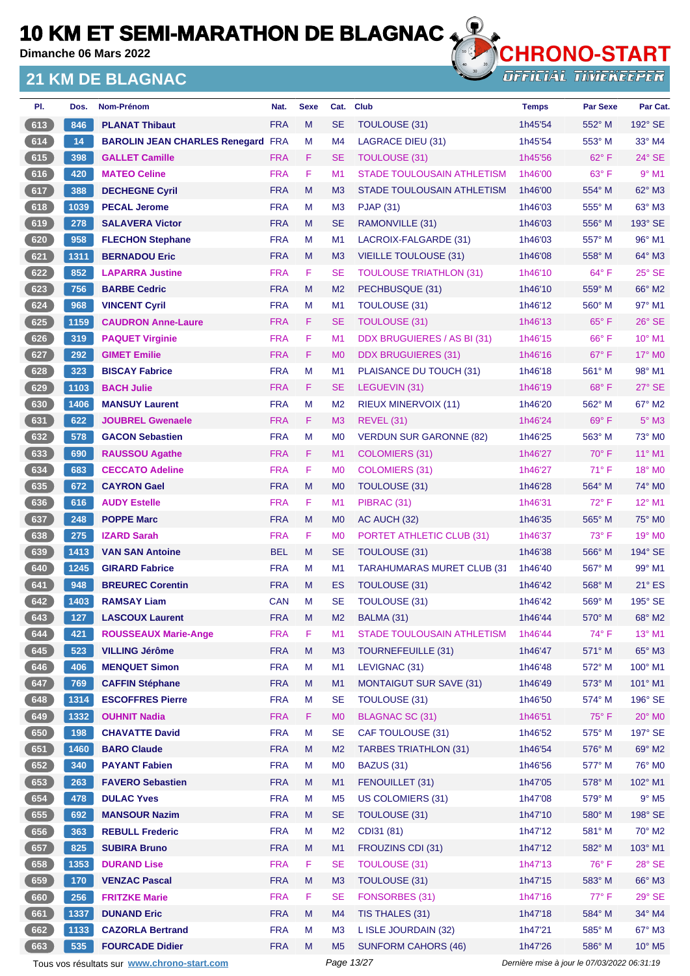**Dimanche 06 Mars 2022**

### **21 KM DE BLAGNAC**



| PI.   | Dos. | Nom-Prénom                                  | Nat.       | <b>Sexe</b> | Cat.           | <b>Club</b>                        | <b>Temps</b>                                | <b>Par Sexe</b> | Par Cat.           |
|-------|------|---------------------------------------------|------------|-------------|----------------|------------------------------------|---------------------------------------------|-----------------|--------------------|
| 613   | 846  | <b>PLANAT Thibaut</b>                       | <b>FRA</b> | M           | <b>SE</b>      | <b>TOULOUSE (31)</b>               | 1h45'54                                     | 552° M          | 192° SE            |
| 614   | 14   | <b>BAROLIN JEAN CHARLES Renegard FRA</b>    |            | M           | M4             | <b>LAGRACE DIEU (31)</b>           | 1h45'54                                     | $553^\circ$ M   | $33^\circ$ M4      |
| 615   | 398  | <b>GALLET Camille</b>                       | <b>FRA</b> | F.          | <b>SE</b>      | <b>TOULOUSE (31)</b>               | 1h45'56                                     | 62° F           | $24^\circ$ SE      |
| 616   | 420  | <b>MATEO Celine</b>                         | <b>FRA</b> | F           | M1             | <b>STADE TOULOUSAIN ATHLETISM</b>  | 1h46'00                                     | 63° F           | $9°$ M1            |
| 617   | 388  | <b>DECHEGNE Cyril</b>                       | <b>FRA</b> | M           | M3             | STADE TOULOUSAIN ATHLETISM         | 1h46'00                                     | 554° M          | 62° M3             |
| $618$ | 1039 | <b>PECAL Jerome</b>                         | <b>FRA</b> | М           | M <sub>3</sub> | <b>PJAP (31)</b>                   | 1h46'03                                     | $555^{\circ}$ M | 63° M3             |
| 619   | 278  | <b>SALAVERA Victor</b>                      | <b>FRA</b> | M           | <b>SE</b>      | RAMONVILLE (31)                    | 1h46'03                                     | 556° M          | 193° SE            |
| 620   | 958  | <b>FLECHON Stephane</b>                     | <b>FRA</b> | M           | M1             | LACROIX-FALGARDE (31)              | 1h46'03                                     | 557° M          | $96^\circ$ M1      |
| 621   | 1311 | <b>BERNADOU Eric</b>                        | <b>FRA</b> | M           | M <sub>3</sub> | <b>VIEILLE TOULOUSE (31)</b>       | 1h46'08                                     | 558° M          | 64° M3             |
| $622$ | 852  | <b>LAPARRA Justine</b>                      | <b>FRA</b> | F           | <b>SE</b>      | <b>TOULOUSE TRIATHLON (31)</b>     | 1h46'10                                     | $64^{\circ}$ F  | 25° SE             |
| 623   | 756  | <b>BARBE Cedric</b>                         | <b>FRA</b> | M           | M <sub>2</sub> | PECHBUSQUE (31)                    | 1h46'10                                     | 559° M          | 66° M2             |
| 624   | 968  | <b>VINCENT Cyril</b>                        | <b>FRA</b> | M           | M1             | TOULOUSE (31)                      | 1h46'12                                     | 560° M          | 97° M1             |
| 625   | 1159 | <b>CAUDRON Anne-Laure</b>                   | <b>FRA</b> | F.          | <b>SE</b>      | <b>TOULOUSE (31)</b>               | 1h46'13                                     | $65^{\circ}$ F  | $26^\circ$ SE      |
| 626   | 319  | <b>PAQUET Virginie</b>                      | <b>FRA</b> | F           | M <sub>1</sub> | DDX BRUGUIERES / AS BI (31)        | 1h46'15                                     | $66^{\circ}$ F  | $10^{\circ}$ M1    |
| 627   | 292  | <b>GIMET Emilie</b>                         | <b>FRA</b> | F.          | M <sub>0</sub> | <b>DDX BRUGUIERES (31)</b>         | 1h46'16                                     | $67^\circ$ F    | 17° M0             |
| 628   | 323  | <b>BISCAY Fabrice</b>                       | <b>FRA</b> | M           | M <sub>1</sub> | PLAISANCE DU TOUCH (31)            | 1h46'18                                     | 561° M          | 98° M1             |
| 629   | 1103 | <b>BACH Julie</b>                           | <b>FRA</b> | F.          | <b>SE</b>      | LEGUEVIN (31)                      | 1h46'19                                     | 68°F            | 27° SE             |
| 630   | 1406 | <b>MANSUY Laurent</b>                       | <b>FRA</b> | M           | M <sub>2</sub> | <b>RIEUX MINERVOIX (11)</b>        | 1h46'20                                     | 562° M          | 67° M2             |
| 631   | 622  | <b>JOUBREL Gwenaele</b>                     | <b>FRA</b> | F.          | M <sub>3</sub> | <b>REVEL (31)</b>                  | 1h46'24                                     | 69°F            | $5^\circ$ M3       |
| 632   | 578  | <b>GACON Sebastien</b>                      | <b>FRA</b> | м           | M <sub>0</sub> | <b>VERDUN SUR GARONNE (82)</b>     | 1h46'25                                     | $563^\circ$ M   | 73° M0             |
| 633   | 690  | <b>RAUSSOU Agathe</b>                       | <b>FRA</b> | F           | M1             | COLOMIERS (31)                     | 1h46'27                                     | $70^\circ$ F    | 11° M1             |
| 634   | 683  | <b>CECCATO Adeline</b>                      | <b>FRA</b> | F           | M <sub>0</sub> | <b>COLOMIERS (31)</b>              | 1h46'27                                     | $71^\circ$ F    | $18^\circ$ MO      |
| 635   | 672  | <b>CAYRON Gael</b>                          | <b>FRA</b> | M           | M <sub>0</sub> | TOULOUSE (31)                      | 1h46'28                                     | 564° M          | 74° M0             |
| $636$ | 616  | <b>AUDY Estelle</b>                         | <b>FRA</b> | F           | M1             | PIBRAC (31)                        | 1h46'31                                     | 72° F           | $12^{\circ}$ M1    |
| 637   | 248  | <b>POPPE Marc</b>                           | <b>FRA</b> | M           | M <sub>0</sub> | AC AUCH (32)                       | 1h46'35                                     | 565° M          | 75° M0             |
| 638   | 275  | <b>IZARD Sarah</b>                          | <b>FRA</b> | F.          | M <sub>0</sub> | PORTET ATHLETIC CLUB (31)          | 1h46'37                                     | $73^\circ$ F    | 19° M <sub>0</sub> |
| 639   | 1413 | <b>VAN SAN Antoine</b>                      | <b>BEL</b> | M           | <b>SE</b>      | <b>TOULOUSE (31)</b>               | 1h46'38                                     | 566° M          | 194° SE            |
| 640   | 1245 | <b>GIRARD Fabrice</b>                       | <b>FRA</b> | М           | M1             | <b>TARAHUMARAS MURET CLUB (31)</b> | 1h46'40                                     | 567° M          | $99^\circ$ M1      |
| 641   | 948  | <b>BREUREC Corentin</b>                     | <b>FRA</b> | M           | ES             | <b>TOULOUSE (31)</b>               | 1h46'42                                     | 568° M          | $21^\circ$ ES      |
| 642   | 1403 | <b>RAMSAY Liam</b>                          | <b>CAN</b> | м           | <b>SE</b>      | TOULOUSE (31)                      | 1h46'42                                     | 569° M          | 195° SE            |
| 643   | 127  | <b>LASCOUX Laurent</b>                      | <b>FRA</b> | M           | M <sub>2</sub> | BALMA (31)                         | 1h46'44                                     | 570° M          | 68° M2             |
| 644   | 421  | <b>ROUSSEAUX Marie-Ange</b>                 | <b>FRA</b> | F.          | M1             | STADE TOULOUSAIN ATHLETISM         | 1h46'44                                     | 74°F            | 13° M1             |
| 645   | 523  | <b>VILLING Jérôme</b>                       | <b>FRA</b> | M           | M <sub>3</sub> | <b>TOURNEFEUILLE (31)</b>          | 1h46'47                                     | 571° M          | 65° M3             |
| 646   | 406  | <b>MENQUET Simon</b>                        | <b>FRA</b> | M           | M1             | LEVIGNAC (31)                      | 1h46'48                                     | 572° M          | 100° M1            |
| 647   | 769  | <b>CAFFIN Stéphane</b>                      | <b>FRA</b> | M           | M1             | <b>MONTAIGUT SUR SAVE (31)</b>     | 1h46'49                                     | 573° M          | 101° M1            |
| 648   | 1314 | <b>ESCOFFRES Pierre</b>                     | <b>FRA</b> | M           | <b>SE</b>      | <b>TOULOUSE (31)</b>               | 1h46'50                                     | 574° M          | 196° SE            |
| 649   | 1332 | <b>OUHNIT Nadia</b>                         | <b>FRA</b> | F.          | M <sub>0</sub> | <b>BLAGNAC SC (31)</b>             | 1h46'51                                     | 75°F            | 20° M0             |
| 650   | 198  | <b>CHAVATTE David</b>                       | <b>FRA</b> | M           | <b>SE</b>      | <b>CAF TOULOUSE (31)</b>           | 1h46'52                                     | 575° M          | 197° SE            |
| 651   | 1460 | <b>BARO Claude</b>                          | <b>FRA</b> | M           | M <sub>2</sub> | <b>TARBES TRIATHLON (31)</b>       | 1h46'54                                     | 576° M          | 69° M2             |
| 652   | 340  | <b>PAYANT Fabien</b>                        | <b>FRA</b> | M           | M <sub>0</sub> | <b>BAZUS (31)</b>                  | 1h46'56                                     | 577° M          | 76° M0             |
| 653   | 263  | <b>FAVERO Sebastien</b>                     | <b>FRA</b> | M           | M1             | FENOUILLET (31)                    | 1h47'05                                     | $578^\circ$ M   | 102° M1            |
| 654   | 478  | <b>DULAC Yves</b>                           | <b>FRA</b> | M           | M <sub>5</sub> | US COLOMIERS (31)                  | 1h47'08                                     | 579° M          | $9^\circ$ M5       |
| 655   | 692  | <b>MANSOUR Nazim</b>                        | <b>FRA</b> | M           | <b>SE</b>      | <b>TOULOUSE (31)</b>               | 1h47'10                                     | 580° M          | 198° SE            |
| 656   |      |                                             |            |             |                |                                    |                                             |                 |                    |
|       | 363  | <b>REBULL Frederic</b>                      | <b>FRA</b> | M           | M <sub>2</sub> | CDI31 (81)                         | 1h47'12                                     | 581° M          | $70^\circ$ M2      |
| 657   | 825  | <b>SUBIRA Bruno</b>                         | <b>FRA</b> | M           | M1             | FROUZINS CDI (31)                  | 1h47'12                                     | 582° M          | 103° M1            |
| 658   | 1353 | <b>DURAND Lise</b>                          | <b>FRA</b> | F.          | <b>SE</b>      | <b>TOULOUSE (31)</b>               | 1h47'13                                     | $76^{\circ}$ F  | $28^\circ$ SE      |
| 659   | 170  | <b>VENZAC Pascal</b>                        | <b>FRA</b> | M           | M <sub>3</sub> | TOULOUSE (31)                      | 1h47'15                                     | 583° M          | 66° M3             |
| 660   | 256  | <b>FRITZKE Marie</b>                        | <b>FRA</b> | F           | <b>SE</b>      | <b>FONSORBES (31)</b>              | 1h47'16                                     | $77^\circ$ F    | 29° SE             |
| 661   | 1337 | <b>DUNAND Eric</b>                          | <b>FRA</b> | M           | M4             | TIS THALES (31)                    | 1h47'18                                     | 584° M          | 34° M4             |
| 662   | 1133 | <b>CAZORLA Bertrand</b>                     | <b>FRA</b> | M           | M <sub>3</sub> | L ISLE JOURDAIN (32)               | 1h47'21                                     | 585° M          | 67° M3             |
| 663   | 535  | <b>FOURCADE Didier</b>                      | <b>FRA</b> | M           | M <sub>5</sub> | <b>SUNFORM CAHORS (46)</b>         | 1h47'26                                     | 586° M          | 10° M5             |
|       |      | Tous vos résultats sur www.chrono-start.com |            |             | Page 13/27     |                                    | Dernière mise à jour le 07/03/2022 06:31:19 |                 |                    |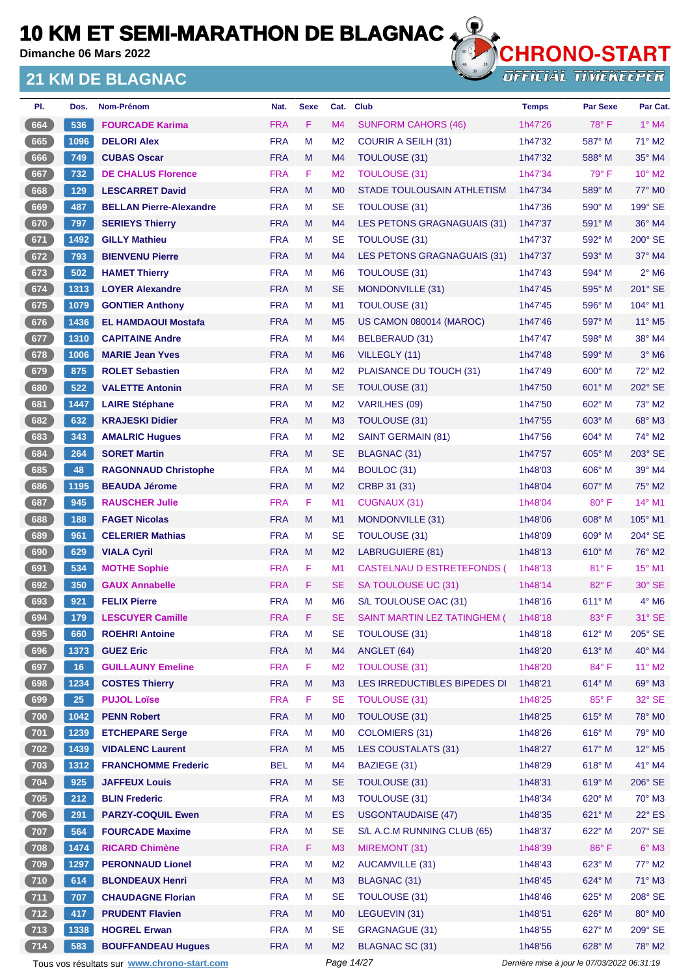**Dimanche 06 Mars 2022**

### **21 KM DE BLAGNAC**



| PI.          | Dos. | Nom-Prénom                                  | Nat.       | <b>Sexe</b> | Cat.           | <b>Club</b>                  | <b>Temps</b>                                | <b>Par Sexe</b> | Par Cat.                    |
|--------------|------|---------------------------------------------|------------|-------------|----------------|------------------------------|---------------------------------------------|-----------------|-----------------------------|
| 664          | 536  | <b>FOURCADE Karima</b>                      | <b>FRA</b> | F.          | M <sub>4</sub> | <b>SUNFORM CAHORS (46)</b>   | 1h47'26                                     | $78^\circ$ F    | $1^\circ$ M4                |
| 665          | 1096 | <b>DELORI Alex</b>                          | <b>FRA</b> | М           | M <sub>2</sub> | <b>COURIR A SEILH (31)</b>   | 1h47'32                                     | 587° M          | $71^\circ$ M2               |
| 666          | 749  | <b>CUBAS Oscar</b>                          | <b>FRA</b> | M           | M <sub>4</sub> | TOULOUSE (31)                | 1h47'32                                     | 588° M          | 35° M4                      |
| 667          | 732  | <b>DE CHALUS Florence</b>                   | <b>FRA</b> | F           | M <sub>2</sub> | <b>TOULOUSE (31)</b>         | 1h47'34                                     | 79° F           | 10° M2                      |
| 668          | 129  | <b>LESCARRET David</b>                      | <b>FRA</b> | M           | M <sub>0</sub> | STADE TOULOUSAIN ATHLETISM   | 1h47'34                                     | 589° M          | 77° M0                      |
| 669          | 487  | <b>BELLAN Pierre-Alexandre</b>              | <b>FRA</b> | M           | <b>SE</b>      | <b>TOULOUSE (31)</b>         | 1h47'36                                     | $590^\circ$ M   | 199° SE                     |
| 670          | 797  | <b>SERIEYS Thierry</b>                      | <b>FRA</b> | M           | M <sub>4</sub> | LES PETONS GRAGNAGUAIS (31)  | 1h47'37                                     | 591° M          | 36° M4                      |
| 671          | 1492 | <b>GILLY Mathieu</b>                        | <b>FRA</b> | М           | <b>SE</b>      | <b>TOULOUSE (31)</b>         | 1h47'37                                     | 592° M          | $200^\circ$ SE              |
| 672          | 793  | <b>BIENVENU Pierre</b>                      | <b>FRA</b> | M           | M <sub>4</sub> | LES PETONS GRAGNAGUAIS (31)  | 1h47'37                                     | 593° M          | $37^\circ$ M4               |
| 673          | 502  | <b>HAMET Thierry</b>                        | <b>FRA</b> | M           | M <sub>6</sub> | <b>TOULOUSE (31)</b>         | 1h47'43                                     | 594° M          | $2^{\circ}$ M6              |
| 674          | 1313 | <b>LOYER Alexandre</b>                      | <b>FRA</b> | M           | <b>SE</b>      | MONDONVILLE (31)             | 1h47'45                                     | $595^\circ$ M   | 201° SE                     |
| 675          | 1079 | <b>GONTIER Anthony</b>                      | <b>FRA</b> | М           | M <sub>1</sub> | <b>TOULOUSE (31)</b>         | 1h47'45                                     | $596^\circ$ M   | 104° M1                     |
| 676          | 1436 | <b>EL HAMDAOUI Mostafa</b>                  | <b>FRA</b> | M           | M <sub>5</sub> | US CAMON 080014 (MAROC)      | 1h47'46                                     | 597° M          | $11^{\circ}$ M <sub>5</sub> |
| 677          | 1310 | <b>CAPITAINE Andre</b>                      | <b>FRA</b> | М           | M4             | BELBERAUD (31)               | 1h47'47                                     | 598° M          | 38° M4                      |
| 678          | 1006 | <b>MARIE Jean Yves</b>                      | <b>FRA</b> | M           | M <sub>6</sub> | VILLEGLY (11)                | 1h47'48                                     | 599° M          | $3°$ M <sub>6</sub>         |
| 679          | 875  | <b>ROLET Sebastien</b>                      | <b>FRA</b> | М           | M <sub>2</sub> | PLAISANCE DU TOUCH (31)      | 1h47'49                                     | $600^\circ$ M   | 72° M2                      |
| 680          | 522  | <b>VALETTE Antonin</b>                      | <b>FRA</b> | M           | <b>SE</b>      | TOULOUSE (31)                | 1h47'50                                     | 601° M          | 202° SE                     |
| 681          | 1447 | <b>LAIRE Stéphane</b>                       | <b>FRA</b> | М           | M <sub>2</sub> | <b>VARILHES (09)</b>         | 1h47'50                                     | $602^\circ$ M   | 73° M2                      |
| 682          | 632  | <b>KRAJESKI Didier</b>                      | <b>FRA</b> | M           | M <sub>3</sub> | TOULOUSE (31)                | 1h47'55                                     | 603° M          | 68° M3                      |
| 683          | 343  | <b>AMALRIC Hugues</b>                       | <b>FRA</b> | М           | M <sub>2</sub> | <b>SAINT GERMAIN (81)</b>    | 1h47'56                                     | $604^\circ$ M   | 74° M2                      |
| 684          | 264  | <b>SORET Martin</b>                         | <b>FRA</b> | M           | <b>SE</b>      | BLAGNAC (31)                 | 1h47'57                                     | 605° M          | 203° SE                     |
| 685          | 48   | <b>RAGONNAUD Christophe</b>                 | <b>FRA</b> | М           | M4             | BOULOC (31)                  | 1h48'03                                     | $606^\circ$ M   | 39° M4                      |
| 686          | 1195 | <b>BEAUDA Jérome</b>                        | <b>FRA</b> | M           | M <sub>2</sub> | CRBP 31 (31)                 | 1h48'04                                     | $607^\circ$ M   | 75° M2                      |
| 687          | 945  | <b>RAUSCHER Julie</b>                       | <b>FRA</b> | F           | M1             | CUGNAUX (31)                 | 1h48'04                                     | $80^\circ$ F    | 14° M1                      |
| 688          | 188  | <b>FAGET Nicolas</b>                        | <b>FRA</b> | M           | M <sub>1</sub> | MONDONVILLE (31)             | 1h48'06                                     | $608^\circ$ M   | $105^\circ$ M1              |
| 689          | 961  | <b>CELERIER Mathias</b>                     | <b>FRA</b> | М           | <b>SE</b>      | <b>TOULOUSE (31)</b>         | 1h48'09                                     | $609^\circ$ M   | 204° SE                     |
| 690          | 629  | <b>VIALA Cyril</b>                          | <b>FRA</b> | M           | M <sub>2</sub> | <b>LABRUGUIERE (81)</b>      | 1h48'13                                     | $610^\circ$ M   | 76° M2                      |
| 691          | 534  | <b>MOTHE Sophie</b>                         | <b>FRA</b> | F           | M <sub>1</sub> | CASTELNAU D ESTRETEFONDS (   | 1h48'13                                     | 81°F            | 15° M1                      |
| 692          | 350  | <b>GAUX Annabelle</b>                       | <b>FRA</b> | F.          | <b>SE</b>      | SA TOULOUSE UC (31)          | 1h48'14                                     | $82^{\circ}$ F  | 30° SE                      |
| 693          | 921  | <b>FELIX Pierre</b>                         | <b>FRA</b> | M           | M <sub>6</sub> | S/L TOULOUSE OAC (31)        | 1h48'16                                     | 611° M          | $4^\circ$ M6                |
| 694          | 179  | <b>LESCUYER Camille</b>                     | <b>FRA</b> | F           | <b>SE</b>      | SAINT MARTIN LEZ TATINGHEM ( | 1h48'18                                     | 83° F           | 31° SE                      |
| 695          | 660  | <b>ROEHRI Antoine</b>                       | <b>FRA</b> | M           | <b>SE</b>      | <b>TOULOUSE (31)</b>         | 1h48'18                                     | 612° M          | 205° SE                     |
| 696          | 1373 | <b>GUEZ Eric</b>                            | <b>FRA</b> | M           | M4             | ANGLET (64)                  | 1h48'20                                     | 613° M          | 40° M4                      |
| 697          | 16   | <b>GUILLAUNY Emeline</b>                    | <b>FRA</b> | F           | M <sub>2</sub> | <b>TOULOUSE (31)</b>         | 1h48'20                                     | 84°F            | 11° M2                      |
| 698          | 1234 | <b>COSTES Thierry</b>                       | <b>FRA</b> | M           | M3             | LES IRREDUCTIBLES BIPEDES DI | 1h48'21                                     | 614° M          | 69° M3                      |
| 699          | 25   | <b>PUJOL Loïse</b>                          | <b>FRA</b> | F           | <b>SE</b>      | <b>TOULOUSE (31)</b>         | 1h48'25                                     | 85°F            | 32° SE                      |
| (700)        | 1042 | <b>PENN Robert</b>                          | <b>FRA</b> | M           | M <sub>0</sub> | <b>TOULOUSE (31)</b>         | 1h48'25                                     | 615° M          | 78° M0                      |
| $\sqrt{701}$ | 1239 | <b>ETCHEPARE Serge</b>                      | <b>FRA</b> | M           | M <sub>0</sub> | <b>COLOMIERS (31)</b>        | 1h48'26                                     | $616^\circ$ M   | 79° M0                      |
| 702          | 1439 | <b>VIDALENC Laurent</b>                     | <b>FRA</b> | M           | M <sub>5</sub> | LES COUSTALATS (31)          | 1h48'27                                     | 617° M          | 12° M5                      |
| 703          | 1312 | <b>FRANCHOMME Frederic</b>                  | <b>BEL</b> | M           | M4             | BAZIEGE (31)                 | 1h48'29                                     | 618° M          | 41° M4                      |
| 704          | 925  | <b>JAFFEUX Louis</b>                        | <b>FRA</b> | M           | <b>SE</b>      | TOULOUSE (31)                | 1h48'31                                     | 619° M          | 206° SE                     |
| $705$        | 212  | <b>BLIN Frederic</b>                        | <b>FRA</b> | М           | M <sub>3</sub> | <b>TOULOUSE (31)</b>         | 1h48'34                                     | 620° M          | $70^\circ$ M3               |
| (706)        | 291  | <b>PARZY-COQUIL Ewen</b>                    | <b>FRA</b> | M           | ES             | <b>USGONTAUDAISE (47)</b>    | 1h48'35                                     | 621° M          | $22^{\circ}$ ES             |
| 707          | 564  | <b>FOURCADE Maxime</b>                      | <b>FRA</b> | M           | <b>SE</b>      | S/L A.C.M RUNNING CLUB (65)  | 1h48'37                                     | 622° M          | 207° SE                     |
| 708          | 1474 | <b>RICARD Chimène</b>                       | <b>FRA</b> | F           | M <sub>3</sub> | MIREMONT (31)                | 1h48'39                                     | 86°F            | $6^\circ$ M3                |
| $709$        | 1297 | <b>PERONNAUD Lionel</b>                     | <b>FRA</b> | M           | M <sub>2</sub> | <b>AUCAMVILLE (31)</b>       | 1h48'43                                     | 623° M          | 77° M2                      |
| $710$        | 614  | <b>BLONDEAUX Henri</b>                      | <b>FRA</b> | M           | M <sub>3</sub> | BLAGNAC (31)                 | 1h48'45                                     | 624° M          | 71° M3                      |
| 711          | 707  | <b>CHAUDAGNE Florian</b>                    | <b>FRA</b> | M           | <b>SE</b>      | TOULOUSE (31)                | 1h48'46                                     | 625° M          | 208° SE                     |
| $712$        | 417  | <b>PRUDENT Flavien</b>                      | <b>FRA</b> | M           | M <sub>0</sub> | LEGUEVIN (31)                | 1h48'51                                     | 626° M          | 80° M0                      |
| $\sqrt{713}$ | 1338 | <b>HOGREL Erwan</b>                         | <b>FRA</b> | М           | <b>SE</b>      | <b>GRAGNAGUE (31)</b>        | 1h48'55                                     | 627° M          | 209° SE                     |
| 714          | 583  | <b>BOUFFANDEAU Hugues</b>                   | <b>FRA</b> | M           | M <sub>2</sub> | BLAGNAC SC (31)              | 1h48'56                                     | 628° M          | 78° M2                      |
|              |      | Tous vos résultats sur www.chrono-start.com |            |             |                | Page 14/27                   | Dernière mise à jour le 07/03/2022 06:31:19 |                 |                             |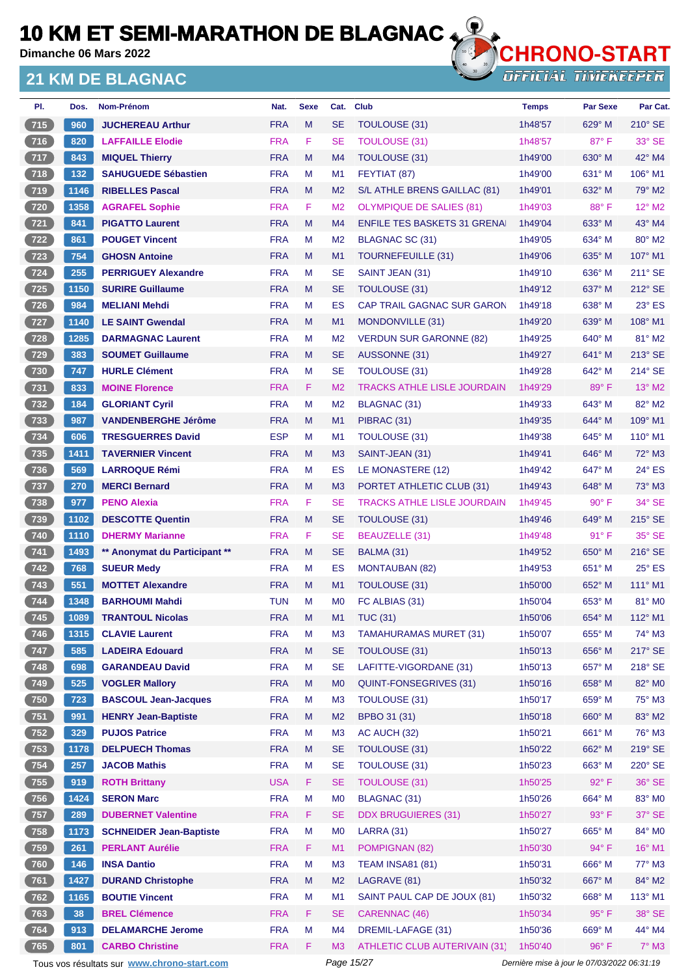**Dimanche 06 Mars 2022**

### **21 KM DE BLAGNAC**



**OFFICIAL TIMEKEEPER** 

| PI.          | Dos.                 | Nom-Prénom                     | Nat.       | <b>Sexe</b> | Cat.           | <b>Club</b>                         | <b>Temps</b> | <b>Par Sexe</b> | Par Cat.         |
|--------------|----------------------|--------------------------------|------------|-------------|----------------|-------------------------------------|--------------|-----------------|------------------|
| 715          | 960                  | <b>JUCHEREAU Arthur</b>        | <b>FRA</b> | M           | <b>SE</b>      | TOULOUSE (31)                       | 1h48'57      | 629° M          | 210° SE          |
| 716          | 820                  | <b>LAFFAILLE Elodie</b>        | <b>FRA</b> | F           | <b>SE</b>      | <b>TOULOUSE (31)</b>                | 1h48'57      | $87^\circ$ F    | $33^\circ$ SE    |
| 717          | 843                  | <b>MIQUEL Thierry</b>          | <b>FRA</b> | M           | M <sub>4</sub> | TOULOUSE (31)                       | 1h49'00      | $630^\circ$ M   | 42° M4           |
| $\sqrt{718}$ | 132                  | <b>SAHUGUEDE Sébastien</b>     | <b>FRA</b> | M           | M <sub>1</sub> | FEYTIAT (87)                        | 1h49'00      | $631^\circ$ M   | $106^\circ$ M1   |
| 719          | 1146                 | <b>RIBELLES Pascal</b>         | <b>FRA</b> | M           | M <sub>2</sub> | S/L ATHLE BRENS GAILLAC (81)        | 1h49'01      | 632° M          | 79° M2           |
| $720$        | 1358                 | <b>AGRAFEL Sophie</b>          | <b>FRA</b> | F           | M <sub>2</sub> | <b>OLYMPIQUE DE SALIES (81)</b>     | 1h49'03      | 88°F            | 12° M2           |
| 721          | 841                  | <b>PIGATTO Laurent</b>         | <b>FRA</b> | M           | M <sub>4</sub> | <b>ENFILE TES BASKETS 31 GRENAL</b> | 1h49'04      | 633° M          | $43^\circ$ M4    |
| $722$        | 861                  | <b>POUGET Vincent</b>          | <b>FRA</b> | М           | M <sub>2</sub> | BLAGNAC SC (31)                     | 1h49'05      | $634^\circ$ M   | 80° M2           |
| 723          | 754                  | <b>GHOSN Antoine</b>           | <b>FRA</b> | M           | M <sub>1</sub> | TOURNEFEUILLE (31)                  | 1h49'06      | 635° M          | 107° M1          |
| $724$        | 255                  | <b>PERRIGUEY Alexandre</b>     | <b>FRA</b> | M           | <b>SE</b>      | SAINT JEAN (31)                     | 1h49'10      | $636^\circ$ M   | $211^\circ$ SE   |
| 725          | 1150                 | <b>SURIRE Guillaume</b>        | <b>FRA</b> | M           | <b>SE</b>      | TOULOUSE (31)                       | 1h49'12      | 637° M          | 212° SE          |
| $726$        | 984                  | <b>MELIANI Mehdi</b>           | <b>FRA</b> | M           | <b>ES</b>      | <b>CAP TRAIL GAGNAC SUR GARON</b>   | 1h49'18      | 638° M          | $23^\circ$ ES    |
| 727          | 1140                 | <b>LE SAINT Gwendal</b>        | <b>FRA</b> | M           | M <sub>1</sub> | MONDONVILLE (31)                    | 1h49'20      | $639^\circ$ M   | $108^\circ$ M1   |
| 728          | 1285                 | <b>DARMAGNAC Laurent</b>       | <b>FRA</b> | м           | M <sub>2</sub> | <b>VERDUN SUR GARONNE (82)</b>      | 1h49'25      | $640^\circ$ M   | 81° M2           |
| 729          | 383                  | <b>SOUMET Guillaume</b>        | <b>FRA</b> | M           | <b>SE</b>      | AUSSONNE (31)                       | 1h49'27      | $641^\circ$ M   | $213^\circ$ SE   |
| $730$        | 747                  | <b>HURLE Clément</b>           | <b>FRA</b> | м           | <b>SE</b>      | <b>TOULOUSE (31)</b>                | 1h49'28      | 642° M          | $214^\circ$ SE   |
| $\sqrt{731}$ | 833                  | <b>MOINE Florence</b>          | <b>FRA</b> | F.          | M <sub>2</sub> | <b>TRACKS ATHLE LISLE JOURDAIN</b>  | 1h49'29      | 89°F            | 13° M2           |
| $732$        | 184                  | <b>GLORIANT Cyril</b>          | <b>FRA</b> | M           | M <sub>2</sub> | BLAGNAC (31)                        | 1h49'33      | 643° M          | 82° M2           |
| 733          | 987                  | <b>VANDENBERGHE Jérôme</b>     | <b>FRA</b> | M           | M <sub>1</sub> | PIBRAC (31)                         | 1h49'35      | $644^{\circ}$ M | $109^\circ$ M1   |
| $734$        | 606                  | <b>TRESGUERRES David</b>       | <b>ESP</b> | М           | M <sub>1</sub> | TOULOUSE (31)                       | 1h49'38      | 645° M          | $110^{\circ}$ M1 |
| 735          | 1411                 | <b>TAVERNIER Vincent</b>       | <b>FRA</b> | M           | M <sub>3</sub> | SAINT-JEAN (31)                     | 1h49'41      | $646^{\circ}$ M | $72^\circ$ M3    |
| $736$        | 569                  | <b>LARROQUE Rémi</b>           | <b>FRA</b> | м           | ES             | LE MONASTERE (12)                   | 1h49'42      | 647° M          | $24^\circ$ ES    |
| $737$        | 270                  | <b>MERCI Bernard</b>           | <b>FRA</b> | M           | M <sub>3</sub> | PORTET ATHLETIC CLUB (31)           | 1h49'43      | 648° M          | $73^\circ$ M3    |
| $738$        | 977                  | <b>PENO Alexia</b>             | <b>FRA</b> | F           | <b>SE</b>      | <b>TRACKS ATHLE LISLE JOURDAIN</b>  | 1h49'45      | $90^\circ$ F    | $34^\circ$ SE    |
| 739          | 1102                 | <b>DESCOTTE Quentin</b>        | <b>FRA</b> | M           | <b>SE</b>      | TOULOUSE (31)                       | 1h49'46      | 649° M          | $215^\circ$ SE   |
| $740$        | 1110                 | <b>DHERMY Marianne</b>         | <b>FRA</b> | F           | <b>SE</b>      | <b>BEAUZELLE (31)</b>               | 1h49'48      | $91^{\circ}$ F  | 35° SE           |
| 741          | 1493                 | ** Anonymat du Participant **  | <b>FRA</b> | M           | <b>SE</b>      | BALMA (31)                          | 1h49'52      | $650^\circ$ M   | $216^\circ$ SE   |
| $\sqrt{742}$ | 768                  | <b>SUEUR Medv</b>              | <b>FRA</b> | М           | ES             | <b>MONTAUBAN (82)</b>               | 1h49'53      | $651^\circ$ M   | $25^\circ$ ES    |
| 743          | 551                  | <b>MOTTET Alexandre</b>        | <b>FRA</b> | M           | M1             | TOULOUSE (31)                       | 1h50'00      | 652° M          | $111^\circ$ M1   |
| $744$        | 1348                 | <b>BARHOUMI Mahdi</b>          | <b>TUN</b> | м           | M <sub>0</sub> | FC ALBIAS (31)                      | 1h50'04      | 653° M          | 81° MO           |
| (745)        | $\vert$ 1089 $\vert$ | <b>TRANTOUL Nicolas</b>        | <b>FRA</b> | M           | M1             | <b>TUC (31)</b>                     | 1h50'06      | 654° M          | 112° M1          |
| 746          | 1315                 | <b>CLAVIE Laurent</b>          | <b>FRA</b> | M           | M <sub>3</sub> | <b>TAMAHURAMAS MURET (31)</b>       | 1h50'07      | $655^{\circ}$ M | 74° M3           |
| 747          | 585                  | <b>LADEIRA Edouard</b>         | <b>FRA</b> | M           | <b>SE</b>      | TOULOUSE (31)                       | 1h50'13      | 656° M          | 217° SE          |
| $748$        | 698                  | <b>GARANDEAU David</b>         | <b>FRA</b> | M           | <b>SE</b>      | LAFITTE-VIGORDANE (31)              | 1h50'13      | 657° M          | 218° SE          |
| 749          | 525                  | <b>VOGLER Mallory</b>          | <b>FRA</b> | M           | M <sub>0</sub> | QUINT-FONSEGRIVES (31)              | 1h50'16      | $658^\circ$ M   | 82° M0           |
| 750          | 723                  | <b>BASCOUL Jean-Jacques</b>    | <b>FRA</b> | M           | M <sub>3</sub> | TOULOUSE (31)                       | 1h50'17      | 659° M          | 75° M3           |
| 751          | 991                  | <b>HENRY Jean-Baptiste</b>     | <b>FRA</b> | M           | M <sub>2</sub> | BPBO 31 (31)                        | 1h50'18      | 660° M          | 83° M2           |
| $752$        | 329                  | <b>PUJOS Patrice</b>           | <b>FRA</b> | M           | M <sub>3</sub> | AC AUCH (32)                        | 1h50'21      | 661° M          | 76° M3           |
| 753          | 1178                 | <b>DELPUECH Thomas</b>         | <b>FRA</b> | M           | <b>SE</b>      | TOULOUSE (31)                       | 1h50'22      | 662° M          | 219° SE          |
| $754$        | 257                  | <b>JACOB Mathis</b>            | <b>FRA</b> | M           | <b>SE</b>      | TOULOUSE (31)                       | 1h50'23      | 663° M          | 220° SE          |
| 755          | 919                  | <b>ROTH Brittany</b>           | <b>USA</b> | F.          | <b>SE</b>      | <b>TOULOUSE (31)</b>                | 1h50'25      | $92^\circ$ F    | 36° SE           |
| $756$        | 1424                 | <b>SERON Marc</b>              | <b>FRA</b> | M           | M <sub>0</sub> | <b>BLAGNAC (31)</b>                 | 1h50'26      | 664° M          | 83° MO           |
| 757          | 289                  | <b>DUBERNET Valentine</b>      | <b>FRA</b> | F           | <b>SE</b>      | <b>DDX BRUGUIERES (31)</b>          | 1h50'27      | 93° F           | $37^\circ$ SE    |
| $758$        | 1173                 | <b>SCHNEIDER Jean-Baptiste</b> | <b>FRA</b> | M           | M <sub>0</sub> | <b>LARRA (31)</b>                   | 1h50'27      | 665° M          | 84° M0           |
| 759          | 261                  | <b>PERLANT Aurélie</b>         | <b>FRA</b> | F           | M1             | POMPIGNAN (82)                      | 1h50'30      | 94° F           | 16° M1           |
| 760          | 146                  | <b>INSA Dantio</b>             | <b>FRA</b> | M           | M <sub>3</sub> | <b>TEAM INSA81 (81)</b>             | 1h50'31      | 666° M          | 77° M3           |
| 761          | 1427                 | <b>DURAND Christophe</b>       | <b>FRA</b> | M           | M <sub>2</sub> | LAGRAVE (81)                        | 1h50'32      | 667° M          | 84° M2           |
| $762$        | 1165                 | <b>BOUTIE Vincent</b>          | <b>FRA</b> | M           | M1             | SAINT PAUL CAP DE JOUX (81)         | 1h50'32      | 668° M          | $113^\circ$ M1   |
| $763$        | 38                   | <b>BREL Clémence</b>           | <b>FRA</b> | F           | <b>SE</b>      | CARENNAC (46)                       | 1h50'34      | 95°F            | $38^\circ$ SE    |
| 764          | 913                  | <b>DELAMARCHE Jerome</b>       | <b>FRA</b> | M           | M <sub>4</sub> | DREMIL-LAFAGE (31)                  | 1h50'36      | 669° M          | 44° M4           |
| 765          | 801                  | <b>CARBO Christine</b>         | <b>FRA</b> | F           | M3             | ATHLETIC CLUB AUTERIVAIN (31)       | 1h50'40      | $96^{\circ}$ F  | $7^\circ$ M3     |

Tous vos résultats sur **[www.chrono-start.com](https://www.chrono-start.com/)** Page 15/27 Page 15/27 Dernière mise à jour le 07/03/2022 06:31:19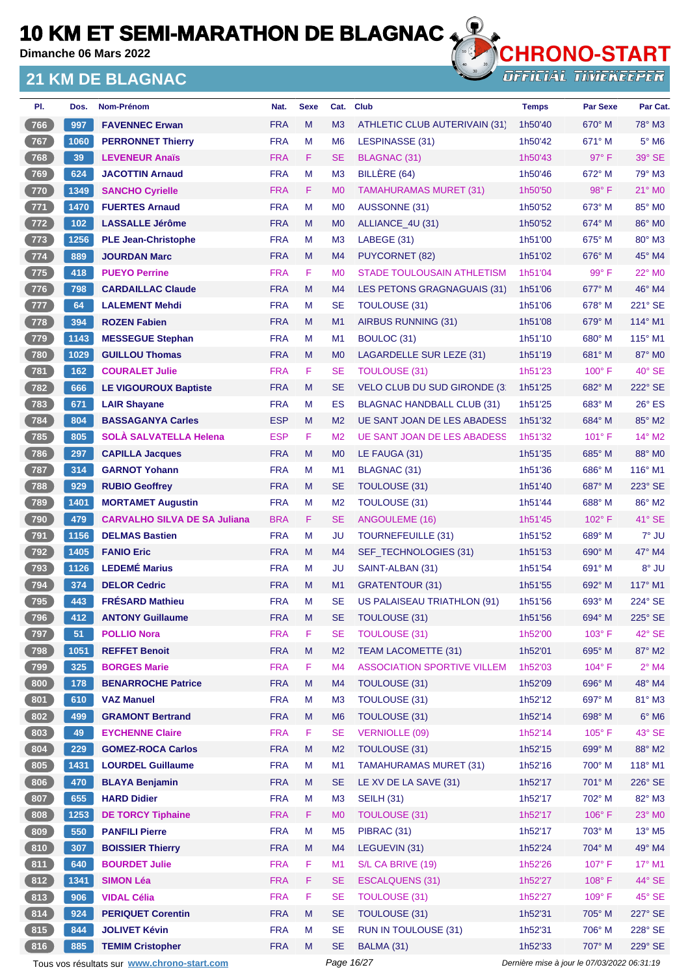**Dimanche 06 Mars 2022**

#### **21 KM DE BLAGNAC**



| PI.              | Dos.  | Nom-Prénom                                  | Nat.       | <b>Sexe</b> | Cat.           | <b>Club</b>                         | <b>Temps</b>                                | <b>Par Sexe</b> | Par Cat.                    |
|------------------|-------|---------------------------------------------|------------|-------------|----------------|-------------------------------------|---------------------------------------------|-----------------|-----------------------------|
| 766              | 997   | <b>FAVENNEC Erwan</b>                       | <b>FRA</b> | M           | M3             | ATHLETIC CLUB AUTERIVAIN (31)       | 1h50'40                                     | $670^\circ$ M   | 78° M3                      |
| 767              | 1060  | <b>PERRONNET Thierry</b>                    | <b>FRA</b> | M           | M <sub>6</sub> | LESPINASSE (31)                     | 1h50'42                                     | $671^\circ$ M   | $5^\circ$ M6                |
| (768)            | 39    | <b>LEVENEUR Anaïs</b>                       | <b>FRA</b> | F.          | SE             | <b>BLAGNAC (31)</b>                 | 1h50'43                                     | 97° F           | 39° SE                      |
| 769              | 624   | <b>JACOTTIN Arnaud</b>                      | <b>FRA</b> | M           | M <sub>3</sub> | BILLERE (64)                        | 1h50'46                                     | $672^\circ$ M   | 79° M3                      |
| 770              | 1349  | <b>SANCHO Cyrielle</b>                      | <b>FRA</b> | F.          | M <sub>0</sub> | <b>TAMAHURAMAS MURET (31)</b>       | 1h50'50                                     | $98^\circ$ F    | 21° MO                      |
| $\sqrt{771}$     | 1470  | <b>FUERTES Arnaud</b>                       | <b>FRA</b> | M           | M <sub>0</sub> | AUSSONNE (31)                       | 1h50'52                                     | $673^\circ$ M   | 85° MO                      |
| 772              | $102$ | <b>LASSALLE Jérôme</b>                      | <b>FRA</b> | M           | M <sub>0</sub> | ALLIANCE_4U (31)                    | 1h50'52                                     | 674° M          | 86° M0                      |
| $773$            | 1256  | <b>PLE Jean-Christophe</b>                  | <b>FRA</b> | M           | M <sub>3</sub> | LABEGE (31)                         | 1h51'00                                     | $675^\circ$ M   | $80^\circ$ M3               |
| 774              | 889   | <b>JOURDAN Marc</b>                         | <b>FRA</b> | M           | M4             | <b>PUYCORNET (82)</b>               | 1h51'02                                     | $676^\circ$ M   | 45° M4                      |
| $775$            | 418   | <b>PUEYO Perrine</b>                        | <b>FRA</b> | F.          | M <sub>0</sub> | <b>STADE TOULOUSAIN ATHLETISM</b>   | 1h51'04                                     | 99° F           | 22° M0                      |
| $776$            | 798   | <b>CARDAILLAC Claude</b>                    | <b>FRA</b> | M           | M4             | LES PETONS GRAGNAGUAIS (31)         | 1h51'06                                     | 677° M          | 46° M4                      |
| $\overline{777}$ | 64    | <b>LALEMENT Mehdi</b>                       | <b>FRA</b> | M           | <b>SE</b>      | <b>TOULOUSE (31)</b>                | 1h51'06                                     | $678^\circ$ M   | 221° SE                     |
| (778)            | 394   | <b>ROZEN Fabien</b>                         | <b>FRA</b> | M           | M1             | AIRBUS RUNNING (31)                 | 1h51'08                                     | $679^\circ$ M   | $114^\circ$ M1              |
| 779              | 1143  | <b>MESSEGUE Stephan</b>                     | <b>FRA</b> | M           | M1             | BOULOC (31)                         | 1h51'10                                     | 680° M          | $115^\circ$ M1              |
| $780$            | 1029  | <b>GUILLOU Thomas</b>                       | <b>FRA</b> | M           | M <sub>0</sub> | LAGARDELLE SUR LEZE (31)            | 1h51'19                                     | 681° M          | 87° M0                      |
| $781$            | 162   | <b>COURALET Julie</b>                       | <b>FRA</b> | F           | <b>SE</b>      | <b>TOULOUSE (31)</b>                | 1h51'23                                     | $100^\circ$ F   | $40^\circ$ SE               |
| 782              | 666   | <b>LE VIGOUROUX Baptiste</b>                | <b>FRA</b> | M           | <b>SE</b>      | <b>VELO CLUB DU SUD GIRONDE (3)</b> | 1h51'25                                     | 682° M          | 222° SE                     |
| $783$            | 671   | <b>LAIR Shayane</b>                         | <b>FRA</b> | M           | <b>ES</b>      | <b>BLAGNAC HANDBALL CLUB (31)</b>   | 1h51'25                                     | $683^\circ$ M   | $26^{\circ}$ ES             |
| $784$            | 804   | <b>BASSAGANYA Carles</b>                    | <b>ESP</b> | M           | M <sub>2</sub> | <b>UE SANT JOAN DE LES ABADESS</b>  | 1h51'32                                     | $684^\circ$ M   | 85° M2                      |
| $785$            | 805   | <b>SOLÀ SALVATELLA Helena</b>               | <b>ESP</b> | F.          | M <sub>2</sub> | <b>UE SANT JOAN DE LES ABADESS</b>  | 1h51'32                                     | $101^\circ$ F   | $14^{\circ}$ M2             |
| 786              | 297   | <b>CAPILLA Jacques</b>                      | <b>FRA</b> | M           | M <sub>0</sub> | LE FAUGA (31)                       | 1h51'35                                     | 685° M          | 88° MO                      |
| $787$            | 314   | <b>GARNOT Yohann</b>                        | <b>FRA</b> | M           | M1             | <b>BLAGNAC (31)</b>                 | 1h51'36                                     | $686^\circ$ M   | $116^\circ$ M1              |
| 788              | 929   | <b>RUBIO Geoffrey</b>                       | <b>FRA</b> | M           | <b>SE</b>      | <b>TOULOUSE (31)</b>                | 1h51'40                                     | 687° M          | 223° SE                     |
| $789$            | 1401  | <b>MORTAMET Augustin</b>                    | <b>FRA</b> | M           | M <sub>2</sub> | <b>TOULOUSE (31)</b>                | 1h51'44                                     | $688^\circ$ M   | 86° M2                      |
| 790              | 479   | <b>CARVALHO SILVA DE SA Juliana</b>         | <b>BRA</b> | F.          | <b>SE</b>      | ANGOULEME (16)                      | 1h51'45                                     | 102°F           | 41° SE                      |
| 791              | 1156  | <b>DELMAS Bastien</b>                       | <b>FRA</b> | M           | JU             | <b>TOURNEFEUILLE (31)</b>           | 1h51'52                                     | $689^\circ$ M   | 7° JU                       |
| $792$            | 1405  | <b>FANIO Eric</b>                           | <b>FRA</b> | M           | M4             | SEF_TECHNOLOGIES (31)               | 1h51'53                                     | 690° M          | 47° M4                      |
| $793$            | 1126  | <b>LEDEMÉ Marius</b>                        | <b>FRA</b> | м           | JU             | SAINT-ALBAN (31)                    | 1h51'54                                     | $691^\circ$ M   | 8° JU                       |
| 794              | 374   | <b>DELOR Cedric</b>                         | <b>FRA</b> | M           | M1             | <b>GRATENTOUR (31)</b>              | 1h51'55                                     | 692° M          | 117° M1                     |
|                  | 443   | <b>FRÉSARD Mathieu</b>                      | <b>FRA</b> | M           | <b>SE</b>      | <b>US PALAISEAU TRIATHLON (91)</b>  | 1h51'56                                     | $693^\circ$ M   | 224° SE                     |
| 795              |       |                                             |            |             |                |                                     |                                             |                 | 225° SE                     |
| (796)            | 412   | <b>ANTONY Guillaume</b>                     | <b>FRA</b> | M           | <b>SE</b>      | TOULOUSE (31)                       | 1h51'56                                     | 694° M          |                             |
| $797$            | 51    | <b>POLLIO Nora</b>                          | <b>FRA</b> | F           | <b>SE</b>      | <b>TOULOUSE (31)</b>                | 1h52'00                                     | 103° F          | 42° SE                      |
| 798              | 1051  | <b>REFFET Benoit</b>                        | <b>FRA</b> | M           | M <sub>2</sub> | TEAM LACOMETTE (31)                 | 1h52'01                                     | 695° M          | 87° M2                      |
| 799              | 325   | <b>BORGES Marie</b>                         | <b>FRA</b> | F           | M <sub>4</sub> | <b>ASSOCIATION SPORTIVE VILLEM</b>  | 1h52'03                                     | 104° F          | $2^{\circ}$ M4              |
| 800              | 178   | <b>BENARROCHE Patrice</b>                   | <b>FRA</b> | M           | M4             | <b>TOULOUSE (31)</b>                | 1h52'09                                     | 696° M          | 48° M4                      |
| 801              | 610   | <b>VAZ Manuel</b>                           | <b>FRA</b> | M           | M <sub>3</sub> | TOULOUSE (31)                       | 1h52'12                                     | 697° M          | 81° M3                      |
| 802              | 499   | <b>GRAMONT Bertrand</b>                     | <b>FRA</b> | M           | M <sub>6</sub> | TOULOUSE (31)                       | 1h52'14                                     | 698° M          | $6^{\circ}$ M6              |
| 803              | 49    | <b>EYCHENNE Claire</b>                      | <b>FRA</b> | F           | <b>SE</b>      | <b>VERNIOLLE (09)</b>               | 1h52'14                                     | $105^\circ$ F   | 43° SE                      |
| 804              | 229   | <b>GOMEZ-ROCA Carlos</b>                    | <b>FRA</b> | M           | M <sub>2</sub> | <b>TOULOUSE (31)</b>                | 1h52'15                                     | 699° M          | 88° M2                      |
| 805              | 1431  | <b>LOURDEL Guillaume</b>                    | <b>FRA</b> | M           | M1             | <b>TAMAHURAMAS MURET (31)</b>       | 1h52'16                                     | 700° M          | 118° M1                     |
| 806              | 470   | <b>BLAYA Benjamin</b>                       | <b>FRA</b> | M           | <b>SE</b>      | LE XV DE LA SAVE (31)               | 1h52'17                                     | 701° M          | 226° SE                     |
| 807              | 655   | <b>HARD Didier</b>                          | <b>FRA</b> | M           | M <sub>3</sub> | <b>SEILH (31)</b>                   | 1h52'17                                     | 702° M          | 82° M3                      |
| 808              | 1253  | <b>DE TORCY Tiphaine</b>                    | <b>FRA</b> | F           | M <sub>0</sub> | <b>TOULOUSE (31)</b>                | 1h52'17                                     | 106°F           | 23° MO                      |
| 809              | 550   | <b>PANFILI Pierre</b>                       | <b>FRA</b> | M           | M <sub>5</sub> | PIBRAC (31)                         | 1h52'17                                     | 703° M          | $13^{\circ}$ M <sub>5</sub> |
| 810              | 307   | <b>BOISSIER Thierry</b>                     | <b>FRA</b> | M           | M4             | LEGUEVIN (31)                       | 1h52'24                                     | 704° M          | 49° M4                      |
| 811              | 640   | <b>BOURDET Julie</b>                        | <b>FRA</b> | F           | M1             | S/L CA BRIVE (19)                   | 1h52'26                                     | $107^\circ$ F   | $17^{\circ}$ M1             |
| 812              | 1341  | <b>SIMON Léa</b>                            | <b>FRA</b> | F.          | <b>SE</b>      | <b>ESCALQUENS (31)</b>              | 1h52'27                                     | 108°F           | 44° SE                      |
| 813              | 906   | <b>VIDAL Célia</b>                          | <b>FRA</b> | F           | <b>SE</b>      | <b>TOULOUSE (31)</b>                | 1h52'27                                     | 109°F           | 45° SE                      |
| 814              | 924   | <b>PERIQUET Corentin</b>                    | <b>FRA</b> | M           | <b>SE</b>      | TOULOUSE (31)                       | 1h52'31                                     | 705° M          | 227° SE                     |
| 815              | 844   | <b>JOLIVET Kévin</b>                        | <b>FRA</b> | M           | <b>SE</b>      | <b>RUN IN TOULOUSE (31)</b>         | 1h52'31                                     | 706° M          | 228° SE                     |
| 816              | 885   | <b>TEMIM Cristopher</b>                     | <b>FRA</b> | M           | <b>SE</b>      | BALMA (31)                          | 1h52'33                                     | 707° M          | 229° SE                     |
|                  |       | Tous vos résultats sur www.chrono-start.com |            |             | Page 16/27     |                                     | Dernière mise à jour le 07/03/2022 06:31:19 |                 |                             |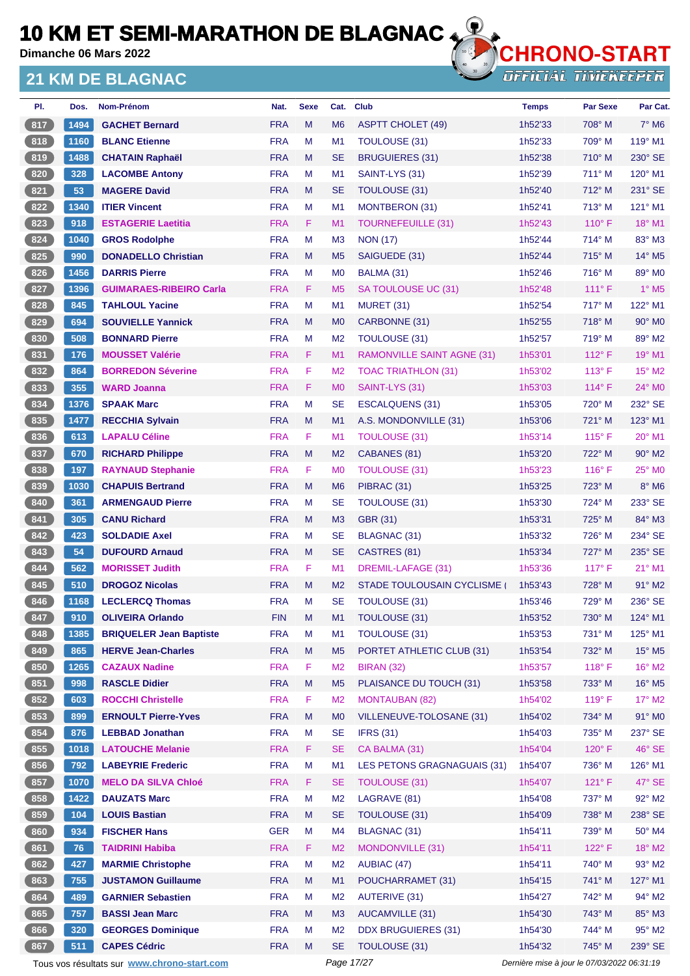**Dimanche 06 Mars 2022**

#### **21 KM DE BLAGNAC**



| PI.   | Dos. | Nom-Prénom                                  | Nat.       | <b>Sexe</b> | Cat.           | <b>Club</b>                        | <b>Temps</b>                                | <b>Par Sexe</b> | Par Cat.                    |
|-------|------|---------------------------------------------|------------|-------------|----------------|------------------------------------|---------------------------------------------|-----------------|-----------------------------|
| 817   | 1494 | <b>GACHET Bernard</b>                       | <b>FRA</b> | M           | M <sub>6</sub> | <b>ASPTT CHOLET (49)</b>           | 1h52'33                                     | 708° M          | $7^\circ$ M <sub>6</sub>    |
| 818   | 1160 | <b>BLANC Etienne</b>                        | <b>FRA</b> | M           | M <sub>1</sub> | <b>TOULOUSE (31)</b>               | 1h52'33                                     | 709° M          | $119°$ M1                   |
| 819   | 1488 | <b>CHATAIN Raphaël</b>                      | <b>FRA</b> | M           | <b>SE</b>      | <b>BRUGUIERES (31)</b>             | 1h52'38                                     | $710^\circ$ M   | 230° SE                     |
| 820   | 328  | <b>LACOMBE Antony</b>                       | <b>FRA</b> | M           | M <sub>1</sub> | SAINT-LYS (31)                     | 1h52'39                                     | $711^\circ$ M   | 120° M1                     |
| 821   | 53   | <b>MAGERE David</b>                         | <b>FRA</b> | M           | <b>SE</b>      | TOULOUSE (31)                      | 1h52'40                                     | 712° M          | $231^\circ$ SE              |
| 822   | 1340 | <b>ITIER Vincent</b>                        | <b>FRA</b> | М           | M <sub>1</sub> | <b>MONTBERON (31)</b>              | 1h52'41                                     | 713° M          | 121° M1                     |
| 823   | 918  | <b>ESTAGERIE Laetitia</b>                   | <b>FRA</b> | F           | M <sub>1</sub> | <b>TOURNEFEUILLE (31)</b>          | 1h52'43                                     | $110^{\circ}$ F | 18° M1                      |
| 824   | 1040 | <b>GROS Rodolphe</b>                        | <b>FRA</b> | M           | M <sub>3</sub> | <b>NON (17)</b>                    | 1h52'44                                     | 714° M          | $83^\circ$ M3               |
| 825   | 990  | <b>DONADELLO Christian</b>                  | <b>FRA</b> | M           | M <sub>5</sub> | SAIGUEDE (31)                      | 1h52'44                                     | $715^\circ$ M   | $14^{\circ}$ M <sub>5</sub> |
| 826   | 1456 | <b>DARRIS Pierre</b>                        | <b>FRA</b> | М           | M <sub>0</sub> | BALMA (31)                         | 1h52'46                                     | $716^\circ$ M   | 89° M0                      |
| 827   | 1396 | <b>GUIMARAES-RIBEIRO Carla</b>              | <b>FRA</b> | F.          | M <sub>5</sub> | SA TOULOUSE UC (31)                | 1h52'48                                     | $111^\circ$ F   | $1^\circ$ M <sub>5</sub>    |
| 828   | 845  | <b>TAHLOUL Yacine</b>                       | <b>FRA</b> | м           | M <sub>1</sub> | <b>MURET (31)</b>                  | 1h52'54                                     | $717^\circ$ M   | 122° M1                     |
| 829   | 694  | <b>SOUVIELLE Yannick</b>                    | <b>FRA</b> | M           | M <sub>0</sub> | CARBONNE (31)                      | 1h52'55                                     | 718° M          | $90^\circ$ M <sub>0</sub>   |
| 830   | 508  | <b>BONNARD Pierre</b>                       | <b>FRA</b> | M           | M <sub>2</sub> | TOULOUSE (31)                      | 1h52'57                                     | 719° M          | 89° M2                      |
| 831   | 176  | <b>MOUSSET Valérie</b>                      | <b>FRA</b> | F           | M <sub>1</sub> | <b>RAMONVILLE SAINT AGNE (31)</b>  | 1h53'01                                     | $112^{\circ}$ F | $19°$ M1                    |
| $832$ | 864  | <b>BORREDON Séverine</b>                    | <b>FRA</b> | F           | M <sub>2</sub> | <b>TOAC TRIATHLON (31)</b>         | 1h53'02                                     | $113^\circ$ F   | $15^{\circ}$ M2             |
| 833   | 355  | <b>WARD Joanna</b>                          | <b>FRA</b> | F.          | M <sub>0</sub> | SAINT-LYS (31)                     | 1h53'03                                     | $114^{\circ}$ F | $24^{\circ}$ MO             |
| 834   | 1376 | <b>SPAAK Marc</b>                           | <b>FRA</b> | M           | <b>SE</b>      | ESCALQUENS (31)                    | 1h53'05                                     | 720° M          | 232° SE                     |
| 835   | 1477 | <b>RECCHIA Sylvain</b>                      | <b>FRA</b> | M           | M <sub>1</sub> | A.S. MONDONVILLE (31)              | 1h53'06                                     | 721° M          | 123° M1                     |
| 836   | 613  | <b>LAPALU Céline</b>                        | <b>FRA</b> | F.          | M <sub>1</sub> | TOULOUSE (31)                      | 1h53'14                                     | $115^{\circ}$ F | $20^\circ$ M1               |
| 837   | 670  | <b>RICHARD Philippe</b>                     | <b>FRA</b> | M           | M <sub>2</sub> | CABANES (81)                       | 1h53'20                                     | 722° M          | $90^\circ$ M <sub>2</sub>   |
| 838   | 197  | <b>RAYNAUD Stephanie</b>                    | <b>FRA</b> | F           | M <sub>0</sub> | TOULOUSE (31)                      | 1h53'23                                     | $116^\circ$ F   | $25^\circ$ MO               |
| 839   | 1030 | <b>CHAPUIS Bertrand</b>                     | <b>FRA</b> | M           | M <sub>6</sub> | PIBRAC (31)                        | 1h53'25                                     | 723° M          | $8^\circ$ M <sub>6</sub>    |
| 840   | 361  | <b>ARMENGAUD Pierre</b>                     | <b>FRA</b> | M           | <b>SE</b>      | <b>TOULOUSE (31)</b>               | 1h53'30                                     | 724° M          | 233° SE                     |
| 841   | 305  | <b>CANU Richard</b>                         | <b>FRA</b> | M           | M <sub>3</sub> | GBR (31)                           | 1h53'31                                     | $725^\circ$ M   | 84° M3                      |
| 842   | 423  | <b>SOLDADIE Axel</b>                        | <b>FRA</b> | м           | <b>SE</b>      | BLAGNAC (31)                       | 1h53'32                                     | 726° M          | 234° SE                     |
| 843   | 54   | <b>DUFOURD Arnaud</b>                       | <b>FRA</b> | M           | <b>SE</b>      | CASTRES (81)                       | 1h53'34                                     | 727° M          | 235° SE                     |
| 844   | 562  | <b>MORISSET Judith</b>                      | <b>FRA</b> | F           | M <sub>1</sub> | DREMIL-LAFAGE (31)                 | 1h53'36                                     | $117^\circ$ F   | $21^{\circ}$ M1             |
| 845   | 510  | <b>DROGOZ Nicolas</b>                       | <b>FRA</b> | M           | M <sub>2</sub> | STADE TOULOUSAIN CYCLISME          | 1h53'43                                     | 728° M          | 91° M2                      |
| 846   | 1168 | <b>LECLERCQ Thomas</b>                      | <b>FRA</b> | м           | <b>SE</b>      | TOULOUSE (31)                      | 1h53'46                                     | 729° M          | 236° SE                     |
| 847   | 910  | <b>OLIVEIRA Orlando</b>                     | <b>FIN</b> | Μ           | M1             | TOULOUSE (31)                      | 1h53'52                                     | 730° M          | 124° M1                     |
| 848   | 1385 | <b>BRIQUELER Jean Baptiste</b>              | <b>FRA</b> | M           | M1             | TOULOUSE (31)                      | 1h53'53                                     | 731° M          | 125° M1                     |
| 849   | 865  | <b>HERVE Jean-Charles</b>                   | <b>FRA</b> | M           | M <sub>5</sub> | PORTET ATHLETIC CLUB (31)          | 1h53'54                                     | 732° M          | $15^{\circ}$ M <sub>5</sub> |
| 850   | 1265 | <b>CAZAUX Nadine</b>                        | <b>FRA</b> | F           | M <sub>2</sub> | <b>BIRAN (32)</b>                  | 1h53'57                                     | 118°F           | $16^{\circ}$ M2             |
| 851   | 998  | <b>RASCLE Didier</b>                        | <b>FRA</b> | ${\sf M}$   | M <sub>5</sub> | PLAISANCE DU TOUCH (31)            | 1h53'58                                     | 733° M          | 16° M5                      |
| 852   | 603  | <b>ROCCHI Christelle</b>                    | <b>FRA</b> | F           | M <sub>2</sub> | <b>MONTAUBAN (82)</b>              | 1h54'02                                     | 119°F           | $17^\circ$ M2               |
| 853   | 899  | <b>ERNOULT Pierre-Yves</b>                  | <b>FRA</b> | M           | M <sub>0</sub> | VILLENEUVE-TOLOSANE (31)           | 1h54'02                                     | 734° M          | 91° MO                      |
| 854   | 876  | <b>LEBBAD Jonathan</b>                      | <b>FRA</b> | M           | <b>SE</b>      | <b>IFRS (31)</b>                   | 1h54'03                                     | 735° M          | 237° SE                     |
| 855   | 1018 | <b>LATOUCHE Melanie</b>                     | <b>FRA</b> | F           | <b>SE</b>      | CA BALMA (31)                      | 1h54'04                                     | 120°F           | 46° SE                      |
| 856   | 792  | <b>LABEYRIE Frederic</b>                    | <b>FRA</b> | M           | M1             | <b>LES PETONS GRAGNAGUAIS (31)</b> | 1h54'07                                     | 736° M          | 126° M1                     |
| 857   | 1070 | <b>MELO DA SILVA Chloé</b>                  | <b>FRA</b> | F           | <b>SE</b>      | <b>TOULOUSE (31)</b>               | 1h54'07                                     | 121° F          | $47^\circ$ SE               |
| 858   | 1422 | <b>DAUZATS Marc</b>                         | <b>FRA</b> | M           | M <sub>2</sub> | LAGRAVE (81)                       | 1h54'08                                     | 737° M          | 92° M2                      |
| 859   | 104  | <b>LOUIS Bastian</b>                        | <b>FRA</b> | M           | <b>SE</b>      | TOULOUSE (31)                      | 1h54'09                                     | 738° M          | 238° SE                     |
| 860   |      | <b>FISCHER Hans</b>                         | <b>GER</b> | M           | M <sub>4</sub> | <b>BLAGNAC (31)</b>                |                                             | 739° M          | $50^\circ$ M4               |
|       | 934  |                                             |            |             |                |                                    | 1h54'11                                     |                 |                             |
| 861   | 76   | <b>TAIDRINI Habiba</b>                      | <b>FRA</b> | F           | M <sub>2</sub> | MONDONVILLE (31)                   | 1h54'11                                     | 122°F           | 18° M2                      |
| 862   | 427  | <b>MARMIE Christophe</b>                    | <b>FRA</b> | M           | M <sub>2</sub> | AUBIAC (47)                        | 1h54'11                                     | 740° M          | $93^\circ$ M2               |
| 863   | 755  | <b>JUSTAMON Guillaume</b>                   | <b>FRA</b> | M           | M1             | POUCHARRAMET (31)                  | 1h54'15                                     | 741° M          | 127° M1                     |
| 864   | 489  | <b>GARNIER Sebastien</b>                    | <b>FRA</b> | M           | M <sub>2</sub> | <b>AUTERIVE (31)</b>               | 1h54'27                                     | 742° M          | 94° M2                      |
| 865   | 757  | <b>BASSI Jean Marc</b>                      | <b>FRA</b> | M           | M3             | <b>AUCAMVILLE (31)</b>             | 1h54'30                                     | 743° M          | 85° M3                      |
| 866   | 320  | <b>GEORGES Dominique</b>                    | <b>FRA</b> | M           | M <sub>2</sub> | <b>DDX BRUGUIERES (31)</b>         | 1h54'30                                     | 744° M          | 95° M2                      |
| 867   | 511  | <b>CAPES Cédric</b>                         | <b>FRA</b> | M           | <b>SE</b>      | TOULOUSE (31)                      | 1h54'32                                     | 745° M          | 239° SE                     |
|       |      | Tous vos résultats sur www.chrono-start.com |            |             | Page 17/27     |                                    | Dernière mise à jour le 07/03/2022 06:31:19 |                 |                             |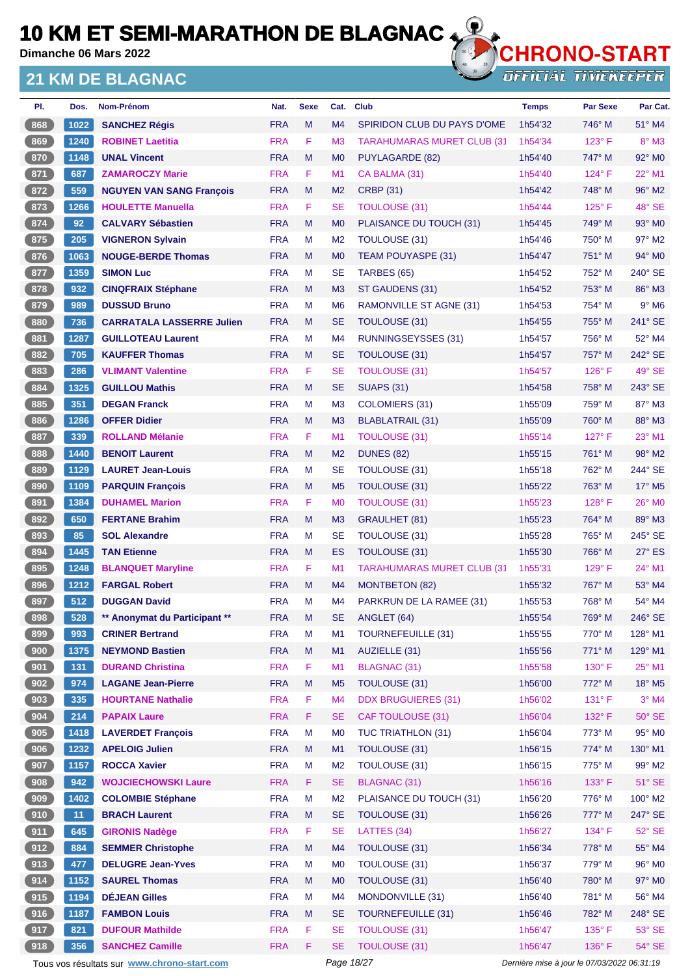**Dimanche 06 Mars 2022**

### **21 KM DE BLAGNAC**



**OFFICIAL TIMEKEEPER** 

| PI.   | Dos. | Nom-Prénom                       | Nat.       | <b>Sexe</b> | Cat.           | <b>Club</b>                       | <b>Temps</b> | <b>Par Sexe</b> | Par Cat.                  |
|-------|------|----------------------------------|------------|-------------|----------------|-----------------------------------|--------------|-----------------|---------------------------|
| 868   | 1022 | <b>SANCHEZ Régis</b>             | <b>FRA</b> | M           | M <sub>4</sub> | SPIRIDON CLUB DU PAYS D'OME       | 1h54'32      | 746° M          | 51° M4                    |
| 869   | 1240 | <b>ROBINET Laetitia</b>          | <b>FRA</b> | F           | M <sub>3</sub> | <b>TARAHUMARAS MURET CLUB (31</b> | 1h54'34      | $123^\circ$ F   | $8^\circ$ M3              |
| 870   | 1148 | <b>UNAL Vincent</b>              | <b>FRA</b> | M           | M <sub>0</sub> | PUYLAGARDE (82)                   | 1h54'40      | 747° M          | $92^\circ$ MO             |
| 871   | 687  | <b>ZAMAROCZY Marie</b>           | <b>FRA</b> | F           | M1             | CA BALMA (31)                     | 1h54'40      | $124^\circ$ F   | 22° M1                    |
| $872$ | 559  | <b>NGUYEN VAN SANG François</b>  | <b>FRA</b> | M           | M <sub>2</sub> | <b>CRBP (31)</b>                  | 1h54'42      | 748° M          | 96° M2                    |
| 873   | 1266 | <b>HOULETTE Manuella</b>         | <b>FRA</b> | F.          | <b>SE</b>      | <b>TOULOUSE (31)</b>              | 1h54'44      | $125^\circ$ F   | 48° SE                    |
| 874   | 92   | <b>CALVARY Sébastien</b>         | <b>FRA</b> | M           | M <sub>0</sub> | PLAISANCE DU TOUCH (31)           | 1h54'45      | 749° M          | $93^\circ$ MO             |
| 875   | 205  | <b>VIGNERON Sylvain</b>          | <b>FRA</b> | М           | M <sub>2</sub> | TOULOUSE (31)                     | 1h54'46      | $750^\circ$ M   | 97° M2                    |
| 876   | 1063 | <b>NOUGE-BERDE Thomas</b>        | <b>FRA</b> | M           | M <sub>0</sub> | <b>TEAM POUYASPE (31)</b>         | 1h54'47      | 751° M          | $94^\circ$ M <sub>0</sub> |
| 877   | 1359 | <b>SIMON Luc</b>                 | <b>FRA</b> | M           | <b>SE</b>      | TARBES (65)                       | 1h54'52      | 752° M          | $240^\circ$ SE            |
| 878   | 932  | <b>CINQFRAIX Stéphane</b>        | <b>FRA</b> | M           | M <sub>3</sub> | ST GAUDENS (31)                   | 1h54'52      | 753° M          | 86° M3                    |
| 879   | 989  | <b>DUSSUD Bruno</b>              | <b>FRA</b> | М           | M <sub>6</sub> | <b>RAMONVILLE ST AGNE (31)</b>    | 1h54'53      | 754° M          | $9°$ M6                   |
| 880   | 736  | <b>CARRATALA LASSERRE Julien</b> | <b>FRA</b> | M           | <b>SE</b>      | TOULOUSE (31)                     | 1h54'55      | 755° M          | 241° SE                   |
| $881$ | 1287 | <b>GUILLOTEAU Laurent</b>        | <b>FRA</b> | М           | M <sub>4</sub> | <b>RUNNINGSEYSSES (31)</b>        | 1h54'57      | 756° M          | 52° M4                    |
| 882   | 705  | <b>KAUFFER Thomas</b>            | <b>FRA</b> | M           | <b>SE</b>      | TOULOUSE (31)                     | 1h54'57      | 757° M          | 242° SE                   |
| 883   | 286  | <b>VLIMANT Valentine</b>         | <b>FRA</b> | F.          | <b>SE</b>      | <b>TOULOUSE (31)</b>              | 1h54'57      | $126^\circ$ F   | 49° SE                    |
| 884   | 1325 | <b>GUILLOU Mathis</b>            | <b>FRA</b> | M           | <b>SE</b>      | <b>SUAPS (31)</b>                 | 1h54'58      | 758° M          | 243° SE                   |
| 885   | 351  | <b>DEGAN Franck</b>              | <b>FRA</b> | М           | M <sub>3</sub> | COLOMIERS (31)                    | 1h55'09      | 759° M          | 87° M3                    |
| 886   | 1286 | <b>OFFER Didier</b>              | <b>FRA</b> | M           | M <sub>3</sub> | BLABLATRAIL (31)                  | 1h55'09      | $760^\circ$ M   | 88° M3                    |
| 887   | 339  | <b>ROLLAND Mélanie</b>           | <b>FRA</b> | F.          | M <sub>1</sub> | <b>TOULOUSE (31)</b>              | 1h55'14      | $127^\circ$ F   | 23° M1                    |
| 888   | 1440 | <b>BENOIT Laurent</b>            | <b>FRA</b> | M           | M <sub>2</sub> | <b>DUNES (82)</b>                 | 1h55'15      | 761° M          | 98° M2                    |
| 889   | 1129 | <b>LAURET Jean-Louis</b>         | <b>FRA</b> | М           | <b>SE</b>      | TOULOUSE (31)                     | 1h55'18      | 762° M          | 244° SE                   |
| 890   | 1109 | <b>PARQUIN François</b>          | <b>FRA</b> | M           | M <sub>5</sub> | TOULOUSE (31)                     | 1h55'22      | 763° M          | 17° M5                    |
| 891   | 1384 | <b>DUHAMEL Marion</b>            | <b>FRA</b> | F           | M <sub>0</sub> | <b>TOULOUSE (31)</b>              | 1h55'23      | $128^\circ$ F   | 26° MO                    |
| 892   | 650  | <b>FERTANE Brahim</b>            | <b>FRA</b> | M           | M <sub>3</sub> | <b>GRAULHET (81)</b>              | 1h55'23      | $764^\circ$ M   | 89° M3                    |
| 893   | 85   | <b>SOL Alexandre</b>             | <b>FRA</b> | М           | <b>SE</b>      | TOULOUSE (31)                     | 1h55'28      | 765° M          | 245° SE                   |
| 894   | 1445 | <b>TAN Etienne</b>               | <b>FRA</b> | M           | <b>ES</b>      | TOULOUSE (31)                     | 1h55'30      | 766° M          | $27^\circ$ ES             |
| 895   | 1248 | <b>BLANQUET Maryline</b>         | <b>FRA</b> | F.          | M <sub>1</sub> | <b>TARAHUMARAS MURET CLUB (31</b> | 1h55'31      | $129^\circ$ F   | 24° M1                    |
| 896   | 1212 | <b>FARGAL Robert</b>             | <b>FRA</b> | M           | M <sub>4</sub> | <b>MONTBETON (82)</b>             | 1h55'32      | 767° M          | 53° M4                    |
| 897   | 512  | <b>DUGGAN David</b>              | <b>FRA</b> | M           | M4             | PARKRUN DE LA RAMEE (31)          | 1h55'53      | 768° M          | 54° M4                    |
| 898   | 528  | ** Anonymat du Participant **    | <b>FRA</b> | M           | <b>SE</b>      | ANGLET (64)                       | 1h55'54      | 769° M          | 246° SE                   |
| $899$ | 993  | <b>CRINER Bertrand</b>           | <b>FRA</b> | M           | M1             | <b>TOURNEFEUILLE (31)</b>         | 1h55'55      | 770° M          | 128° M1                   |
| 900   | 1375 | <b>NEYMOND Bastien</b>           | <b>FRA</b> | M           | M1             | AUZIELLE (31)                     | 1h55'56      | 771° M          | 129° M1                   |
| 901   | 131  | <b>DURAND Christina</b>          | <b>FRA</b> | F           | M1             | BLAGNAC (31)                      | 1h55'58      | 130° F          | 25° M1                    |
| 902   | 974  | <b>LAGANE Jean-Pierre</b>        | <b>FRA</b> | M           | M <sub>5</sub> | TOULOUSE (31)                     | 1h56'00      | 772° M          | 18° M5                    |
| 903   | 335  | <b>HOURTANE Nathalie</b>         | <b>FRA</b> | F           | M4             | <b>DDX BRUGUIERES (31)</b>        | 1h56'02      | $131^\circ$ F   | $3°$ M4                   |
| 904   | 214  | <b>PAPAIX Laure</b>              | <b>FRA</b> | F.          | <b>SE</b>      | <b>CAF TOULOUSE (31)</b>          | 1h56'04      | 132° F          | $50^\circ$ SE             |
| 905   | 1418 | <b>LAVERDET François</b>         | <b>FRA</b> | M           | M <sub>0</sub> | <b>TUC TRIATHLON (31)</b>         | 1h56'04      | 773° M          | 95° MO                    |
| 906   | 1232 | <b>APELOIG Julien</b>            | <b>FRA</b> | M           | M1             | <b>TOULOUSE (31)</b>              | 1h56'15      | 774° M          | 130° M1                   |
| 907   | 1157 | <b>ROCCA Xavier</b>              | <b>FRA</b> | M           | M <sub>2</sub> | TOULOUSE (31)                     | 1h56'15      | 775° M          | 99° M2                    |
| 908   | 942  | <b>WOJCIECHOWSKI Laure</b>       | <b>FRA</b> | F.          | <b>SE</b>      | <b>BLAGNAC (31)</b>               | 1h56'16      | $133^\circ$ F   | $51^\circ$ SE             |
| 909   | 1402 | <b>COLOMBIE Stéphane</b>         | <b>FRA</b> | M           | M <sub>2</sub> | PLAISANCE DU TOUCH (31)           | 1h56'20      | 776° M          | 100° M2                   |
| (910) | 11   | <b>BRACH Laurent</b>             | <b>FRA</b> | M           | <b>SE</b>      | TOULOUSE (31)                     | 1h56'26      | 777° M          | 247° SE                   |
| 911   | 645  | <b>GIRONIS Nadège</b>            | <b>FRA</b> | F           | <b>SE</b>      | LATTES (34)                       | 1h56'27      | 134°F           | $52^\circ$ SE             |
| 912   | 884  | <b>SEMMER Christophe</b>         | <b>FRA</b> | M           | M4             | TOULOUSE (31)                     | 1h56'34      | 778° M          | 55° M4                    |
| 913   | 477  | <b>DELUGRE Jean-Yves</b>         | <b>FRA</b> | M           | M <sub>0</sub> | TOULOUSE (31)                     | 1h56'37      | 779° M          | 96° M0                    |
| 914   | 1152 | <b>SAUREL Thomas</b>             | <b>FRA</b> | M           | M <sub>0</sub> | TOULOUSE (31)                     | 1h56'40      | 780° M          | 97° M0                    |
| 915   | 1194 | <b>DÉJEAN Gilles</b>             | <b>FRA</b> | M           | M4             | MONDONVILLE (31)                  | 1h56'40      | 781° M          | 56° M4                    |
| (916) | 1187 | <b>FAMBON Louis</b>              | <b>FRA</b> | M           | <b>SE</b>      | <b>TOURNEFEUILLE (31)</b>         | 1h56'46      | 782° M          | 248° SE                   |
| 917   | 821  | <b>DUFOUR Mathilde</b>           | <b>FRA</b> | F           | <b>SE</b>      | <b>TOULOUSE (31)</b>              | 1h56'47      | 135° F          | 53° SE                    |
| 918   | 356  | <b>SANCHEZ Camille</b>           | <b>FRA</b> | F           | <b>SE</b>      | <b>TOULOUSE (31)</b>              | 1h56'47      | 136°F           | 54° SE                    |

Tous vos résultats sur **[www.chrono-start.com](https://www.chrono-start.com/)** Page 18/27 Page 18/27 Dernière mise à jour le 07/03/2022 06:31:19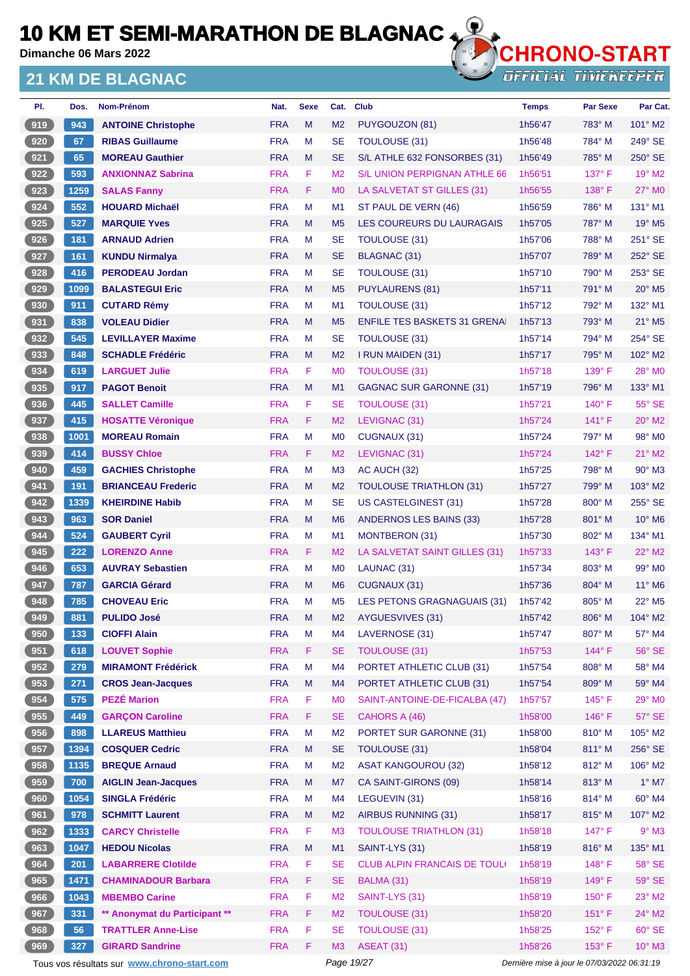**Dimanche 06 Mars 2022**

### **21 KM DE BLAGNAC**



**OFFICIAL TIMEKEEPER** 

| PI.               | Dos. | <b>Nom-Prénom</b>             | Nat.       | <b>Sexe</b> | Cat.           | <b>Club</b>                         | <b>Temps</b> | <b>Par Sexe</b> | Par Cat.                    |
|-------------------|------|-------------------------------|------------|-------------|----------------|-------------------------------------|--------------|-----------------|-----------------------------|
| 919               | 943  | <b>ANTOINE Christophe</b>     | <b>FRA</b> | M           | M <sub>2</sub> | PUYGOUZON (81)                      | 1h56'47      | 783° M          | $101^\circ$ M2              |
| 920               | 67   | <b>RIBAS Guillaume</b>        | <b>FRA</b> | М           | <b>SE</b>      | <b>TOULOUSE (31)</b>                | 1h56'48      | 784° M          | 249° SE                     |
| 921               | 65   | <b>MOREAU Gauthier</b>        | <b>FRA</b> | M           | <b>SE</b>      | S/L ATHLE 632 FONSORBES (31)        | 1h56'49      | 785° M          | $250^\circ$ SE              |
| 922               | 593  | <b>ANXIONNAZ Sabrina</b>      | <b>FRA</b> | F           | M <sub>2</sub> | S/L UNION PERPIGNAN ATHLE 66        | 1h56'51      | $137^\circ$ F   | 19° M2                      |
| 923               | 1259 | <b>SALAS Fanny</b>            | <b>FRA</b> | F           | M <sub>0</sub> | LA SALVETAT ST GILLES (31)          | 1h56'55      | 138°F           | 27° M0                      |
| 924               | 552  | <b>HOUARD Michaël</b>         | <b>FRA</b> | M           | M <sub>1</sub> | ST PAUL DE VERN (46)                | 1h56'59      | 786° M          | $131^\circ$ M1              |
| 925               | 527  | <b>MARQUIE Yves</b>           | <b>FRA</b> | M           | M <sub>5</sub> | LES COUREURS DU LAURAGAIS           | 1h57'05      | 787° M          | 19° M5                      |
| 926               | 181  | <b>ARNAUD Adrien</b>          | <b>FRA</b> | M           | <b>SE</b>      | <b>TOULOUSE (31)</b>                | 1h57'06      | 788° M          | $251^\circ$ SE              |
| 927               | 161  | <b>KUNDU Nirmalya</b>         | <b>FRA</b> | M           | <b>SE</b>      | <b>BLAGNAC (31)</b>                 | 1h57'07      | 789° M          | 252° SE                     |
| 928               | 416  | <b>PERODEAU Jordan</b>        | <b>FRA</b> | М           | <b>SE</b>      | <b>TOULOUSE (31)</b>                | 1h57'10      | 790° M          | 253° SE                     |
| 929               | 1099 | <b>BALASTEGUI Eric</b>        | <b>FRA</b> | M           | M <sub>5</sub> | PUYLAURENS (81)                     | 1h57'11      | 791° M          | $20^\circ$ M <sub>5</sub>   |
| 930               | 911  | <b>CUTARD Rémy</b>            | <b>FRA</b> | М           | M <sub>1</sub> | <b>TOULOUSE (31)</b>                | 1h57'12      | 792° M          | 132° M1                     |
| 931               | 838  | <b>VOLEAU Didier</b>          | <b>FRA</b> | M           | M <sub>5</sub> | <b>ENFILE TES BASKETS 31 GRENA</b>  | 1h57'13      | 793° M          | 21° M5                      |
| 932               | 545  | <b>LEVILLAYER Maxime</b>      | <b>FRA</b> | M           | <b>SE</b>      | TOULOUSE (31)                       | 1h57'14      | 794° M          | 254° SE                     |
| 933               | 848  | <b>SCHADLE Frédéric</b>       | <b>FRA</b> | M           | M <sub>2</sub> | I RUN MAIDEN (31)                   | 1h57'17      | 795° M          | 102° M2                     |
| $934$             | 619  | <b>LARGUET Julie</b>          | <b>FRA</b> | F           | M <sub>0</sub> | <b>TOULOUSE (31)</b>                | 1h57'18      | $139^\circ$ F   | 28° M0                      |
| 935               | 917  | <b>PAGOT Benoit</b>           | <b>FRA</b> | M           | M <sub>1</sub> | GAGNAC SUR GARONNE (31)             | 1h57'19      | 796° M          | 133° M1                     |
| 936               | 445  | <b>SALLET Camille</b>         | <b>FRA</b> | F           | <b>SE</b>      | TOULOUSE (31)                       | 1h57'21      | 140° F          | 55° SE                      |
| 937               | 415  | <b>HOSATTE Véronique</b>      | <b>FRA</b> | F           | M <sub>2</sub> | LEVIGNAC (31)                       | 1h57'24      | $141^\circ$ F   | $20^\circ$ M2               |
| 938               | 1001 | <b>MOREAU Romain</b>          | <b>FRA</b> | M           | M <sub>0</sub> | CUGNAUX (31)                        | 1h57'24      | 797° M          | 98° M <sub>0</sub>          |
| 939               | 414  | <b>BUSSY Chloe</b>            | <b>FRA</b> | F           | M <sub>2</sub> | LEVIGNAC (31)                       | 1h57'24      | $142^{\circ}$ F | $21^{\circ}$ M2             |
| 940               | 459  | <b>GACHIES Christophe</b>     | <b>FRA</b> | M           | M <sub>3</sub> | AC AUCH (32)                        | 1h57'25      | 798° M          | $90^\circ$ M3               |
| 941               | 191  | <b>BRIANCEAU Frederic</b>     | <b>FRA</b> | M           | M <sub>2</sub> | <b>TOULOUSE TRIATHLON (31)</b>      | 1h57'27      | $799^\circ$ M   | $103^\circ$ M2              |
| 942               | 1339 | <b>KHEIRDINE Habib</b>        | <b>FRA</b> | М           | <b>SE</b>      | <b>US CASTELGINEST (31)</b>         | 1h57'28      | 800° M          | 255° SE                     |
| 943               | 963  | <b>SOR Daniel</b>             | <b>FRA</b> | M           | M <sub>6</sub> | ANDERNOS LES BAINS (33)             | 1h57'28      | $801^\circ$ M   | $10^{\circ}$ M <sub>6</sub> |
| 944               | 524  | <b>GAUBERT Cyril</b>          | <b>FRA</b> | м           | M <sub>1</sub> | <b>MONTBERON (31)</b>               | 1h57'30      | 802° M          | 134° M1                     |
| 945               | 222  | <b>LORENZO Anne</b>           | <b>FRA</b> | F           | M <sub>2</sub> | LA SALVETAT SAINT GILLES (31)       | 1h57'33      | $143^\circ$ F   | $22^{\circ}$ M <sub>2</sub> |
| 946               | 653  | <b>AUVRAY Sebastien</b>       | <b>FRA</b> | м           | M <sub>0</sub> | LAUNAC (31)                         | 1h57'34      | 803° M          | $99^\circ$ M <sub>0</sub>   |
| 947               | 787  | <b>GARCIA Gérard</b>          | <b>FRA</b> | M           | M <sub>6</sub> | CUGNAUX (31)                        | 1h57'36      | 804° M          | $11^{\circ}$ M <sub>6</sub> |
| 948               | 785  | <b>CHOVEAU Eric</b>           | <b>FRA</b> | M           | M <sub>5</sub> | LES PETONS GRAGNAGUAIS (31)         | 1h57'42      | 805° M          | $22^{\circ}$ M <sub>5</sub> |
| 949               | 881  | <b>PULIDO José</b>            | <b>FRA</b> | M           | M <sub>2</sub> | AYGUESVIVES (31)                    | 1h57'42      | 806° M          | 104° M2                     |
| 950               | 133  | <b>CIOFFI Alain</b>           | <b>FRA</b> | M           | M4             | LAVERNOSE (31)                      | 1h57'47      | 807° M          | 57° M4                      |
| $\frac{6}{3}$ 951 | 618  | <b>LOUVET Sophie</b>          | <b>FRA</b> | F           | <b>SE</b>      | <b>TOULOUSE (31)</b>                | 1h57'53      | $144^\circ$ F   | 56° SE                      |
| 952               | 279  | <b>MIRAMONT Frédérick</b>     | <b>FRA</b> | M           | M <sub>4</sub> | PORTET ATHLETIC CLUB (31)           | 1h57'54      | 808° M          | 58° M4                      |
| 953               | 271  | <b>CROS Jean-Jacques</b>      | <b>FRA</b> | M           | M <sub>4</sub> | PORTET ATHLETIC CLUB (31)           | 1h57'54      | 809° M          | 59° M4                      |
| 954               | 575  | <b>PEZÉ Marion</b>            | <b>FRA</b> | F           | M <sub>0</sub> | SAINT-ANTOINE-DE-FICALBA (47)       | 1h57'57      | $145^\circ$ F   | 29° MO                      |
| 955               | 449  | <b>GARÇON Caroline</b>        | <b>FRA</b> | F           | <b>SE</b>      | CAHORS A (46)                       | 1h58'00      | 146°F           | 57° SE                      |
| 956               | 898  | <b>LLAREUS Matthieu</b>       | <b>FRA</b> | M           | M <sub>2</sub> | PORTET SUR GARONNE (31)             | 1h58'00      | 810° M          | 105° M2                     |
| 957               | 1394 | <b>COSQUER Cedric</b>         | <b>FRA</b> | M           | <b>SE</b>      | TOULOUSE (31)                       | 1h58'04      | 811° M          | 256° SE                     |
| 958               | 1135 | <b>BREQUE Arnaud</b>          | <b>FRA</b> | M           | M <sub>2</sub> | <b>ASAT KANGOUROU (32)</b>          | 1h58'12      | 812° M          | 106° M2                     |
| 959               | 700  | <b>AIGLIN Jean-Jacques</b>    | <b>FRA</b> | M           | M7             | CA SAINT-GIRONS (09)                | 1h58'14      | 813° M          | $1^\circ$ M7                |
| 960               | 1054 | <b>SINGLA Frédéric</b>        | <b>FRA</b> | M           | M <sub>4</sub> | LEGUEVIN (31)                       | 1h58'16      | 814° M          | 60° M4                      |
| 961               | 978  | <b>SCHMITT Laurent</b>        | <b>FRA</b> | M           | M <sub>2</sub> | AIRBUS RUNNING (31)                 | 1h58'17      | 815° M          | $107^\circ$ M2              |
| 962               | 1333 | <b>CARCY Christelle</b>       | <b>FRA</b> | F           | M3             | <b>TOULOUSE TRIATHLON (31)</b>      | 1h58'18      | 147°F           | $9°$ M3                     |
| 963               | 1047 | <b>HEDOU Nicolas</b>          | <b>FRA</b> | M           | M1             | SAINT-LYS (31)                      | 1h58'19      | $816^\circ$ M   | 135° M1                     |
| 964               | 201  | <b>LABARRERE Clotilde</b>     | <b>FRA</b> | F           | <b>SE</b>      | <b>CLUB ALPIN FRANCAIS DE TOULO</b> | 1h58'19      | $148^\circ$ F   | 58° SE                      |
| 965               | 1471 | <b>CHAMINADOUR Barbara</b>    | <b>FRA</b> | F           | <b>SE</b>      | BALMA (31)                          | 1h58'19      | 149°F           | 59° SE                      |
| 966               | 1043 | <b>MBEMBO Carine</b>          | <b>FRA</b> | F           | M <sub>2</sub> | SAINT-LYS (31)                      | 1h58'19      | $150^\circ$ F   | $23^\circ$ M2               |
| 967               | 331  | ** Anonymat du Participant ** | <b>FRA</b> | F           | M2             | <b>TOULOUSE (31)</b>                | 1h58'20      | $151^\circ$ F   | 24° M2                      |
| 968               | 56   | <b>TRATTLER Anne-Lise</b>     | <b>FRA</b> | F           | <b>SE</b>      | <b>TOULOUSE (31)</b>                | 1h58'25      | 152°F           | $60^\circ$ SE               |
| 969               | 327  | <b>GIRARD Sandrine</b>        | <b>FRA</b> | F           | M3             | ASEAT (31)                          | 1h58'26      | 153° F          | $10^{\circ}$ M3             |
|                   |      |                               |            |             |                |                                     |              |                 |                             |

Tous vos résultats sur **[www.chrono-start.com](https://www.chrono-start.com/)** Page 19/27 Page 19/27 Dernière mise à jour le 07/03/2022 06:31:19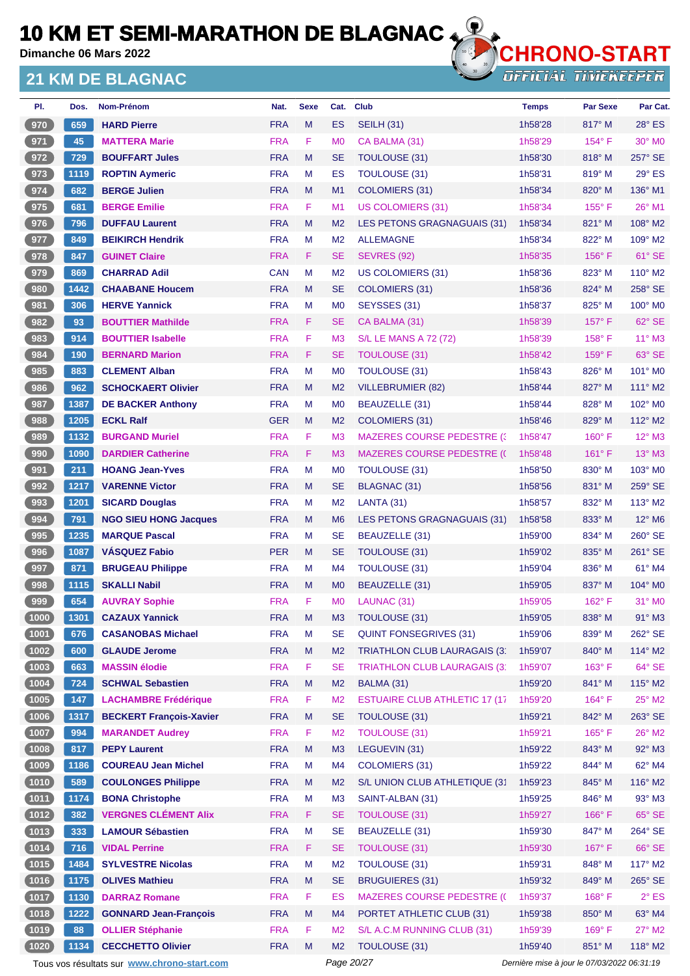**Dimanche 06 Mars 2022**

### **21 KM DE BLAGNAC**



**OFFICIAL TIMEKEEPER** 

| PI.             | Dos.  | <b>Nom-Prénom</b>              | Nat.       | <b>Sexe</b> | Cat.           | <b>Club</b>                           | <b>Temps</b> | <b>Par Sexe</b> | Par Cat.                    |
|-----------------|-------|--------------------------------|------------|-------------|----------------|---------------------------------------|--------------|-----------------|-----------------------------|
| 970             | 659   | <b>HARD Pierre</b>             | <b>FRA</b> | M           | <b>ES</b>      | <b>SEILH (31)</b>                     | 1h58'28      | 817° M          | $28^\circ$ ES               |
| 971             | 45    | <b>MATTERA Marie</b>           | <b>FRA</b> | F           | M <sub>0</sub> | CA BALMA (31)                         | 1h58'29      | $154^{\circ}$ F | $30^\circ$ MO               |
| 972             | 729   | <b>BOUFFART Jules</b>          | <b>FRA</b> | M           | <b>SE</b>      | <b>TOULOUSE (31)</b>                  | 1h58'30      | $818^\circ$ M   | 257° SE                     |
| 973             | 1119  | <b>ROPTIN Aymeric</b>          | <b>FRA</b> | M           | ES             | <b>TOULOUSE (31)</b>                  | 1h58'31      | 819° M          | 29° ES                      |
| 974             | 682   | <b>BERGE Julien</b>            | <b>FRA</b> | M           | M <sub>1</sub> | COLOMIERS (31)                        | 1h58'34      | $820^\circ$ M   | 136° M1                     |
| 975             | 681   | <b>BERGE Emilie</b>            | <b>FRA</b> | F           | M <sub>1</sub> | <b>US COLOMIERS (31)</b>              | 1h58'34      | $155^{\circ}$ F | 26° M1                      |
| 976             | 796   | <b>DUFFAU Laurent</b>          | <b>FRA</b> | M           | M <sub>2</sub> | LES PETONS GRAGNAGUAIS (31)           | 1h58'34      | $821^\circ$ M   | $108^\circ$ M2              |
| 977             | 849   | <b>BEIKIRCH Hendrik</b>        | <b>FRA</b> | M           | M <sub>2</sub> | <b>ALLEMAGNE</b>                      | 1h58'34      | 822° M          | $109^\circ$ M2              |
| 978             | 847   | <b>GUINET Claire</b>           | <b>FRA</b> | F           | <b>SE</b>      | <b>SEVRES (92)</b>                    | 1h58'35      | $156^\circ$ F   | 61° SE                      |
| 979             | 869   | <b>CHARRAD Adil</b>            | <b>CAN</b> | м           | M <sub>2</sub> | <b>US COLOMIERS (31)</b>              | 1h58'36      | 823° M          | $110^\circ$ M2              |
| $\frac{980}{ }$ | 1442  | <b>CHAABANE Houcem</b>         | <b>FRA</b> | M           | <b>SE</b>      | COLOMIERS (31)                        | 1h58'36      | 824° M          | 258° SE                     |
| 981             | 306   | <b>HERVE Yannick</b>           | <b>FRA</b> | M           | M <sub>0</sub> | SEYSSES (31)                          | 1h58'37      | 825° M          | $100^\circ$ MO              |
| 982             | 93    | <b>BOUTTIER Mathilde</b>       | <b>FRA</b> | F           | <b>SE</b>      | CA BALMA (31)                         | 1h58'39      | $157^\circ$ F   | 62° SE                      |
| 983             | 914   | <b>BOUTTIER Isabelle</b>       | <b>FRA</b> | F           | M <sub>3</sub> | <b>S/L LE MANS A 72 (72)</b>          | 1h58'39      | $158^\circ$ F   | $11^{\circ}$ M3             |
| 984             | 190   | <b>BERNARD Marion</b>          | <b>FRA</b> | F           | <b>SE</b>      | TOULOUSE (31)                         | 1h58'42      | 159°F           | 63° SE                      |
| 985             | 883   | <b>CLEMENT Alban</b>           | <b>FRA</b> | м           | M <sub>0</sub> | TOULOUSE (31)                         | 1h58'43      | 826° M          | 101° MO                     |
| 986             | 962   | <b>SCHOCKAERT Olivier</b>      | <b>FRA</b> | M           | M <sub>2</sub> | <b>VILLEBRUMIER (82)</b>              | 1h58'44      | 827° M          | 111° M2                     |
| 987             | 1387  | <b>DE BACKER Anthony</b>       | <b>FRA</b> | M           | M <sub>0</sub> | BEAUZELLE (31)                        | 1h58'44      | 828° M          | $102^\circ$ MO              |
| 988             | 1205  | <b>ECKL Ralf</b>               | <b>GER</b> | M           | M <sub>2</sub> | <b>COLOMIERS (31)</b>                 | 1h58'46      | 829° M          | $112^\circ$ M2              |
| 989             | 1132  | <b>BURGAND Muriel</b>          | <b>FRA</b> | F           | M <sub>3</sub> | <b>MAZERES COURSE PEDESTRE (3)</b>    | 1h58'47      | 160° F          | $12^{\circ}$ M3             |
| 990             | 1090  | <b>DARDIER Catherine</b>       | <b>FRA</b> | F           | M <sub>3</sub> | <b>MAZERES COURSE PEDESTRE (()</b>    | 1h58'48      | $161^\circ$ F   | $13^\circ$ M3               |
| 991             | 211   | <b>HOANG Jean-Yves</b>         | <b>FRA</b> | M           | M <sub>0</sub> | <b>TOULOUSE (31)</b>                  | 1h58'50      | 830° M          | 103° M0                     |
| 992             | 1217  | <b>VARENNE Victor</b>          | <b>FRA</b> | M           | <b>SE</b>      | <b>BLAGNAC (31)</b>                   | 1h58'56      | 831° M          | $259^\circ$ SE              |
| 993             | 1201  | <b>SICARD Douglas</b>          | <b>FRA</b> | M           | M <sub>2</sub> | LANTA (31)                            | 1h58'57      | 832° M          | $113^\circ$ M2              |
| 994             | 791   | <b>NGO SIEU HONG Jacques</b>   | <b>FRA</b> | M           | M <sub>6</sub> | LES PETONS GRAGNAGUAIS (31)           | 1h58'58      | $833^\circ$ M   | $12^{\circ}$ M <sub>6</sub> |
| 995             | 1235  | <b>MARQUE Pascal</b>           | <b>FRA</b> | M           | <b>SE</b>      | BEAUZELLE (31)                        | 1h59'00      | 834° M          | 260° SE                     |
| 996             | 1087  | <b>VASQUEZ Fabio</b>           | <b>PER</b> | M           | <b>SE</b>      | TOULOUSE (31)                         | 1h59'02      | $835^\circ$ M   | 261° SE                     |
| 997             | 871   | <b>BRUGEAU Philippe</b>        | <b>FRA</b> | м           | M <sub>4</sub> | <b>TOULOUSE (31)</b>                  | 1h59'04      | 836° M          | 61° M4                      |
| 998             | 1115  | <b>SKALLI Nabil</b>            | <b>FRA</b> | M           | M <sub>0</sub> | BEAUZELLE (31)                        | 1h59'05      | $837^\circ$ M   | $104^\circ$ MO              |
| 999             | 654   | <b>AUVRAY Sophie</b>           | <b>FRA</b> | F           | M <sub>0</sub> | LAUNAC (31)                           | 1h59'05      | $162^{\circ}$ F | $31^\circ$ MO               |
| 【 1000 】        | 1301  | <b>CAZAUX Yannick</b>          | <b>FRA</b> | м           | M <sub>3</sub> | <b>TOULOUSE (31)</b>                  | 1h59'05      | 838° M          | $91^\circ$ M3               |
| (1001)          | 676   | <b>CASANOBAS Michael</b>       | <b>FRA</b> | M           | <b>SE</b>      | <b>QUINT FONSEGRIVES (31)</b>         | 1h59'06      | 839° M          | 262° SE                     |
| (1002)          | 600   | <b>GLAUDE Jerome</b>           | <b>FRA</b> | M           | M <sub>2</sub> | <b>TRIATHLON CLUB LAURAGAIS (3)</b>   | 1h59'07      | 840° M          | 114° M2                     |
| (1003)          | 663   | <b>MASSIN élodie</b>           | <b>FRA</b> | F           | <b>SE</b>      | <b>TRIATHLON CLUB LAURAGAIS (3)</b>   | 1h59'07      | $163^\circ$ F   | 64° SE                      |
| (1004)          | $724$ | <b>SCHWAL Sebastien</b>        | <b>FRA</b> | M           | M <sub>2</sub> | BALMA (31)                            | 1h59'20      | 841° M          | 115° M2                     |
| (1005)          | 147   | <b>LACHAMBRE Frédérique</b>    | <b>FRA</b> | F.          | M <sub>2</sub> | <b>ESTUAIRE CLUB ATHLETIC 17 (17)</b> | 1h59'20      | $164^\circ$ F   | 25° M2                      |
| (1006)          | 1317  | <b>BECKERT Francois-Xavier</b> | <b>FRA</b> | M           | <b>SE</b>      | <b>TOULOUSE (31)</b>                  | 1h59'21      | 842° M          | 263° SE                     |
| (1007)          | 994   | <b>MARANDET Audrey</b>         | <b>FRA</b> | F           | M <sub>2</sub> | <b>TOULOUSE (31)</b>                  | 1h59'21      | $165^\circ$ F   | $26^{\circ}$ M2             |
| (1008)          | 817   | <b>PEPY Laurent</b>            | <b>FRA</b> | M           | M <sub>3</sub> | LEGUEVIN (31)                         | 1h59'22      | 843° M          | 92° M3                      |
| (1009)          | 1186  | <b>COUREAU Jean Michel</b>     | <b>FRA</b> | M           | M4             | <b>COLOMIERS (31)</b>                 | 1h59'22      | 844° M          | 62° M4                      |
| (1010)          | 589   | <b>COULONGES Philippe</b>      | <b>FRA</b> | M           | M <sub>2</sub> | S/L UNION CLUB ATHLETIQUE (31         | 1h59'23      | 845° M          | 116° M2                     |
| $(1011)$        | 1174  | <b>BONA Christophe</b>         | <b>FRA</b> | M           | M <sub>3</sub> | SAINT-ALBAN (31)                      | 1h59'25      | 846° M          | 93° M3                      |
| (1012)          | 382   | <b>VERGNES CLÉMENT Alix</b>    | <b>FRA</b> | F           | <b>SE</b>      | <b>TOULOUSE (31)</b>                  | 1h59'27      | 166°F           | $65^\circ$ SE               |
| (1013)          | 333   | <b>LAMOUR Sébastien</b>        | <b>FRA</b> | M           | <b>SE</b>      | BEAUZELLE (31)                        | 1h59'30      | 847° M          | 264° SE                     |
| (1014)          | 716   | <b>VIDAL Perrine</b>           | <b>FRA</b> | F           | <b>SE</b>      | <b>TOULOUSE (31)</b>                  | 1h59'30      | $167^\circ$ F   | 66° SE                      |
| (1015)          | 1484  | <b>SYLVESTRE Nicolas</b>       | <b>FRA</b> | M           | M <sub>2</sub> | <b>TOULOUSE (31)</b>                  | 1h59'31      | 848° M          | 117° M2                     |
| (1016)          | 1175  | <b>OLIVES Mathieu</b>          | <b>FRA</b> | M           | <b>SE</b>      | <b>BRUGUIERES (31)</b>                | 1h59'32      | 849° M          | 265° SE                     |
| (1017)          | 1130  | <b>DARRAZ Romane</b>           | <b>FRA</b> | F           | ES             | <b>MAZERES COURSE PEDESTRE (C</b>     | 1h59'37      | $168^\circ$ F   | $2^{\circ}$ ES              |
| (1018)          | 1222  | <b>GONNARD Jean-François</b>   | <b>FRA</b> | M           | M4             | PORTET ATHLETIC CLUB (31)             | 1h59'38      | $850^\circ$ M   | 63° M4                      |
| (1019)          | 88    | <b>OLLIER Stéphanie</b>        | <b>FRA</b> | F           | M <sub>2</sub> | S/L A.C.M RUNNING CLUB (31)           | 1h59'39      | 169°F           | 27° M2                      |
| (1020)          | 1134  | <b>CECCHETTO Olivier</b>       | <b>FRA</b> | M           | M <sub>2</sub> | TOULOUSE (31)                         | 1h59'40      | 851° M          | 118° M2                     |

Tous vos résultats sur **[www.chrono-start.com](https://www.chrono-start.com/)** Page 20/27 Page 20/27 Dernière mise à jour le 07/03/2022 06:31:19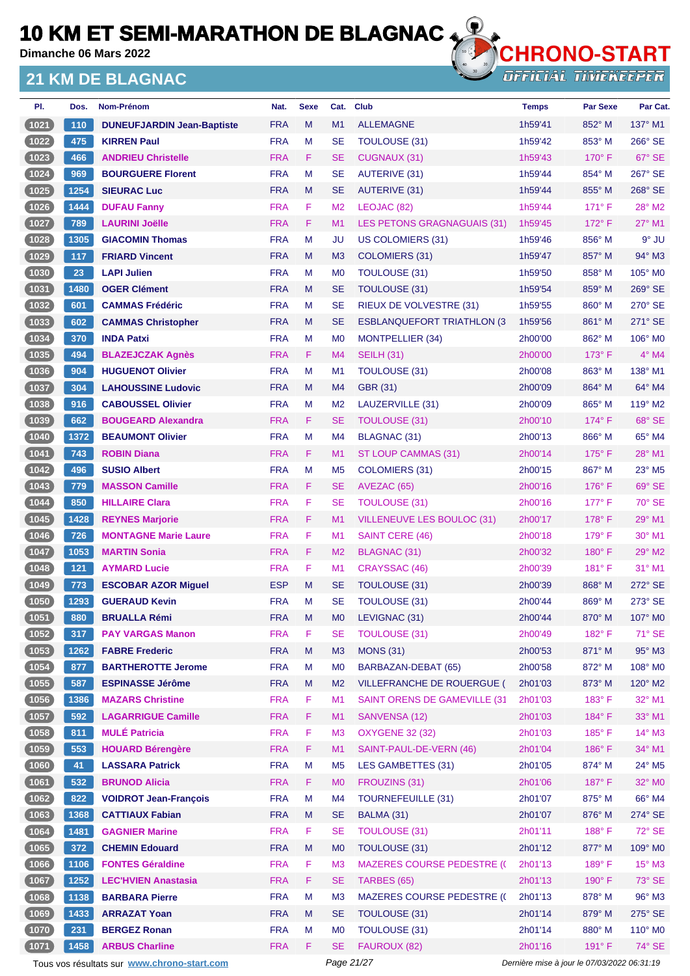**Dimanche 06 Mars 2022**

#### **21 KM DE BLAGNAC**



**OFFICIAL TIMEKEEPER** 

| PI.            | Dos.          | Nom-Prénom                        | Nat.       | <b>Sexe</b> | Cat.           | <b>Club</b>                        | <b>Temps</b> | <b>Par Sexe</b> | Par Cat.            |
|----------------|---------------|-----------------------------------|------------|-------------|----------------|------------------------------------|--------------|-----------------|---------------------|
| (1021)         | 110           | <b>DUNEUFJARDIN Jean-Baptiste</b> | <b>FRA</b> | M           | M1             | <b>ALLEMAGNE</b>                   | 1h59'41      | 852° M          | $137^\circ$ M1      |
| $\boxed{1022}$ | 475           | <b>KIRREN Paul</b>                | <b>FRA</b> | M           | <b>SE</b>      | <b>TOULOUSE (31)</b>               | 1h59'42      | 853° M          | 266° SE             |
| (1023)         | 466           | <b>ANDRIEU Christelle</b>         | <b>FRA</b> | F.          | <b>SE</b>      | <b>CUGNAUX (31)</b>                | 1h59'43      | $170^\circ$ F   | 67° SE              |
| $\boxed{1024}$ | 969           | <b>BOURGUERE Florent</b>          | <b>FRA</b> | M           | <b>SE</b>      | <b>AUTERIVE (31)</b>               | 1h59'44      | 854° M          | 267° SE             |
| (1025)         | 1254          | <b>SIEURAC Luc</b>                | <b>FRA</b> | M           | <b>SE</b>      | AUTERIVE (31)                      | 1h59'44      | 855° M          | 268° SE             |
| (1026)         | 1444          | <b>DUFAU Fanny</b>                | <b>FRA</b> | F           | M <sub>2</sub> | LEOJAC (82)                        | 1h59'44      | $171^\circ$ F   | 28° M2              |
| (1027)         | 789           | <b>LAURINI Joëlle</b>             | <b>FRA</b> | F           | M <sub>1</sub> | LES PETONS GRAGNAGUAIS (31)        | 1h59'45      | $172^\circ$ F   | $27^\circ$ M1       |
| $1028$         | 1305          | <b>GIACOMIN Thomas</b>            | <b>FRA</b> | м           | JU             | <b>US COLOMIERS (31)</b>           | 1h59'46      | 856° M          | $9°$ JU             |
| (1029)         | 117           | <b>FRIARD Vincent</b>             | <b>FRA</b> | M           | M <sub>3</sub> | COLOMIERS (31)                     | 1h59'47      | 857° M          | 94° M3              |
| $\boxed{1030}$ | 23            | <b>LAPI Julien</b>                | <b>FRA</b> | M           | M <sub>0</sub> | <b>TOULOUSE (31)</b>               | 1h59'50      | $858^\circ$ M   | 105° M <sub>0</sub> |
| (1031)         | 1480          | <b>OGER Clément</b>               | <b>FRA</b> | M           | <b>SE</b>      | TOULOUSE (31)                      | 1h59'54      | 859° M          | $269^\circ$ SE      |
| (1032)         | 601           | <b>CAMMAS Frédéric</b>            | <b>FRA</b> | M           | <b>SE</b>      | RIEUX DE VOLVESTRE (31)            | 1h59'55      | $860^\circ$ M   | $270^\circ$ SE      |
| (1033)         | 602           | <b>CAMMAS Christopher</b>         | <b>FRA</b> | M           | <b>SE</b>      | <b>ESBLANQUEFORT TRIATHLON (3)</b> | 1h59'56      | 861° M          | 271° SE             |
| (1034)         | 370           | <b>INDA Patxi</b>                 | <b>FRA</b> | M           | M <sub>0</sub> | <b>MONTPELLIER (34)</b>            | 2h00'00      | 862° M          | 106° M0             |
| (1035)         | 494           | <b>BLAZEJCZAK Agnès</b>           | <b>FRA</b> | F.          | M4             | <b>SEILH (31)</b>                  | 2h00'00      | $173^\circ$ F   | $4^\circ$ M4        |
| $\boxed{1036}$ | 904           | <b>HUGUENOT Olivier</b>           | <b>FRA</b> | M           | M <sub>1</sub> | <b>TOULOUSE (31)</b>               | 2h00'08      | 863° M          | 138° M1             |
| (1037)         | 304           | <b>LAHOUSSINE Ludovic</b>         | <b>FRA</b> | M           | M <sub>4</sub> | <b>GBR (31)</b>                    | 2h00'09      | 864° M          | 64° M4              |
| (1038)         | 916           | <b>CABOUSSEL Olivier</b>          | <b>FRA</b> | M           | M <sub>2</sub> | LAUZERVILLE (31)                   | 2h00'09      | 865° M          | $119^\circ$ M2      |
| 1039           | 662           | <b>BOUGEARD Alexandra</b>         | <b>FRA</b> | F           | <b>SE</b>      | <b>TOULOUSE (31)</b>               | 2h00'10      | $174^\circ$ F   | 68° SE              |
| (1040)         | 1372          | <b>BEAUMONT Olivier</b>           | <b>FRA</b> | M           | M <sub>4</sub> | <b>BLAGNAC (31)</b>                | 2h00'13      | 866° M          | 65° M4              |
| (1041)         | 743           | <b>ROBIN Diana</b>                | <b>FRA</b> | F.          | M <sub>1</sub> | ST LOUP CAMMAS (31)                | 2h00'14      | $175^\circ$ F   | $28^{\circ}$ M1     |
| $1042$         | 496           | <b>SUSIO Albert</b>               | <b>FRA</b> | M           | M <sub>5</sub> | <b>COLOMIERS (31)</b>              | 2h00'15      | 867° M          | 23° M5              |
| (1043)         | 779           | <b>MASSON Camille</b>             | <b>FRA</b> | F           | <b>SE</b>      | AVEZAC (65)                        | 2h00'16      | $176^\circ$ F   | 69° SE              |
| $\boxed{1044}$ | 850           | <b>HILLAIRE Clara</b>             | <b>FRA</b> | F           | SE             | <b>TOULOUSE (31)</b>               | 2h00'16      | $177^\circ$ F   | 70° SE              |
| (1045)         | 1428          | <b>REYNES Marjorie</b>            | <b>FRA</b> | F           | M <sub>1</sub> | VILLENEUVE LES BOULOC (31)         | 2h00'17      | $178^\circ$ F   | 29° M1              |
| (1046)         | 726           | <b>MONTAGNE Marie Laure</b>       | <b>FRA</b> | F           | M <sub>1</sub> | <b>SAINT CERE (46)</b>             | 2h00'18      | $179^\circ$ F   | $30^\circ$ M1       |
| (1047          | 1053          | <b>MARTIN Sonia</b>               | <b>FRA</b> | F.          | M <sub>2</sub> | BLAGNAC (31)                       | 2h00'32      | $180^\circ$ F   | $29^\circ$ M2       |
| $1048$         | $121$         | <b>AYMARD Lucie</b>               | <b>FRA</b> | F           | M <sub>1</sub> | CRAYSSAC (46)                      | 2h00'39      | $181^\circ$ F   | 31° M1              |
| $1049$         | 773           | <b>ESCOBAR AZOR Miguel</b>        | <b>ESP</b> | M           | <b>SE</b>      | TOULOUSE (31)                      | 2h00'39      | $868^\circ$ M   | $272^\circ$ SE      |
| (1050)         | 1293          | <b>GUERAUD Kevin</b>              | <b>FRA</b> | M           | <b>SE</b>      | <b>TOULOUSE (31)</b>               | 2h00'44      | 869° M          | $273^\circ$ SE      |
| $(1051)$       | $ 880\rangle$ | <b>BRUALLA Rémi</b>               | <b>FRA</b> | M           | M0             | LEVIGNAC (31)                      | 2h00'44      | 870° M          | $107^\circ$ MO      |
| (1052)         | 317           | <b>PAY VARGAS Manon</b>           | <b>FRA</b> | F           | SE             | <b>TOULOUSE (31)</b>               | 2h00'49      | $182^{\circ}$ F | 71° SE              |
| (1053)         | 1262          | <b>FABRE Frederic</b>             | <b>FRA</b> | M           | M <sub>3</sub> | <b>MONS (31)</b>                   | 2h00'53      | 871° M          | 95° M3              |
| (1054)         | 877           | <b>BARTHEROTTE Jerome</b>         | <b>FRA</b> | M           | M <sub>0</sub> | BARBAZAN-DEBAT (65)                | 2h00'58      | 872° M          | 108° M0             |
| (1055)         | 587           | <b>ESPINASSE Jérôme</b>           | <b>FRA</b> | M           | M <sub>2</sub> | VILLEFRANCHE DE ROUERGUE (         | 2h01'03      | $873^\circ$ M   | 120° M2             |
| (1056)         | 1386          | <b>MAZARS Christine</b>           | <b>FRA</b> | F           | M1             | SAINT ORENS DE GAMEVILLE (31       | 2h01'03      | 183° F          | 32° M1              |
| (1057)         | 592           | <b>LAGARRIGUE Camille</b>         | <b>FRA</b> | F.          | M1             | SANVENSA (12)                      | 2h01'03      | 184°F           | 33° M1              |
| (1058)         | 811           | <b>MULÉ Patricia</b>              | <b>FRA</b> | F           | M <sub>3</sub> | <b>OXYGENE 32 (32)</b>             | 2h01'03      | $185^\circ$ F   | 14° M3              |
| (1059)         | 553           | <b>HOUARD Bérengère</b>           | <b>FRA</b> | F           | M1             | SAINT-PAUL-DE-VERN (46)            | 2h01'04      | 186°F           | 34° M1              |
| (1060)         | 41            | <b>LASSARA Patrick</b>            | <b>FRA</b> | M           | M <sub>5</sub> | <b>LES GAMBETTES (31)</b>          | 2h01'05      | 874° M          | 24° M5              |
| (1061)         | 532           | <b>BRUNOD Alicia</b>              | <b>FRA</b> | F           | M <sub>0</sub> | FROUZINS (31)                      | 2h01'06      | 187°F           | 32° M0              |
| (1062)         | 822           | <b>VOIDROT Jean-François</b>      | <b>FRA</b> | M           | M <sub>4</sub> | <b>TOURNEFEUILLE (31)</b>          | 2h01'07      | 875° M          | 66° M4              |
| (1063)         | 1368          | <b>CATTIAUX Fabian</b>            | <b>FRA</b> | M           | <b>SE</b>      | BALMA (31)                         | 2h01'07      | 876° M          | $274^\circ$ SE      |
| (1064)         | 1481          | <b>GAGNIER Marine</b>             | <b>FRA</b> | F           | <b>SE</b>      | <b>TOULOUSE (31)</b>               | 2h01'11      | 188°F           | 72° SE              |
| (1065)         | 372           | <b>CHEMIN Edouard</b>             | <b>FRA</b> | M           | M <sub>0</sub> | TOULOUSE (31)                      | 2h01'12      | 877° M          | 109° M0             |
| (1066)         | 1106          | <b>FONTES Géraldine</b>           | <b>FRA</b> | F           | M <sub>3</sub> | <b>MAZERES COURSE PEDESTRE (C</b>  | 2h01'13      | $189^\circ$ F   | $15^{\circ}$ M3     |
| (1067)         | 1252          | <b>LEC'HVIEN Anastasia</b>        | <b>FRA</b> | F           | <b>SE</b>      | TARBES (65)                        | 2h01'13      | 190° F          | 73° SE              |
| (1068)         | 1138          | <b>BARBARA Pierre</b>             | <b>FRA</b> | M           | M <sub>3</sub> | <b>MAZERES COURSE PEDESTRE (C</b>  | 2h01'13      | 878° M          | $96^\circ$ M3       |
| (1069)         | 1433          | <b>ARRAZAT Yoan</b>               | <b>FRA</b> | M           | <b>SE</b>      | TOULOUSE (31)                      | 2h01'14      | 879° M          | 275° SE             |
| (1070)         | 231           | <b>BERGEZ Ronan</b>               | <b>FRA</b> | М           | M <sub>0</sub> | <b>TOULOUSE (31)</b>               | 2h01'14      | 880° M          | 110° M0             |
| (1071)         | 1458          | <b>ARBUS Charline</b>             | <b>FRA</b> | F.          | <b>SE</b>      | FAUROUX (82)                       | 2h01'16      | 191° F          | 74° SE              |

Tous vos résultats sur **[www.chrono-start.com](https://www.chrono-start.com/)** Page 21/27 Page 21/27 Dernière mise à jour le 07/03/2022 06:31:19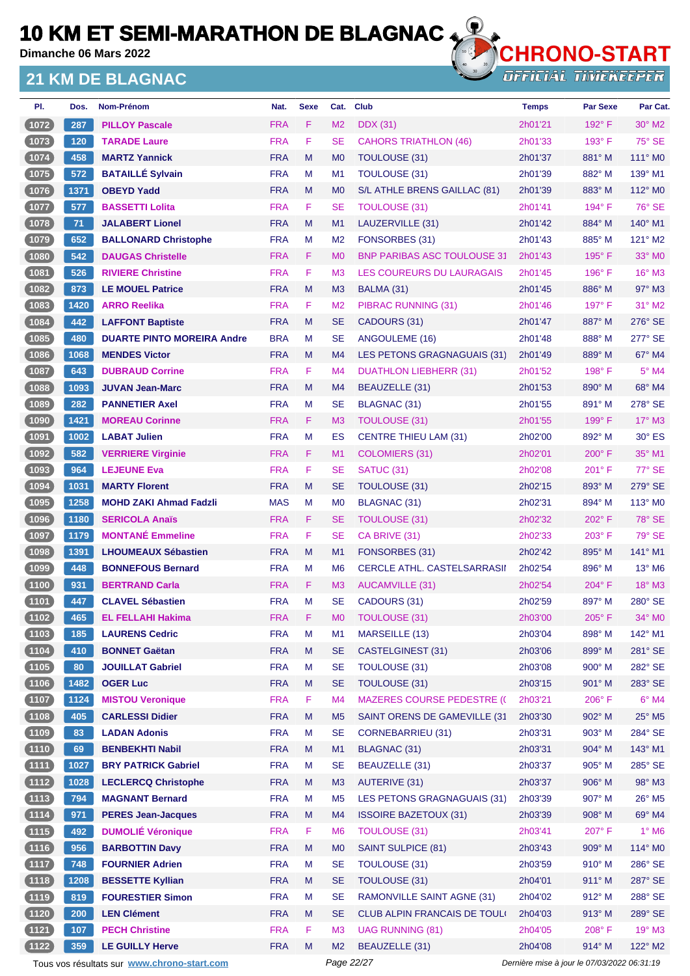**Dimanche 06 Mars 2022**

### **21 KM DE BLAGNAC**



**OFFICIAL TIMEKEEPER** 

| PI.            | Dos. | Nom-Prénom                        | Nat.       | <b>Sexe</b> | Cat.           | <b>Club</b>                        | <b>Temps</b> | <b>Par Sexe</b> | Par Cat.                  |
|----------------|------|-----------------------------------|------------|-------------|----------------|------------------------------------|--------------|-----------------|---------------------------|
| (1072)         | 287  | <b>PILLOY Pascale</b>             | <b>FRA</b> | F           | M <sub>2</sub> | <b>DDX</b> (31)                    | 2h01'21      | $192^\circ$ F   | $30^\circ$ M2             |
| $(1073)$       | 120  | <b>TARADE Laure</b>               | <b>FRA</b> | F           | <b>SE</b>      | <b>CAHORS TRIATHLON (46)</b>       | 2h01'33      | $193^\circ$ F   | $75^\circ$ SE             |
| (1074)         | 458  | <b>MARTZ Yannick</b>              | <b>FRA</b> | M           | M <sub>0</sub> | <b>TOULOUSE (31)</b>               | 2h01'37      | $881^\circ$ M   | $111^\circ$ MO            |
| (1075)         | 572  | <b>BATAILLÉ Sylvain</b>           | <b>FRA</b> | M           | M1             | TOULOUSE (31)                      | 2h01'39      | 882° M          | 139° M1                   |
| (1076)         | 1371 | <b>OBEYD Yadd</b>                 | <b>FRA</b> | M           | M <sub>0</sub> | S/L ATHLE BRENS GAILLAC (81)       | 2h01'39      | $883^\circ$ M   | 112° M <sub>0</sub>       |
| $1077$         | 577  | <b>BASSETTI Lolita</b>            | <b>FRA</b> | F.          | <b>SE</b>      | TOULOUSE (31)                      | 2h01'41      | $194^\circ$ F   | 76° SE                    |
| (1078)         | $71$ | <b>JALABERT Lionel</b>            | <b>FRA</b> | M           | M1             | LAUZERVILLE (31)                   | 2h01'42      | 884° M          | 140° M1                   |
| (1079)         | 652  | <b>BALLONARD Christophe</b>       | <b>FRA</b> | M           | M <sub>2</sub> | FONSORBES (31)                     | 2h01'43      | 885° M          | $121^\circ$ M2            |
| (1080          | 542  | <b>DAUGAS Christelle</b>          | <b>FRA</b> | F.          | M <sub>0</sub> | <b>BNP PARIBAS ASC TOULOUSE 31</b> | 2h01'43      | $195^\circ$ F   | 33° MO                    |
| 1081           | 526  | <b>RIVIERE Christine</b>          | <b>FRA</b> | F           | M <sub>3</sub> | LES COUREURS DU LAURAGAIS          | 2h01'45      | $196^\circ$ F   | $16^\circ$ M3             |
| (1082)         | 873  | <b>LE MOUEL Patrice</b>           | <b>FRA</b> | M           | M <sub>3</sub> | BALMA (31)                         | 2h01'45      | $886^\circ$ M   | $97^\circ$ M3             |
| 1083           | 1420 | <b>ARRO Reelika</b>               | <b>FRA</b> | F           | M <sub>2</sub> | PIBRAC RUNNING (31)                | 2h01'46      | $197^\circ$ F   | 31° M2                    |
| (1084)         | 442  | <b>LAFFONT Baptiste</b>           | <b>FRA</b> | M           | <b>SE</b>      | CADOURS (31)                       | 2h01'47      | 887° M          | 276° SE                   |
| $\boxed{1085}$ | 480  | <b>DUARTE PINTO MOREIRA Andre</b> | <b>BRA</b> | м           | <b>SE</b>      | ANGOULEME (16)                     | 2h01'48      | 888° M          | 277° SE                   |
| 1086           | 1068 | <b>MENDES Victor</b>              | <b>FRA</b> | M           | M <sub>4</sub> | LES PETONS GRAGNAGUAIS (31)        | 2h01'49      | 889° M          | 67° M4                    |
| $\boxed{1087}$ | 643  | <b>DUBRAUD Corrine</b>            | <b>FRA</b> | F           | M <sub>4</sub> | DUATHLON LIEBHERR (31)             | 2h01'52      | $198^\circ$ F   | $5^\circ$ M4              |
| (1088)         | 1093 | <b>JUVAN Jean-Marc</b>            | <b>FRA</b> | M           | M4             | BEAUZELLE (31)                     | 2h01'53      | 890° M          | 68° M4                    |
| 1089           | 282  | <b>PANNETIER Axel</b>             | <b>FRA</b> | М           | <b>SE</b>      | BLAGNAC (31)                       | 2h01'55      | 891° M          | 278° SE                   |
| 1090           | 1421 | <b>MOREAU Corinne</b>             | <b>FRA</b> | F           | M <sub>3</sub> | <b>TOULOUSE (31)</b>               | 2h01'55      | 199° F          | $17^\circ$ M3             |
| (1091          | 1002 | <b>LABAT Julien</b>               | <b>FRA</b> | м           | ES             | <b>CENTRE THIEU LAM (31)</b>       | 2h02'00      | 892° M          | $30^\circ$ ES             |
| (1092)         | 582  | <b>VERRIERE Virginie</b>          | <b>FRA</b> | F           | M1             | COLOMIERS (31)                     | 2h02'01      | $200^{\circ}$ F | 35° M1                    |
| $\boxed{1093}$ | 964  | <b>LEJEUNE Eva</b>                | <b>FRA</b> | F           | <b>SE</b>      | <b>SATUC (31)</b>                  | 2h02'08      | 201° F          | 77° SE                    |
| 1094           | 1031 | <b>MARTY Florent</b>              | <b>FRA</b> | M           | <b>SE</b>      | TOULOUSE (31)                      | 2h02'15      | 893° M          | 279° SE                   |
| $1095$         | 1258 | <b>MOHD ZAKI Ahmad Fadzli</b>     | <b>MAS</b> | м           | M <sub>0</sub> | <b>BLAGNAC (31)</b>                | 2h02'31      | 894° M          | $113^\circ$ MO            |
| (1096)         | 1180 | <b>SERICOLA Anaïs</b>             | <b>FRA</b> | F           | <b>SE</b>      | <b>TOULOUSE (31)</b>               | 2h02'32      | 202° F          | 78° SE                    |
| $1097$         | 1179 | <b>MONTANÉ Emmeline</b>           | <b>FRA</b> | F           | <b>SE</b>      | CA BRIVE (31)                      | 2h02'33      | $203^\circ$ F   | $79^\circ$ SE             |
| (1098)         | 1391 | <b>LHOUMEAUX Sébastien</b>        | <b>FRA</b> | M           | M1             | FONSORBES (31)                     | 2h02'42      | 895° M          | 141° M1                   |
| 1099           | 448  | <b>BONNEFOUS Bernard</b>          | <b>FRA</b> | М           | M <sub>6</sub> | <b>CERCLE ATHL. CASTELSARRASII</b> | 2h02'54      | 896° M          | $13^\circ$ M <sub>6</sub> |
| (1100          | 931  | <b>BERTRAND Carla</b>             | <b>FRA</b> | F           | M <sub>3</sub> | AUCAMVILLE (31)                    | 2h02'54      | 204°F           | 18° M3                    |
| $\boxed{1101}$ | 447  | <b>CLAVEL Sébastien</b>           | <b>FRA</b> | M           | <b>SE</b>      | CADOURS (31)                       | 2h02'59      | 897° M          | 280° SE                   |
| 【1102 】        | 465  | <b>EL FELLAHI Hakima</b>          | <b>FRA</b> | F.          | M <sub>0</sub> | TOULOUSE (31)                      | 2h03'00      | 205°F           | 34° M0                    |
| (1103)         | 185  | <b>LAURENS Cedric</b>             | <b>FRA</b> | M           | M1             | MARSEILLE (13)                     | 2h03'04      | 898° M          | 142° M1                   |
| (1104)         | 410  | <b>BONNET Gaëtan</b>              | <b>FRA</b> | M           | <b>SE</b>      | CASTELGINEST (31)                  | 2h03'06      | 899° M          | 281° SE                   |
| $(1105)$       | 80   | <b>JOUILLAT Gabriel</b>           | <b>FRA</b> | M           | <b>SE</b>      | TOULOUSE (31)                      | 2h03'08      | 900° M          | 282° SE                   |
| (1106)         | 1482 | <b>OGER Luc</b>                   | <b>FRA</b> | M           | <b>SE</b>      | <b>TOULOUSE (31)</b>               | 2h03'15      | 901° M          | 283° SE                   |
| (1107)         | 1124 | <b>MISTOU Veronique</b>           | <b>FRA</b> | F           | M4             | <b>MAZERES COURSE PEDESTRE (C</b>  | 2h03'21      | 206°F           | $6^\circ$ M4              |
| (1108)         | 405  | <b>CARLESSI Didier</b>            | <b>FRA</b> | M           | M <sub>5</sub> | SAINT ORENS DE GAMEVILLE (31       | 2h03'30      | 902° M          | 25° M5                    |
| (1109)         | 83   | <b>LADAN Adonis</b>               | <b>FRA</b> | M           | <b>SE</b>      | CORNEBARRIEU (31)                  | 2h03'31      | 903° M          | 284° SE                   |
| $(1110)$       | 69   | <b>BENBEKHTI Nabil</b>            | <b>FRA</b> | M           | M1             | <b>BLAGNAC (31)</b>                | 2h03'31      | 904° M          | 143° M1                   |
| (1111)         | 1027 | <b>BRY PATRICK Gabriel</b>        | <b>FRA</b> | M           | <b>SE</b>      | BEAUZELLE (31)                     | 2h03'37      | 905° M          | 285° SE                   |
| $(1112)$       | 1028 | <b>LECLERCQ Christophe</b>        | <b>FRA</b> | M           | M <sub>3</sub> | <b>AUTERIVE (31)</b>               | 2h03'37      | 906° M          | 98° M3                    |
| (1113)         | 794  | <b>MAGNANT Bernard</b>            | <b>FRA</b> | M           | M <sub>5</sub> | LES PETONS GRAGNAGUAIS (31)        | 2h03'39      | 907° M          | 26° M5                    |
| (1114)         | 971  | <b>PERES Jean-Jacques</b>         | <b>FRA</b> | M           | M4             | <b>ISSOIRE BAZETOUX (31)</b>       | 2h03'39      | 908° M          | 69° M4                    |
| (1115)         | 492  | <b>DUMOLIÉ Véronique</b>          | <b>FRA</b> | F           | M <sub>6</sub> | <b>TOULOUSE (31)</b>               | 2h03'41      | 207°F           | $1^\circ$ M6              |
| (1116)         | 956  | <b>BARBOTTIN Davy</b>             | <b>FRA</b> | ${\sf M}$   | M <sub>0</sub> | <b>SAINT SULPICE (81)</b>          | 2h03'43      | 909° M          | 114° M0                   |
| (1117)         | 748  | <b>FOURNIER Adrien</b>            | <b>FRA</b> | M           | <b>SE</b>      | TOULOUSE (31)                      | 2h03'59      | $910^\circ$ M   | 286° SE                   |
| (1118)         | 1208 | <b>BESSETTE Kyllian</b>           | <b>FRA</b> | M           | <b>SE</b>      | TOULOUSE (31)                      | 2h04'01      | $911^\circ$ M   | 287° SE                   |
| (1119)         | 819  | <b>FOURESTIER Simon</b>           | <b>FRA</b> | M           | <b>SE</b>      | <b>RAMONVILLE SAINT AGNE (31)</b>  | 2h04'02      | 912° M          | 288° SE                   |
| (1120)         | 200  | <b>LEN Clément</b>                | <b>FRA</b> | M           | <b>SE</b>      | CLUB ALPIN FRANCAIS DE TOUL!       | 2h04'03      | $913^\circ$ M   | 289° SE                   |
| $1121$         | 107  | <b>PECH Christine</b>             | <b>FRA</b> | F           | M <sub>3</sub> | <b>UAG RUNNING (81)</b>            | 2h04'05      | 208°F           | 19° M3                    |
| $(1122)$       | 359  | <b>LE GUILLY Herve</b>            | <b>FRA</b> | M           | M <sub>2</sub> | BEAUZELLE (31)                     | 2h04'08      | 914° M          | 122° M2                   |
|                |      |                                   |            |             |                |                                    |              |                 |                           |

Tous vos résultats sur **[www.chrono-start.com](https://www.chrono-start.com/)** Page 22/27 Person Page 22/27 Dernière mise à jour le 07/03/2022 06:31:19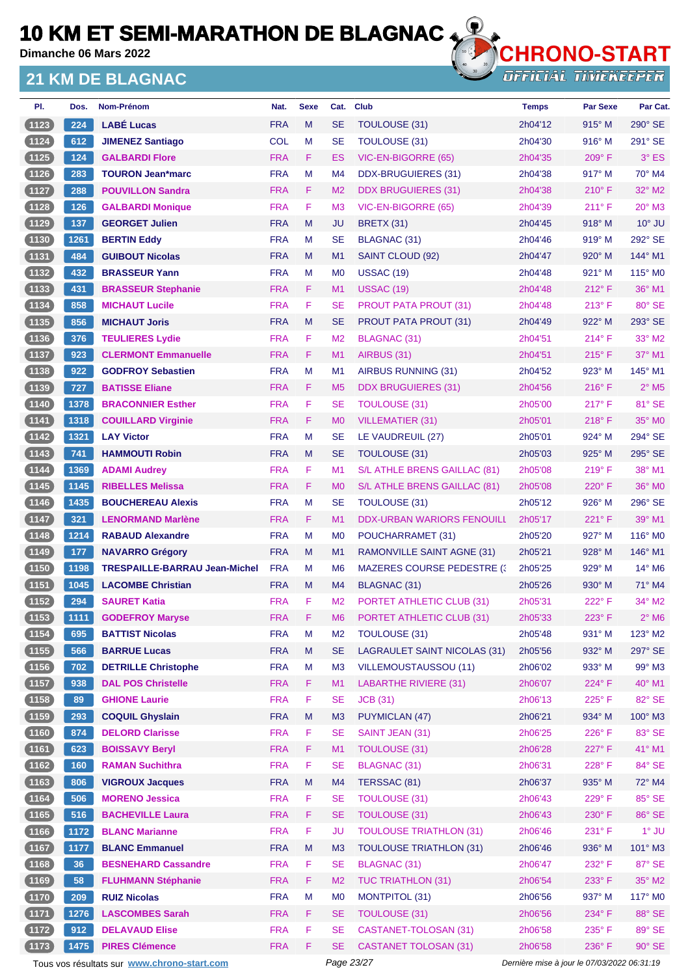**Dimanche 06 Mars 2022**

### **21 KM DE BLAGNAC**



**OFFICIAL TIMEKEEPER** 

| PI.      | Dos. | Nom-Prénom                           | Nat.       | <b>Sexe</b> | Cat.           | <b>Club</b>                         | <b>Temps</b> | <b>Par Sexe</b> | Par Cat.                    |
|----------|------|--------------------------------------|------------|-------------|----------------|-------------------------------------|--------------|-----------------|-----------------------------|
| (1123)   | 224  | <b>LABÉ Lucas</b>                    | <b>FRA</b> | M           | <b>SE</b>      | <b>TOULOUSE (31)</b>                | 2h04'12      | 915° M          | 290° SE                     |
| (1124)   | 612  | <b>JIMENEZ Santiago</b>              | <b>COL</b> | М           | <b>SE</b>      | <b>TOULOUSE (31)</b>                | 2h04'30      | $916^\circ$ M   | $291^\circ$ SE              |
| (1125)   | 124  | <b>GALBARDI Flore</b>                | <b>FRA</b> | F.          | ES             | VIC-EN-BIGORRE (65)                 | 2h04'35      | $209^\circ$ F   | $3°$ ES                     |
| (1126)   | 283  | <b>TOURON Jean*marc</b>              | <b>FRA</b> | М           | M4             | DDX-BRUGUIERES (31)                 | 2h04'38      | $917^\circ$ M   | $70^\circ$ M4               |
| (1127)   | 288  | <b>POUVILLON Sandra</b>              | <b>FRA</b> | F.          | M <sub>2</sub> | <b>DDX BRUGUIERES (31)</b>          | 2h04'38      | $210^{\circ}$ F | 32° M2                      |
| (1128)   | 126  | <b>GALBARDI Monique</b>              | <b>FRA</b> | F           | M <sub>3</sub> | VIC-EN-BIGORRE (65)                 | 2h04'39      | $211^{\circ}$ F | 20° M3                      |
| (1129)   | 137  | <b>GEORGET Julien</b>                | <b>FRA</b> | M           | JU             | <b>BRETX (31)</b>                   | 2h04'45      | $918^\circ$ M   | $10^{\circ}$ JU             |
| $(1130)$ | 1261 | <b>BERTIN Eddy</b>                   | <b>FRA</b> | М           | <b>SE</b>      | <b>BLAGNAC (31)</b>                 | 2h04'46      | $919°$ M        | 292° SE                     |
| (1131)   | 484  | <b>GUIBOUT Nicolas</b>               | <b>FRA</b> | M           | M1             | SAINT CLOUD (92)                    | 2h04'47      | $920^\circ$ M   | 144° M1                     |
| (1132)   | 432  | <b>BRASSEUR Yann</b>                 | <b>FRA</b> | М           | M <sub>0</sub> | <b>USSAC (19)</b>                   | 2h04'48      | $921^\circ$ M   | $115^\circ$ MO              |
| (1133)   | 431  | <b>BRASSEUR Stephanie</b>            | <b>FRA</b> | F.          | M1             | <b>USSAC (19)</b>                   | 2h04'48      | $212^{\circ}$ F | $36^\circ$ M1               |
| (1134)   | 858  | <b>MICHAUT Lucile</b>                | <b>FRA</b> | F           | <b>SE</b>      | <b>PROUT PATA PROUT (31)</b>        | 2h04'48      | $213^\circ$ F   | 80° SE                      |
| (1135)   | 856  | <b>MICHAUT Joris</b>                 | <b>FRA</b> | M           | <b>SE</b>      | <b>PROUT PATA PROUT (31)</b>        | 2h04'49      | $922^\circ$ M   | 293° SE                     |
| (1136)   | 376  | <b>TEULIERES Lydie</b>               | <b>FRA</b> | F.          | M <sub>2</sub> | BLAGNAC (31)                        | 2h04'51      | $214^{\circ}$ F | 33° M2                      |
| (1137)   | 923  | <b>CLERMONT Emmanuelle</b>           | <b>FRA</b> | F           | M1             | AIRBUS (31)                         | 2h04'51      | $215^{\circ}$ F | 37° M1                      |
| (1138)   | 922  | <b>GODFROY Sebastien</b>             | <b>FRA</b> | M           | M <sub>1</sub> | <b>AIRBUS RUNNING (31)</b>          | 2h04'52      | $923^\circ$ M   | $145^\circ$ M1              |
| (1139)   | 727  | <b>BATISSE Eliane</b>                | <b>FRA</b> | F.          | M <sub>5</sub> | <b>DDX BRUGUIERES (31)</b>          | 2h04'56      | $216^{\circ}$ F | $2°$ M <sub>5</sub>         |
| (1140)   | 1378 | <b>BRACONNIER Esther</b>             | <b>FRA</b> | F           | <b>SE</b>      | <b>TOULOUSE (31)</b>                | 2h05'00      | $217^\circ$ F   | 81° SE                      |
| (1141)   | 1318 | <b>COUILLARD Virginie</b>            | <b>FRA</b> | F           | M <sub>0</sub> | <b>VILLEMATIER (31)</b>             | 2h05'01      | $218^\circ$ F   | 35° MO                      |
| (1142)   | 1321 | <b>LAY Victor</b>                    | <b>FRA</b> | М           | <b>SE</b>      | LE VAUDREUIL (27)                   | 2h05'01      | $924^\circ$ M   | 294° SE                     |
| (1143)   | 741  | <b>HAMMOUTI Robin</b>                | <b>FRA</b> | M           | <b>SE</b>      | TOULOUSE (31)                       | 2h05'03      | 925° M          | 295° SE                     |
| (1144)   | 1369 | <b>ADAMI Audrey</b>                  | <b>FRA</b> | F.          | M1             | S/L ATHLE BRENS GAILLAC (81)        | 2h05'08      | 219° F          | 38° M1                      |
| (1145)   | 1145 | <b>RIBELLES Melissa</b>              | <b>FRA</b> | F           | M <sub>0</sub> | S/L ATHLE BRENS GAILLAC (81)        | 2h05'08      | $220^\circ$ F   | 36° MO                      |
| (1146)   | 1435 | <b>BOUCHEREAU Alexis</b>             | <b>FRA</b> | М           | <b>SE</b>      | TOULOUSE (31)                       | 2h05'12      | $926^\circ$ M   | 296° SE                     |
| (1147)   | 321  | <b>LENORMAND Marlène</b>             | <b>FRA</b> | F.          | M1             | <b>DDX-URBAN WARIORS FENOUILL</b>   | 2h05'17      | $221^\circ F$   | 39° M1                      |
| $(1148)$ | 1214 | <b>RABAUD Alexandre</b>              | <b>FRA</b> | М           | M <sub>0</sub> | POUCHARRAMET (31)                   | 2h05'20      | $927^\circ$ M   | $116^\circ$ MO              |
| (1149)   | 177  | <b>NAVARRO Grégory</b>               | <b>FRA</b> | M           | M <sub>1</sub> | <b>RAMONVILLE SAINT AGNE (31)</b>   | 2h05'21      | 928° M          | 146° M1                     |
| (1150)   | 1198 | <b>TRESPAILLE-BARRAU Jean-Michel</b> | <b>FRA</b> | М           | M <sub>6</sub> | <b>MAZERES COURSE PEDESTRE (3)</b>  | 2h05'25      | $929^\circ$ M   | $14^{\circ}$ M <sub>6</sub> |
| (1151)   | 1045 | <b>LACOMBE Christian</b>             | <b>FRA</b> | M           | M4             | BLAGNAC (31)                        | 2h05'26      | $930^\circ$ M   | $71^\circ$ M4               |
| 1152     | 294  | <b>SAURET Katia</b>                  | <b>FRA</b> | F           | M <sub>2</sub> | PORTET ATHLETIC CLUB (31)           | 2h05'31      | 222°F           | $34^\circ$ M2               |
| $(1153)$ | 1111 | <b>GODEFROY Maryse</b>               | <b>FRA</b> | F           | M <sub>6</sub> | PORTET ATHLETIC CLUB (31)           | 2h05'33      | 223°F           | $2^\circ$ M6                |
| (1154)   | 695  | <b>BATTIST Nicolas</b>               | <b>FRA</b> | M           | M <sub>2</sub> | TOULOUSE (31)                       | 2h05'48      | $931^\circ$ M   | $123^\circ$ M2              |
| (1155)   | 566  | <b>BARRUE Lucas</b>                  | <b>FRA</b> | M           | <b>SE</b>      | <b>LAGRAULET SAINT NICOLAS (31)</b> | 2h05'56      | 932° M          | 297° SE                     |
| (1156)   | 702  | <b>DETRILLE Christophe</b>           | <b>FRA</b> | M           | M3             | <b>VILLEMOUSTAUSSOU (11)</b>        | 2h06'02      | 933° M          | 99° M3                      |
| (1157)   | 938  | <b>DAL POS Christelle</b>            | <b>FRA</b> | F.          | M1             | LABARTHE RIVIERE (31)               | 2h06'07      | 224°F           | $40^\circ$ M1               |
| (1158)   | 89   | <b>GHIONE Laurie</b>                 | <b>FRA</b> | F           | <b>SE</b>      | <b>JCB</b> (31)                     | 2h06'13      | $225^\circ$ F   | 82° SE                      |
| (1159)   | 293  | <b>COQUIL Ghyslain</b>               | <b>FRA</b> | M           | M3             | <b>PUYMICLAN (47)</b>               | 2h06'21      | 934° M          | 100° M3                     |
| $(1160)$ | 874  | <b>DELORD Clarisse</b>               | <b>FRA</b> | F           | <b>SE</b>      | SAINT JEAN (31)                     | 2h06'25      | 226°F           | 83° SE                      |
| (1161)   | 623  | <b>BOISSAVY Beryl</b>                | <b>FRA</b> | F           | M1             | <b>TOULOUSE (31)</b>                | 2h06'28      | 227°F           | 41° M1                      |
| (1162)   | 160  | <b>RAMAN Suchithra</b>               | <b>FRA</b> | F           | <b>SE</b>      | <b>BLAGNAC (31)</b>                 | 2h06'31      | 228°F           | 84° SE                      |
| (1163)   | 806  | <b>VIGROUX Jacques</b>               | <b>FRA</b> | M           | M4             | TERSSAC (81)                        | 2h06'37      | 935° M          | 72° M4                      |
| (1164)   | 506  | <b>MORENO Jessica</b>                | <b>FRA</b> | F           | <b>SE</b>      | <b>TOULOUSE (31)</b>                | 2h06'43      | 229°F           | 85° SE                      |
| (1165)   | 516  | <b>BACHEVILLE Laura</b>              | <b>FRA</b> | F           | <b>SE</b>      | <b>TOULOUSE (31)</b>                | 2h06'43      | 230° F          | 86° SE                      |
| $(1166)$ | 1172 | <b>BLANC Marianne</b>                | <b>FRA</b> | F           | <b>JU</b>      | <b>TOULOUSE TRIATHLON (31)</b>      | 2h06'46      | $231^\circ$ F   | $1^\circ$ JU                |
| (1167)   | 1177 | <b>BLANC Emmanuel</b>                | <b>FRA</b> | M           | M <sub>3</sub> | <b>TOULOUSE TRIATHLON (31)</b>      | 2h06'46      | 936° M          | 101° M3                     |
| (1168)   | 36   | <b>BESNEHARD Cassandre</b>           | <b>FRA</b> | F           | <b>SE</b>      | <b>BLAGNAC (31)</b>                 | 2h06'47      | 232°F           | 87° SE                      |
| (1169)   | 58   | <b>FLUHMANN Stéphanie</b>            | <b>FRA</b> | F           | M <sub>2</sub> | <b>TUC TRIATHLON (31)</b>           | 2h06'54      | 233° F          | $35^\circ$ M2               |
| (1170)   | 209  | <b>RUIZ Nicolas</b>                  | <b>FRA</b> | M           | M <sub>0</sub> | <b>MONTPITOL (31)</b>               | 2h06'56      | 937° M          | 117° M0                     |
| (1171)   | 1276 | <b>LASCOMBES Sarah</b>               | <b>FRA</b> | F           | <b>SE</b>      | <b>TOULOUSE (31)</b>                | 2h06'56      | 234°F           | 88° SE                      |
| $(1172)$ | 912  | <b>DELAVAUD Elise</b>                | <b>FRA</b> | F           | <b>SE</b>      | <b>CASTANET-TOLOSAN (31)</b>        | 2h06'58      | 235° F          | 89° SE                      |
| (1173)   | 1475 | <b>PIRES Clémence</b>                | <b>FRA</b> | F.          | <b>SE</b>      | <b>CASTANET TOLOSAN (31)</b>        | 2h06'58      | 236°F           | $90^\circ$ SE               |

Tous vos résultats sur **[www.chrono-start.com](https://www.chrono-start.com/)** Page 23/27 Page 23/27 Dernière mise à jour le 07/03/2022 06:31:19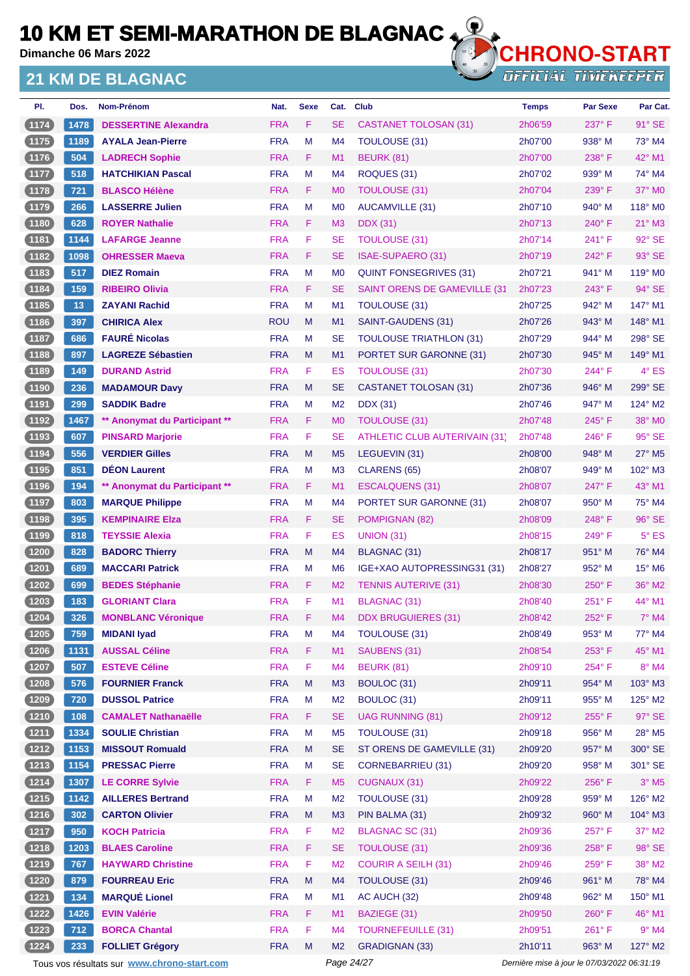**Dimanche 06 Mars 2022**

### **21 KM DE BLAGNAC**



**OFFICIAL TIMEKEEPER** 

| PI.      | Dos. | Nom-Prénom                    | Nat.       | <b>Sexe</b> | Cat.           | <b>Club</b>                          | <b>Temps</b> | <b>Par Sexe</b> | Par Cat.                  |
|----------|------|-------------------------------|------------|-------------|----------------|--------------------------------------|--------------|-----------------|---------------------------|
| (1174)   | 1478 | <b>DESSERTINE Alexandra</b>   | <b>FRA</b> | F           | <b>SE</b>      | <b>CASTANET TOLOSAN (31)</b>         | 2h06'59      | 237°F           | $91^\circ$ SE             |
| (1175)   | 1189 | <b>AYALA Jean-Pierre</b>      | <b>FRA</b> | М           | M4             | TOULOUSE (31)                        | 2h07'00      | $938^\circ$ M   | 73° M4                    |
| (1176)   | 504  | <b>LADRECH Sophie</b>         | <b>FRA</b> | F           | M <sub>1</sub> | <b>BEURK (81)</b>                    | 2h07'00      | 238°F           | $42^{\circ}$ M1           |
| (1177)   | 518  | <b>HATCHIKIAN Pascal</b>      | <b>FRA</b> | M           | M4             | ROQUES (31)                          | 2h07'02      | $939^\circ$ M   | 74° M4                    |
| (1178)   | 721  | <b>BLASCO Hélène</b>          | <b>FRA</b> | F           | M <sub>0</sub> | TOULOUSE (31)                        | 2h07'04      | $239^\circ$ F   | $37^\circ$ MO             |
| $(1179)$ | 266  | <b>LASSERRE Julien</b>        | <b>FRA</b> | M           | M <sub>0</sub> | AUCAMVILLE (31)                      | 2h07'10      | $940^\circ$ M   | 118° M0                   |
| (1180)   | 628  | <b>ROYER Nathalie</b>         | <b>FRA</b> | F.          | M <sub>3</sub> | <b>DDX</b> (31)                      | 2h07'13      | $240^\circ$ F   | $21^\circ$ M3             |
| (1181)   | 1144 | <b>LAFARGE Jeanne</b>         | <b>FRA</b> | F           | <b>SE</b>      | <b>TOULOUSE (31)</b>                 | 2h07'14      | 241°F           | 92° SE                    |
| (1182)   | 1098 | <b>OHRESSER Maeva</b>         | <b>FRA</b> | F           | <b>SE</b>      | <b>ISAE-SUPAERO (31)</b>             | 2h07'19      | 242°F           | 93° SE                    |
| (1183)   | 517  | <b>DIEZ Romain</b>            | <b>FRA</b> | M           | M <sub>0</sub> | <b>QUINT FONSEGRIVES (31)</b>        | 2h07'21      | 941° M          | 119° M0                   |
| (1184)   | 159  | <b>RIBEIRO Olivia</b>         | <b>FRA</b> | F.          | <b>SE</b>      | <b>SAINT ORENS DE GAMEVILLE (31)</b> | 2h07'23      | $243^\circ$ F   | $94^\circ$ SE             |
| (1185)   | 13   | <b>ZAYANI Rachid</b>          | <b>FRA</b> | M           | M <sub>1</sub> | <b>TOULOUSE (31)</b>                 | 2h07'25      | $942^\circ$ M   | 147° M1                   |
| (1186)   | 397  | <b>CHIRICA Alex</b>           | <b>ROU</b> | M           | M1             | SAINT-GAUDENS (31)                   | 2h07'26      | $943^\circ$ M   | 148° M1                   |
| (1187)   | 686  | <b>FAURÉ Nicolas</b>          | <b>FRA</b> | М           | <b>SE</b>      | <b>TOULOUSE TRIATHLON (31)</b>       | 2h07'29      | $944^\circ$ M   | 298° SE                   |
| (1188)   | 897  | <b>LAGREZE Sébastien</b>      | <b>FRA</b> | M           | M1             | PORTET SUR GARONNE (31)              | 2h07'30      | $945^\circ$ M   | $149^\circ$ M1            |
| $(1189)$ | 149  | <b>DURAND Astrid</b>          | <b>FRA</b> | F           | ES             | <b>TOULOUSE (31)</b>                 | 2h07'30      | 244°F           | 4° ES                     |
| (1190)   | 236  | <b>MADAMOUR Davy</b>          | <b>FRA</b> | M           | <b>SE</b>      | <b>CASTANET TOLOSAN (31)</b>         | 2h07'36      | 946° M          | 299° SE                   |
| (1191)   | 299  | <b>SADDIK Badre</b>           | <b>FRA</b> | М           | M <sub>2</sub> | DDX (31)                             | 2h07'46      | $947^\circ$ M   | 124° M2                   |
| (1192)   | 1467 | ** Anonymat du Participant ** | <b>FRA</b> | F.          | M <sub>0</sub> | <b>TOULOUSE (31)</b>                 | 2h07'48      | 245°F           | 38° MO                    |
| (1193)   | 607  | <b>PINSARD Marjorie</b>       | <b>FRA</b> | F           | <b>SE</b>      | <b>ATHLETIC CLUB AUTERIVAIN (31)</b> | 2h07'48      | $246^{\circ}$ F | 95° SE                    |
| (1194)   | 556  | <b>VERDIER Gilles</b>         | <b>FRA</b> | M           | M <sub>5</sub> | LEGUEVIN (31)                        | 2h08'00      | $948^\circ$ M   | 27° M5                    |
| (1195)   | 851  | <b>DÉON Laurent</b>           | <b>FRA</b> | М           | M <sub>3</sub> | CLARENS (65)                         | 2h08'07      | $949^\circ$ M   | 102° M3                   |
| (1196)   | 194  | ** Anonymat du Participant ** | <b>FRA</b> | F.          | M1             | ESCALQUENS (31)                      | 2h08'07      | 247°F           | 43° M1                    |
| (1197)   | 803  | <b>MARQUE Philippe</b>        | <b>FRA</b> | М           | M4             | PORTET SUR GARONNE (31)              | 2h08'07      | $950^\circ$ M   | 75° M4                    |
| (1198)   | 395  | <b>KEMPINAIRE EIza</b>        | <b>FRA</b> | F           | <b>SE</b>      | POMPIGNAN (82)                       | 2h08'09      | $248^\circ$ F   | 96° SE                    |
| (1199)   | 818  | <b>TEYSSIE Alexia</b>         | <b>FRA</b> | F           | <b>ES</b>      | <b>UNION (31)</b>                    | 2h08'15      | 249° F          | $5^{\circ}$ ES            |
| (1200)   | 828  | <b>BADORC Thierry</b>         | <b>FRA</b> | M           | M4             | BLAGNAC (31)                         | 2h08'17      | $951^\circ$ M   | 76° M4                    |
| (1201)   | 689  | <b>MACCARI Patrick</b>        | <b>FRA</b> | М           | M <sub>6</sub> | IGE+XAO AUTOPRESSING31 (31)          | 2h08'27      | $952^\circ$ M   | 15° M6                    |
| (1202)   | 699  | <b>BEDES Stéphanie</b>        | <b>FRA</b> | F           | M <sub>2</sub> | <b>TENNIS AUTERIVE (31)</b>          | 2h08'30      | $250^\circ$ F   | 36° M2                    |
| (1203)   | 183  | <b>GLORIANT Clara</b>         | <b>FRA</b> | F           | M1             | <b>BLAGNAC (31)</b>                  | 2h08'40      | 251°F           | 44° M1                    |
| (1204)   | 326  | <b>MONBLANC Véronique</b>     | <b>FRA</b> | F           | M4             | <b>DDX BRUGUIERES (31)</b>           | 2h08'42      | 252°F           | $7^\circ$ M4              |
| (1205)   | 759  | <b>MIDANI Iyad</b>            | <b>FRA</b> | M           | M <sub>4</sub> | <b>TOULOUSE (31)</b>                 | 2h08'49      | 953° M          | 77° M4                    |
| (1206)   | 1131 | <b>AUSSAL Céline</b>          | <b>FRA</b> | F           | M1             | SAUBENS (31)                         | 2h08'54      | 253° F          | 45° M1                    |
| (1207)   | 507  | <b>ESTEVE Céline</b>          | <b>FRA</b> | F           | M <sub>4</sub> | <b>BEURK (81)</b>                    | 2h09'10      | 254°F           | 8° M4                     |
| (1208)   | 576  | <b>FOURNIER Franck</b>        | <b>FRA</b> | M           | M3             | BOULOC (31)                          | 2h09'11      | 954° M          | 103° M3                   |
| (1209)   | 720  | <b>DUSSOL Patrice</b>         | <b>FRA</b> | M           | M <sub>2</sub> | BOULOC (31)                          | 2h09'11      | 955° M          | 125° M2                   |
| (1210)   | 108  | <b>CAMALET Nathanaëlle</b>    | <b>FRA</b> | F           | <b>SE</b>      | <b>UAG RUNNING (81)</b>              | 2h09'12      | 255°F           | 97° SE                    |
| (1211)   | 1334 | <b>SOULIE Christian</b>       | <b>FRA</b> | M           | M <sub>5</sub> | <b>TOULOUSE (31)</b>                 | 2h09'18      | 956° M          | $28^\circ$ M <sub>5</sub> |
| (1212)   | 1153 | <b>MISSOUT Romuald</b>        | <b>FRA</b> | M           | <b>SE</b>      | ST ORENS DE GAMEVILLE (31)           | 2h09'20      | 957° M          | 300° SE                   |
| $(1213)$ | 1154 | <b>PRESSAC Pierre</b>         | <b>FRA</b> | M           | <b>SE</b>      | <b>CORNEBARRIEU (31)</b>             | 2h09'20      | 958° M          | 301° SE                   |
| (1214)   | 1307 | <b>LE CORRE Sylvie</b>        | <b>FRA</b> | F           | M <sub>5</sub> | <b>CUGNAUX (31)</b>                  | 2h09'22      | 256°F           | $3°$ M <sub>5</sub>       |
| (1215)   | 1142 | <b>AILLERES Bertrand</b>      | <b>FRA</b> | M           | M <sub>2</sub> | TOULOUSE (31)                        | 2h09'28      | 959° M          | 126° M2                   |
| (1216)   | 302  | <b>CARTON Olivier</b>         | <b>FRA</b> | M           | M <sub>3</sub> | PIN BALMA (31)                       | 2h09'32      | 960° M          | 104° M3                   |
| (1217)   | 950  | <b>KOCH Patricia</b>          | <b>FRA</b> | F           | M <sub>2</sub> | <b>BLAGNAC SC (31)</b>               | 2h09'36      | 257°F           | $37^\circ$ M2             |
| (1218)   | 1203 | <b>BLAES Caroline</b>         | <b>FRA</b> | F           | <b>SE</b>      | <b>TOULOUSE (31)</b>                 | 2h09'36      | 258°F           | 98° SE                    |
| (1219)   | 767  | <b>HAYWARD Christine</b>      | <b>FRA</b> | F           | M <sub>2</sub> | <b>COURIR A SEILH (31)</b>           | 2h09'46      | 259°F           | 38° M2                    |
| (1220)   | 879  | <b>FOURREAU Eric</b>          | <b>FRA</b> | M           | M4             | TOULOUSE (31)                        | 2h09'46      | 961° M          | 78° M4                    |
| (1221)   | 134  | <b>MARQUÉ Lionel</b>          | <b>FRA</b> | M           | M1             | AC AUCH (32)                         | 2h09'48      | 962° M          | 150° M1                   |
| (1222)   | 1426 | <b>EVIN Valérie</b>           | <b>FRA</b> | F           | M1             | BAZIEGE (31)                         | 2h09'50      | 260°F           | 46° M1                    |
| $(1223)$ | 712  | <b>BORCA Chantal</b>          | <b>FRA</b> | F           | M <sub>4</sub> | <b>TOURNEFEUILLE (31)</b>            | 2h09'51      | 261°F           | $9°$ M4                   |
| (1224)   | 233  | <b>FOLLIET Grégory</b>        | <b>FRA</b> | M           | M <sub>2</sub> | <b>GRADIGNAN (33)</b>                | 2h10'11      | 963° M          | 127° M2                   |
|          |      |                               |            |             |                |                                      |              |                 |                           |

Tous vos résultats sur **[www.chrono-start.com](https://www.chrono-start.com/)** Page 24/27 Page 24/27 Dernière mise à jour le 07/03/2022 06:31:19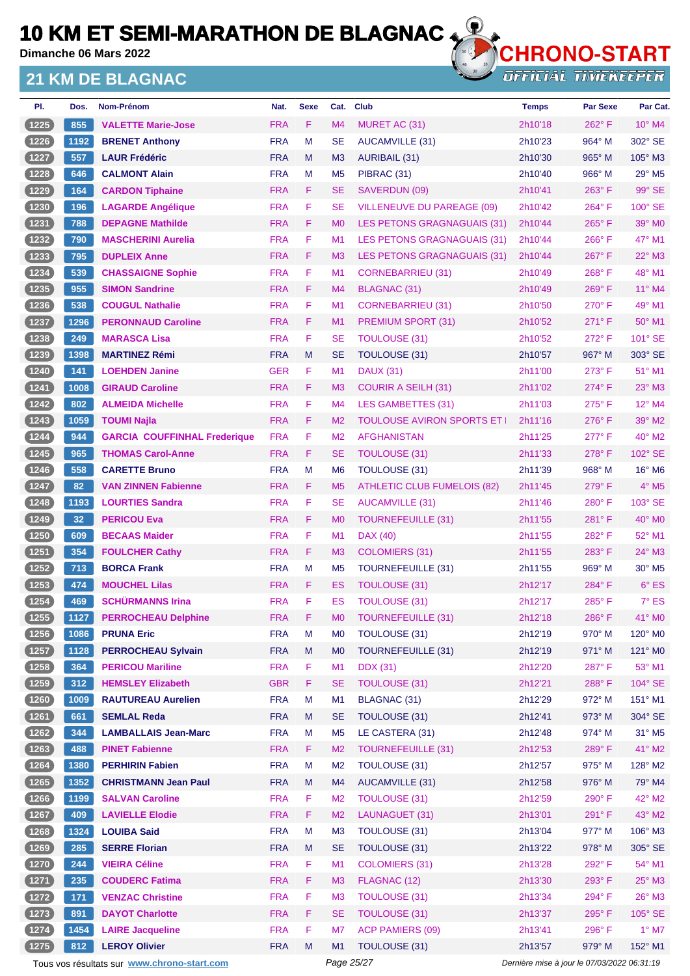**Dimanche 06 Mars 2022**

### **21 KM DE BLAGNAC**



| PI.              | Dos.         | Nom-Prénom                                            | Nat.                     | <b>Sexe</b> | Cat.                             | <b>Club</b>                             | <b>Temps</b>       | <b>Par Sexe</b> | Par Cat.                    |
|------------------|--------------|-------------------------------------------------------|--------------------------|-------------|----------------------------------|-----------------------------------------|--------------------|-----------------|-----------------------------|
| (1225)           | 855          | <b>VALETTE Marie-Jose</b>                             | <b>FRA</b>               | F.          | M <sub>4</sub>                   | MURET AC (31)                           | 2h10'18            | 262°F           | $10^{\circ}$ M4             |
| (1226)           | 1192         | <b>BRENET Anthony</b>                                 | <b>FRA</b>               | M           | <b>SE</b>                        | AUCAMVILLE (31)                         | 2h10'23            | 964° M          | 302° SE                     |
| (1227)           | 557          | <b>LAUR Frédéric</b>                                  | <b>FRA</b>               | M           | M <sub>3</sub>                   | <b>AURIBAIL (31)</b>                    | 2h10'30            | $965^\circ$ M   | 105° M3                     |
| (1228)           | 646          | <b>CALMONT Alain</b>                                  | <b>FRA</b>               | M           | M <sub>5</sub>                   | PIBRAC (31)                             | 2h10'40            | $966^\circ$ M   | $29^\circ$ M <sub>5</sub>   |
| (1229)           | 164          | <b>CARDON Tiphaine</b>                                | <b>FRA</b>               | F.          | <b>SE</b>                        | SAVERDUN (09)                           | 2h10'41            | $263^\circ$ F   | 99° SE                      |
| (1230)           | 196          | <b>LAGARDE Angélique</b>                              | <b>FRA</b>               | F           | <b>SE</b>                        | <b>VILLENEUVE DU PAREAGE (09)</b>       | 2h10'42            | 264°F           | 100° SE                     |
| (1231)           | 788          | <b>DEPAGNE Mathilde</b>                               | <b>FRA</b>               | F.          | M <sub>0</sub>                   | LES PETONS GRAGNAGUAIS (31)             | 2h10'44            | $265^{\circ}$ F | $39^\circ$ MO               |
| $(1232)$         | 790          | <b>MASCHERINI Aurelia</b>                             | <b>FRA</b>               | F           | M <sub>1</sub>                   | LES PETONS GRAGNAGUAIS (31)             | 2h10'44            | $266^{\circ}$ F | 47° M1                      |
| (1233)           | 795          | <b>DUPLEIX Anne</b>                                   | <b>FRA</b>               | F           | M <sub>3</sub>                   | LES PETONS GRAGNAGUAIS (31)             | 2h10'44            | 267°F           | 22° M3                      |
| (1234)           | 539          | <b>CHASSAIGNE Sophie</b>                              | <b>FRA</b>               | F           | M <sub>1</sub>                   | CORNEBARRIEU (31)                       | 2h10'49            | 268°F           | 48° M1                      |
| (1235)           | 955          | <b>SIMON Sandrine</b>                                 | <b>FRA</b>               | F.          | M <sub>4</sub>                   | <b>BLAGNAC (31)</b>                     | 2h10'49            | $269^\circ$ F   | $11^{\circ}$ M4             |
| (1236)           | 538          | <b>COUGUL Nathalie</b>                                | <b>FRA</b>               | F           | M <sub>1</sub>                   | CORNEBARRIEU (31)                       | 2h10'50            | $270^\circ$ F   | 49° M1                      |
| (1237)           | 1296         | <b>PERONNAUD Caroline</b>                             | <b>FRA</b>               | F.          | M <sub>1</sub>                   | <b>PREMIUM SPORT (31)</b>               | 2h10'52            | $271^\circ$ F   | $50^\circ$ M1               |
| (1238)           | 249          | <b>MARASCA Lisa</b>                                   | <b>FRA</b>               | F           | <b>SE</b>                        | <b>TOULOUSE (31)</b>                    | 2h10'52            | $272^{\circ}$ F | 101° SE                     |
| (1239)           | 1398         | <b>MARTINEZ Rémi</b>                                  | <b>FRA</b>               | M           | <b>SE</b>                        | TOULOUSE (31)                           | 2h10'57            | 967° M          | 303° SE                     |
| (1240)           | 141          | <b>LOEHDEN Janine</b>                                 | <b>GER</b>               | F           | M <sub>1</sub>                   | <b>DAUX (31)</b>                        | 2h11'00            | $273^\circ$ F   | 51° M1                      |
| (1241)           | 1008         | <b>GIRAUD Caroline</b>                                | <b>FRA</b>               | F           | M <sub>3</sub>                   | <b>COURIR A SEILH (31)</b>              | 2h11'02            | 274°F           | 23° M3                      |
| (1242)           | 802          | <b>ALMEIDA Michelle</b>                               | <b>FRA</b>               | F           | M <sub>4</sub>                   | <b>LES GAMBETTES (31)</b>               | 2h11'03            | $275^{\circ}$ F | $12^{\circ}$ M4             |
| (1243)           | 1059         | <b>TOUMI Najla</b>                                    | <b>FRA</b>               | F           | M <sub>2</sub>                   | <b>TOULOUSE AVIRON SPORTS ET  </b>      | 2h11'16            | $276^{\circ}$ F | 39° M2                      |
| (1244)           | 944          | <b>GARCIA COUFFINHAL Frederique</b>                   | <b>FRA</b>               | F           | M <sub>2</sub>                   | <b>AFGHANISTAN</b>                      | 2h11'25            | $277^\circ$ F   | 40° M2                      |
| (1245)           | 965          | <b>THOMAS Carol-Anne</b>                              | <b>FRA</b>               | F.          | <b>SE</b>                        | TOULOUSE (31)                           | 2h11'33            | $278^\circ$ F   | 102° SE                     |
| (1246)           | 558          | <b>CARETTE Bruno</b>                                  | <b>FRA</b>               | м           | M <sub>6</sub>                   | <b>TOULOUSE (31)</b>                    | 2h11'39            | $968^\circ$ M   | $16^{\circ}$ M <sub>6</sub> |
| (1247)           | 82           | <b>VAN ZINNEN Fabienne</b>                            | <b>FRA</b>               | F           | M <sub>5</sub>                   | <b>ATHLETIC CLUB FUMELOIS (82)</b>      | 2h11'45            | $279^\circ$ F   | $4^\circ$ M <sub>5</sub>    |
| (1248)           | 1193         | <b>LOURTIES Sandra</b>                                | <b>FRA</b>               | F           | <b>SE</b>                        | AUCAMVILLE (31)                         | 2h11'46            | $280^\circ$ F   | 103° SE                     |
| (1249)           | 32           | <b>PERICOU Eva</b>                                    | <b>FRA</b>               | F.          | M <sub>0</sub>                   | <b>TOURNEFEUILLE (31)</b>               | 2h11'55            | $281^\circ$ F   | 40° M0                      |
| (1250)           | 609          | <b>BECAAS Maider</b>                                  | <b>FRA</b>               | F           | M <sub>1</sub>                   | DAX (40)                                | 2h11'55            | 282°F           | 52° M1                      |
| (1251)           | 354          | <b>FOULCHER Cathy</b>                                 | <b>FRA</b>               | F.          | M <sub>3</sub>                   | <b>COLOMIERS (31)</b>                   | 2h11'55            | $283^\circ$ F   | $24^\circ$ M3               |
| (1252)           | 713          | <b>BORCA Frank</b>                                    | <b>FRA</b>               | M           | M <sub>5</sub>                   | <b>TOURNEFEUILLE (31)</b>               | 2h11'55            | 969° M          | 30° M5                      |
| (1253)           | 474          | <b>MOUCHEL Lilas</b>                                  | <b>FRA</b>               | F.          | ES                               | TOULOUSE (31)                           | 2h12'17            | 284°F           | $6°$ ES                     |
| 1254             | 469          | <b>SCHÜRMANNS Irina</b>                               | <b>FRA</b>               | F           | ES                               | <b>TOULOUSE (31)</b>                    | 2h12'17            | $285^\circ$ F   | $7^\circ$ ES                |
| (1255)           | 1127         | <b>PERROCHEAU Delphine</b>                            | <b>FRA</b>               | F           | M <sub>0</sub>                   | <b>TOURNEFEUILLE (31)</b>               | 2h12'18            | 286°F           | $41^\circ$ MO               |
| (1256)           | 1086         | <b>PRUNA Eric</b>                                     | <b>FRA</b>               | M           | M <sub>0</sub>                   | TOULOUSE (31)                           | 2h12'19            | 970° M          | 120° M0                     |
| (1257)           | 1128         | <b>PERROCHEAU Sylvain</b>                             | <b>FRA</b>               | M           | M <sub>0</sub>                   | <b>TOURNEFEUILLE (31)</b>               | 2h12'19            | 971° M          | 121° MO                     |
| (1258)           | 364          | <b>PERICOU Mariline</b>                               | <b>FRA</b>               | F           | M1                               | <b>DDX</b> (31)                         | 2h12'20            | 287°F           | 53° M1                      |
| (1259)           | 312          | <b>HEMSLEY Elizabeth</b>                              | <b>GBR</b>               | F           | <b>SE</b>                        | <b>TOULOUSE (31)</b>                    | 2h12'21            | 288°F           | 104° SE                     |
| (1260)           | 1009         | <b>RAUTUREAU Aurelien</b>                             | <b>FRA</b>               | М           | M1                               | BLAGNAC (31)                            | 2h12'29            | 972° M          | 151° M1                     |
| (1261)           | 661          | <b>SEMLAL Reda</b>                                    | <b>FRA</b>               | M           | <b>SE</b>                        | TOULOUSE (31)                           | 2h12'41            | 973° M          | 304° SE                     |
| (1262)           | 344          | <b>LAMBALLAIS Jean-Marc</b>                           | <b>FRA</b>               | M           | M <sub>5</sub>                   | LE CASTERA (31)                         | 2h12'48            | 974° M          | $31^\circ$ M <sub>5</sub>   |
| (1263)           | 488          | <b>PINET Fabienne</b>                                 | <b>FRA</b>               | F           | M <sub>2</sub>                   | <b>TOURNEFEUILLE (31)</b>               | 2h12'53            | 289°F           | 41° M2                      |
| (1264)           | 1380         | <b>PERHIRIN Fabien</b>                                | <b>FRA</b>               | М<br>M      | M <sub>2</sub><br>M <sub>4</sub> | TOULOUSE (31)                           | 2h12'57            | 975° M          | 128° M2                     |
| (1265)<br>(1266) | 1352<br>1199 | <b>CHRISTMANN Jean Paul</b><br><b>SALVAN Caroline</b> | <b>FRA</b><br><b>FRA</b> | F.          | M <sub>2</sub>                   | AUCAMVILLE (31)<br><b>TOULOUSE (31)</b> | 2h12'58            | 976° M<br>290°F | 79° M4<br>42° M2            |
| (1267)           | 409          | <b>LAVIELLE Elodie</b>                                | <b>FRA</b>               | F           | M <sub>2</sub>                   | LAUNAGUET (31)                          | 2h12'59<br>2h13'01 | 291°F           | 43° M2                      |
| (1268)           | 1324         | <b>LOUIBA Said</b>                                    | <b>FRA</b>               | M           | M <sub>3</sub>                   | <b>TOULOUSE (31)</b>                    | 2h13'04            | 977° M          | 106° M3                     |
| (1269)           | 285          | <b>SERRE Florian</b>                                  | <b>FRA</b>               | M           | <b>SE</b>                        | TOULOUSE (31)                           | 2h13'22            | 978° M          | 305° SE                     |
|                  | 244          | <b>VIEIRA Céline</b>                                  | <b>FRA</b>               | F           | M1                               | <b>COLOMIERS (31)</b>                   | 2h13'28            | 292°F           | 54° M1                      |
| (1270)<br>(1271) | 235          | <b>COUDERC Fatima</b>                                 | <b>FRA</b>               | F           | M <sub>3</sub>                   | FLAGNAC (12)                            | 2h13'30            | 293°F           | $25^\circ$ M3               |
| (1272)           | 171          | <b>VENZAC Christine</b>                               | <b>FRA</b>               | F           | M3                               | <b>TOULOUSE (31)</b>                    | 2h13'34            | 294°F           | $26^\circ$ M3               |
| (1273)           | 891          | <b>DAYOT Charlotte</b>                                | <b>FRA</b>               | F           | <b>SE</b>                        | <b>TOULOUSE (31)</b>                    | 2h13'37            | 295°F           | 105° SE                     |
| (1274)           | 1454         | <b>LAIRE Jacqueline</b>                               | <b>FRA</b>               | F           | M7                               | <b>ACP PAMIERS (09)</b>                 | 2h13'41            | 296°F           | $1^\circ$ M7                |
| (1275)           | 812          | <b>LEROY Olivier</b>                                  | <b>FRA</b>               | M           | M1                               | TOULOUSE (31)                           | 2h13'57            | $979^\circ$ M   | 152° M1                     |
|                  |              |                                                       |                          |             |                                  |                                         |                    |                 |                             |

Tous vos résultats sur **[www.chrono-start.com](https://www.chrono-start.com/)** Page 25/27 Page 25/27 Dernière mise à jour le 07/03/2022 06:31:19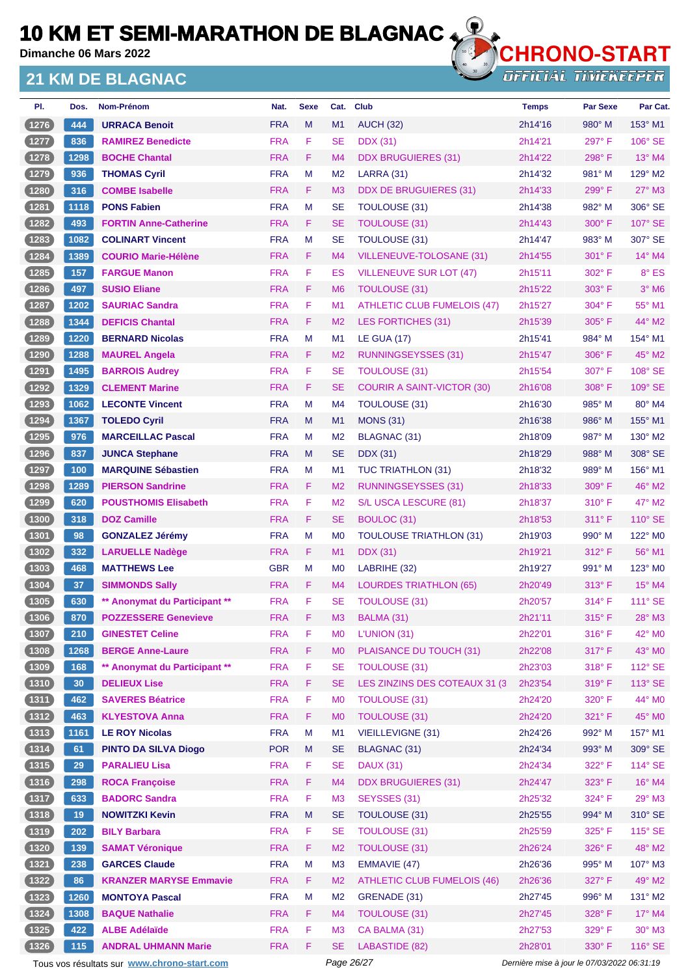**Dimanche 06 Mars 2022**

### **21 KM DE BLAGNAC**



**OFFICIAL TIMEKEEPER** 

| PI.            | Dos.            | Nom-Prénom                    | Nat.       | <b>Sexe</b> | Cat.           | <b>Club</b>                        | <b>Temps</b> | <b>Par Sexe</b> | Par Cat.            |
|----------------|-----------------|-------------------------------|------------|-------------|----------------|------------------------------------|--------------|-----------------|---------------------|
| (1276)         | 444             | <b>URRACA Benoit</b>          | <b>FRA</b> | M           | M1             | <b>AUCH (32)</b>                   | 2h14'16      | 980° M          | 153° M1             |
| (1277)         | 836             | <b>RAMIREZ Benedicte</b>      | <b>FRA</b> | F           | <b>SE</b>      | <b>DDX</b> (31)                    | 2h14'21      | 297°F           | $106^\circ$ SE      |
| (1278)         | 1298            | <b>BOCHE Chantal</b>          | <b>FRA</b> | F           | M <sub>4</sub> | <b>DDX BRUGUIERES (31)</b>         | 2h14'22      | 298°F           | 13° M4              |
| (1279)         | 936             | <b>THOMAS Cyril</b>           | <b>FRA</b> | М           | M <sub>2</sub> | LARRA (31)                         | 2h14'32      | $981^\circ$ M   | $129^\circ$ M2      |
| (1280)         | 316             | <b>COMBE Isabelle</b>         | <b>FRA</b> | F.          | M <sub>3</sub> | <b>DDX DE BRUGUIERES (31)</b>      | 2h14'33      | 299°F           | $27^\circ$ M3       |
| $1281$         | 1118            | <b>PONS Fabien</b>            | <b>FRA</b> | М           | <b>SE</b>      | TOULOUSE (31)                      | 2h14'38      | 982° M          | 306° SE             |
| (1282)         | 493             | <b>FORTIN Anne-Catherine</b>  | <b>FRA</b> | F           | <b>SE</b>      | <b>TOULOUSE (31)</b>               | 2h14'43      | $300^\circ$ F   | $107^\circ$ SE      |
| $1283$         | 1082            | <b>COLINART Vincent</b>       | <b>FRA</b> | М           | <b>SE</b>      | TOULOUSE (31)                      | 2h14'47      | $983^\circ$ M   | 307° SE             |
| (1284)         | 1389            | <b>COURIO Marie-Hélène</b>    | <b>FRA</b> | F           | M4             | VILLENEUVE-TOLOSANE (31)           | 2h14'55      | $301^\circ$ F   | $14^{\circ}$ M4     |
| (1285)         | 157             | <b>FARGUE Manon</b>           | <b>FRA</b> | F           | ES             | VILLENEUVE SUR LOT (47)            | 2h15'11      | $302^{\circ}$ F | 8° ES               |
| (1286)         | 497             | <b>SUSIO Eliane</b>           | <b>FRA</b> | F           | M <sub>6</sub> | TOULOUSE (31)                      | 2h15'22      | $303^\circ$ F   | $3°$ M <sub>6</sub> |
| 1287           | 1202            | <b>SAURIAC Sandra</b>         | <b>FRA</b> | F           | M <sub>1</sub> | <b>ATHLETIC CLUB FUMELOIS (47)</b> | 2h15'27      | 304° F          | 55° M1              |
| (1288)         | 1344            | <b>DEFICIS Chantal</b>        | <b>FRA</b> | F           | M <sub>2</sub> | LES FORTICHES (31)                 | 2h15'39      | $305^\circ$ F   | $44^{\circ}$ M2     |
| 1289           | 1220            | <b>BERNARD Nicolas</b>        | <b>FRA</b> | М           | M <sub>1</sub> | <b>LE GUA (17)</b>                 | 2h15'41      | 984° M          | $154^\circ$ M1      |
| (1290)         | 1288            | <b>MAUREL Angela</b>          | <b>FRA</b> | F           | M <sub>2</sub> | <b>RUNNINGSEYSSES (31)</b>         | 2h15'47      | $306^\circ$ F   | 45° M2              |
| 1291           | 1495            | <b>BARROIS Audrey</b>         | <b>FRA</b> | F           | <b>SE</b>      | <b>TOULOUSE (31)</b>               | 2h15'54      | $307^\circ$ F   | 108° SE             |
| (1292)         | 1329            | <b>CLEMENT Marine</b>         | <b>FRA</b> | F           | <b>SE</b>      | <b>COURIR A SAINT-VICTOR (30)</b>  | 2h16'08      | $308^\circ$ F   | $109^\circ$ SE      |
| 1293           | 1062            | <b>LECONTE Vincent</b>        | <b>FRA</b> | М           | M <sub>4</sub> | TOULOUSE (31)                      | 2h16'30      | $985^\circ$ M   | 80° M4              |
| (1294)         | 1367            | <b>TOLEDO Cyril</b>           | <b>FRA</b> | M           | M <sub>1</sub> | <b>MONS (31)</b>                   | 2h16'38      | $986^\circ$ M   | 155° M1             |
| 1295           | 976             | <b>MARCEILLAC Pascal</b>      | <b>FRA</b> | М           | M <sub>2</sub> | <b>BLAGNAC (31)</b>                | 2h18'09      | 987° M          | $130^\circ$ M2      |
| (1296)         | 837             | <b>JUNCA Stephane</b>         | <b>FRA</b> | M           | <b>SE</b>      | <b>DDX</b> (31)                    | 2h18'29      | 988° M          | 308° SE             |
| $1297$         | 100             | <b>MARQUINE Sébastien</b>     | <b>FRA</b> | М           | M <sub>1</sub> | TUC TRIATHLON (31)                 | 2h18'32      | $989^\circ$ M   | 156° M1             |
| (1298)         | 1289            | <b>PIERSON Sandrine</b>       | <b>FRA</b> | F           | M <sub>2</sub> | RUNNINGSEYSSES (31)                | 2h18'33      | $309^\circ$ F   | 46° M2              |
| $1299$         | 620             | <b>POUSTHOMIS Elisabeth</b>   | <b>FRA</b> | F           | M <sub>2</sub> | S/L USCA LESCURE (81)              | 2h18'37      | $310^\circ$ F   | 47° M2              |
| (1300)         | 318             | <b>DOZ Camille</b>            | <b>FRA</b> | F           | <b>SE</b>      | <b>BOULOC (31)</b>                 | 2h18'53      | $311^\circ$ F   | 110° SE             |
| $\boxed{1301}$ | 98              | <b>GONZALEZ Jérémy</b>        | <b>FRA</b> | М           | M <sub>0</sub> | <b>TOULOUSE TRIATHLON (31)</b>     | 2h19'03      | $990^\circ$ M   | 122° M <sub>0</sub> |
| (1302)         | 332             | <b>LARUELLE Nadège</b>        | <b>FRA</b> | F.          | M1             | <b>DDX</b> (31)                    | 2h19'21      | 312° F          | 56° M1              |
| $\boxed{1303}$ | 468             | <b>MATTHEWS Lee</b>           | <b>GBR</b> | М           | M <sub>0</sub> | LABRIHE (32)                       | 2h19'27      | 991° M          | $123^\circ$ MO      |
| (1304)         | 37              | <b>SIMMONDS Sally</b>         | <b>FRA</b> | F           | M4             | <b>LOURDES TRIATHLON (65)</b>      | 2h20'49      | 313° F          | $15^{\circ}$ M4     |
| $1305$         | 630             | ** Anonymat du Participant ** | <b>FRA</b> | F           | <b>SE</b>      | <b>TOULOUSE (31)</b>               | 2h20'57      | $314^{\circ}$ F | 111° SE             |
| (1306)         | 870             | <b>POZZESSERE Genevieve</b>   | <b>FRA</b> | F           | M3             | BALMA (31)                         | 2h21'11      | 315°F           | 28° M3              |
| $(1307)$       | 210             | <b>GINESTET Celine</b>        | <b>FRA</b> | F           | M <sub>0</sub> | L'UNION (31)                       | 2h22'01      | $316^\circ$ F   | 42° MO              |
| (1308)         | 1268            | <b>BERGE Anne-Laure</b>       | <b>FRA</b> | F           | M <sub>0</sub> | PLAISANCE DU TOUCH (31)            | 2h22'08      | 317° F          | 43° MO              |
| (1309)         | 168             | ** Anonymat du Participant ** | <b>FRA</b> | F           | <b>SE</b>      | <b>TOULOUSE (31)</b>               | 2h23'03      | 318°F           | 112° SE             |
| (1310)         | 30 <sub>o</sub> | <b>DELIEUX Lise</b>           | <b>FRA</b> | F           | <b>SE</b>      | LES ZINZINS DES COTEAUX 31 (3)     | 2h23'54      | 319°F           | $113^\circ$ SE      |
| $(1311)$       | 462             | <b>SAVERES Béatrice</b>       | <b>FRA</b> | F           | M <sub>0</sub> | <b>TOULOUSE (31)</b>               | 2h24'20      | 320° F          | 44° M0              |
| (1312)         | 463             | <b>KLYESTOVA Anna</b>         | <b>FRA</b> | F           | M <sub>0</sub> | <b>TOULOUSE (31)</b>               | 2h24'20      | 321° F          | 45° M0              |
| (1313)         | 1161            | <b>LE ROY Nicolas</b>         | <b>FRA</b> | M           | M1             | <b>VIEILLEVIGNE (31)</b>           | 2h24'26      | 992° M          | 157° M1             |
| $(1314)$       | 61              | <b>PINTO DA SILVA Diogo</b>   | <b>POR</b> | M           | <b>SE</b>      | <b>BLAGNAC (31)</b>                | 2h24'34      | 993° M          | 309° SE             |
| $(1315)$       | 29              | <b>PARALIEU Lisa</b>          | <b>FRA</b> | F           | <b>SE</b>      | <b>DAUX (31)</b>                   | 2h24'34      | 322° F          | 114° SE             |
| (1316)         | 298             | <b>ROCA Françoise</b>         | <b>FRA</b> | F.          | M4             | <b>DDX BRUGUIERES (31)</b>         | 2h24'47      | 323° F          | 16° M4              |
| (1317)         | 633             | <b>BADORC Sandra</b>          | <b>FRA</b> | F           | M <sub>3</sub> | SEYSSES (31)                       | 2h25'32      | 324°F           | 29° M3              |
| (1318)         | 19              | <b>NOWITZKI Kevin</b>         | <b>FRA</b> | M           | <b>SE</b>      | <b>TOULOUSE (31)</b>               | 2h25'55      | 994° M          | 310° SE             |
| (1319)         | 202             | <b>BILY Barbara</b>           | <b>FRA</b> | F           | <b>SE</b>      | <b>TOULOUSE (31)</b>               | 2h25'59      | 325° F          | $115^\circ$ SE      |
| (1320)         | 139             | <b>SAMAT Véronique</b>        | <b>FRA</b> | F           | M <sub>2</sub> | <b>TOULOUSE (31)</b>               | 2h26'24      | 326°F           | 48° M2              |
| (1321)         | 238             | <b>GARCES Claude</b>          | <b>FRA</b> | M           | M <sub>3</sub> | EMMAVIE (47)                       | 2h26'36      | 995° M          | 107° M3             |
| $(1322)$       | 86              | <b>KRANZER MARYSE Emmavie</b> | <b>FRA</b> | F.          | M <sub>2</sub> | <b>ATHLETIC CLUB FUMELOIS (46)</b> | 2h26'36      | 327° F          | 49° M2              |
| (1323)         | 1260            | <b>MONTOYA Pascal</b>         | <b>FRA</b> | M           | M <sub>2</sub> | GRENADE (31)                       | 2h27'45      | 996° M          | $131^\circ$ M2      |
| (1324)         | 1308            | <b>BAQUE Nathalie</b>         | <b>FRA</b> | F           | M4             | <b>TOULOUSE (31)</b>               | 2h27'45      | 328°F           | $17^\circ$ M4       |
| $(1325)$       | 422             | <b>ALBE Adélaïde</b>          | <b>FRA</b> | F           | M <sub>3</sub> | CA BALMA (31)                      | 2h27'53      | 329°F           | $30^\circ$ M3       |
| (1326)         | $115$           | <b>ANDRAL UHMANN Marie</b>    | <b>FRA</b> | F           | <b>SE</b>      | LABASTIDE (82)                     | 2h28'01      | 330° F          | 116° SE             |
|                |                 |                               |            |             |                |                                    |              |                 |                     |

Tous vos résultats sur **[www.chrono-start.com](https://www.chrono-start.com/)** Page 26/27 Person Page 26/27 Dernière mise à jour le 07/03/2022 06:31:19